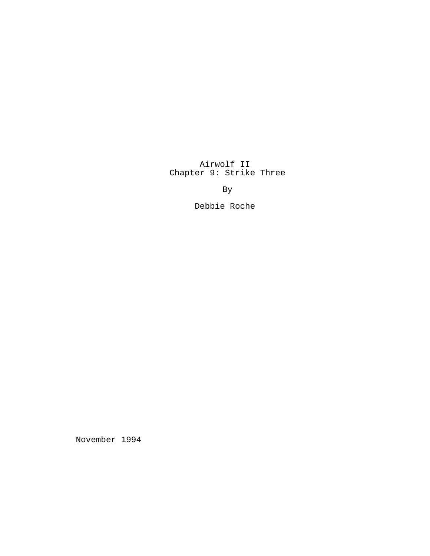Airwolf II Chapter 9: Strike Three

By

Debbie Roche

November 1994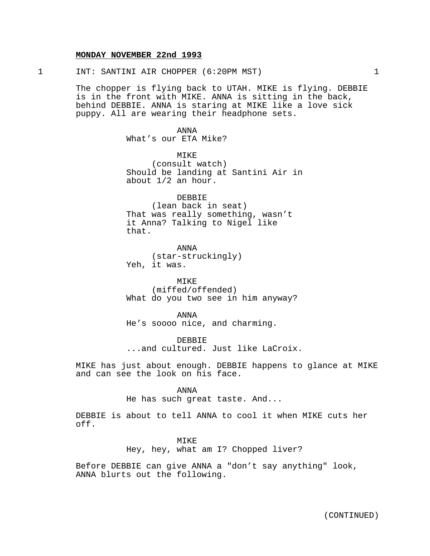## **MONDAY NOVEMBER 22nd 1993**

1 INT: SANTINI AIR CHOPPER (6:20PM MST) 1

The chopper is flying back to UTAH. MIKE is flying. DEBBIE is in the front with MIKE. ANNA is sitting in the back, behind DEBBIE. ANNA is staring at MIKE like a love sick puppy. All are wearing their headphone sets.

> ANNA What's our ETA Mike?

MIKE (consult watch) Should be landing at Santini Air in about 1/2 an hour.

DEBBIE (lean back in seat) That was really something, wasn't it Anna? Talking to Nigel like that.

ANNA (star-struckingly) Yeh, it was.

MIKE (miffed/offended) What do you two see in him anyway?

ANNA He's soooo nice, and charming.

DEBBIE ...and cultured. Just like LaCroix.

MIKE has just about enough. DEBBIE happens to glance at MIKE and can see the look on his face.

ANNA

He has such great taste. And...

DEBBIE is about to tell ANNA to cool it when MIKE cuts her off.

> MIKE Hey, hey, what am I? Chopped liver?

Before DEBBIE can give ANNA a "don't say anything" look, ANNA blurts out the following.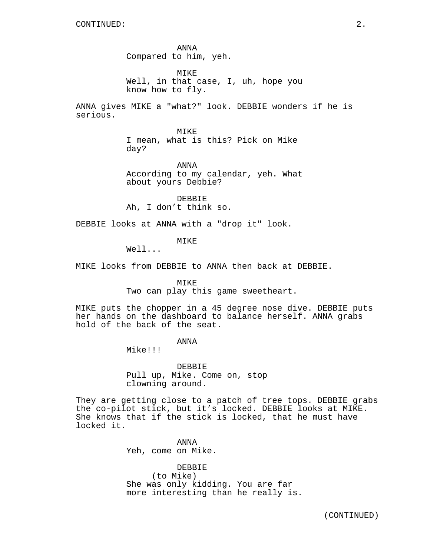ANNA Compared to him, yeh. MIKE Well, in that case, I, uh, hope you

know how to fly.

ANNA gives MIKE a "what?" look. DEBBIE wonders if he is serious.

> MIKE I mean, what is this? Pick on Mike day?

ANNA According to my calendar, yeh. What about yours Debbie?

DEBBIE Ah, I don't think so.

DEBBIE looks at ANNA with a "drop it" look.

MIKE

Well...

MIKE looks from DEBBIE to ANNA then back at DEBBIE.

MIKE

Two can play this game sweetheart.

MIKE puts the chopper in a 45 degree nose dive. DEBBIE puts her hands on the dashboard to balance herself. ANNA grabs hold of the back of the seat.

# ANNA

Mike!!!

DEBBIE Pull up, Mike. Come on, stop clowning around.

They are getting close to a patch of tree tops. DEBBIE grabs the co-pilot stick, but it's locked. DEBBIE looks at MIKE. She knows that if the stick is locked, that he must have locked it.

> ANNA Yeh, come on Mike.

DEBBIE (to Mike) She was only kidding. You are far more interesting than he really is.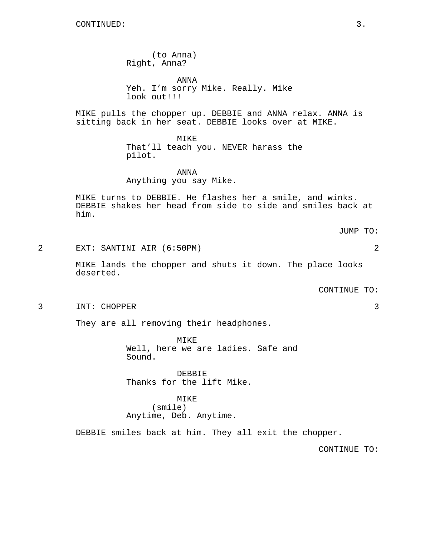(to Anna) Right, Anna?

ANNA Yeh. I'm sorry Mike. Really. Mike look out!!!

MIKE pulls the chopper up. DEBBIE and ANNA relax. ANNA is sitting back in her seat. DEBBIE looks over at MIKE.

> MIKE That'll teach you. NEVER harass the pilot.

ANNA Anything you say Mike.

MIKE turns to DEBBIE. He flashes her a smile, and winks. DEBBIE shakes her head from side to side and smiles back at him.

JUMP TO:

2 EXT: SANTINI AIR (6:50PM) 2

MIKE lands the chopper and shuts it down. The place looks deserted.

CONTINUE TO:

3 INT: CHOPPER 3

They are all removing their headphones.

MIKE Well, here we are ladies. Safe and Sound.

DEBBIE Thanks for the lift Mike.

# MIKE (smile) Anytime, Deb. Anytime.

DEBBIE smiles back at him. They all exit the chopper.

CONTINUE TO: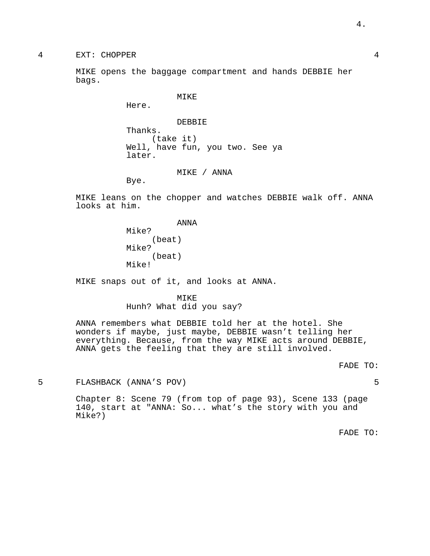MIKE opens the baggage compartment and hands DEBBIE her bags.

MIKE

Here.

DEBBIE Thanks. (take it) Well, have fun, you two. See ya later.

MIKE / ANNA

Bye.

MIKE leans on the chopper and watches DEBBIE walk off. ANNA looks at him.

> ANNA Mike? (beat) Mike? (beat) Mike!

MIKE snaps out of it, and looks at ANNA.

MIKE Hunh? What did you say?

ANNA remembers what DEBBIE told her at the hotel. She wonders if maybe, just maybe, DEBBIE wasn't telling her everything. Because, from the way MIKE acts around DEBBIE, ANNA gets the feeling that they are still involved.

$$
\verb|FADE TO:\\
$$

5 FLASHBACK (ANNA'S POV) 5

Chapter 8: Scene 79 (from top of page 93), Scene 133 (page 140, start at "ANNA: So... what's the story with you and Mike?)

FADE TO: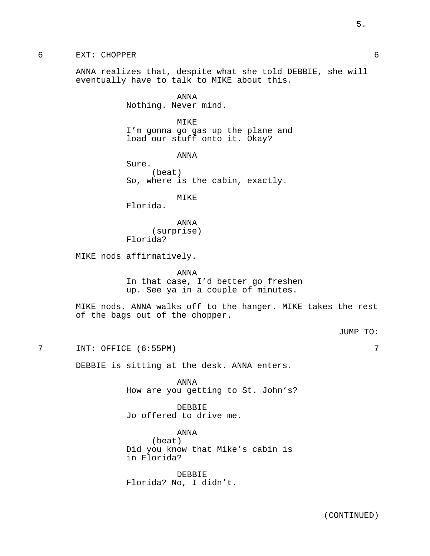ANNA realizes that, despite what she told DEBBIE, she will eventually have to talk to MIKE about this.

> ANNA Nothing. Never mind.

MIKE I'm gonna go gas up the plane and load our stuff onto it. Okay?

ANNA Sure. (beat) So, where is the cabin, exactly.

MIKE

Florida.

ANNA (surprise) Florida?

MIKE nods affirmatively.

ANNA In that case, I'd better go freshen up. See ya in a couple of minutes.

MIKE nods. ANNA walks off to the hanger. MIKE takes the rest of the bags out of the chopper.

JUMP TO:

7 INT: OFFICE (6:55PM) 7

DEBBIE is sitting at the desk. ANNA enters.

ANNA How are you getting to St. John's?

DEBBIE Jo offered to drive me.

ANNA (beat) Did you know that Mike's cabin is in Florida?

DEBBIE Florida? No, I didn't.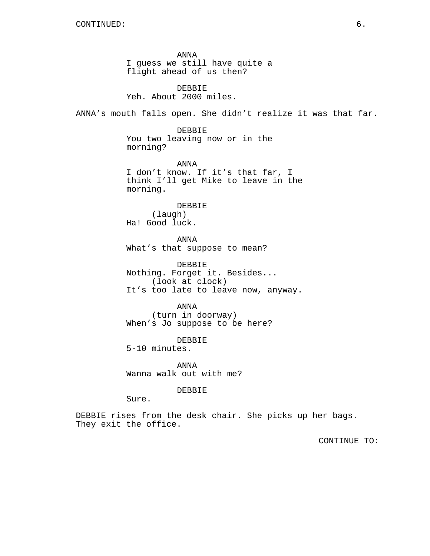ANNA I guess we still have quite a flight ahead of us then?

DEBBIE Yeh. About 2000 miles.

ANNA's mouth falls open. She didn't realize it was that far.

DEBBIE You two leaving now or in the morning?

ANNA I don't know. If it's that far, I think I'll get Mike to leave in the morning.

DEBBIE (laugh) Ha! Good luck.

ANNA What's that suppose to mean?

DEBBIE Nothing. Forget it. Besides... (look at clock) It's too late to leave now, anyway.

ANNA (turn in doorway) When's Jo suppose to be here?

DEBBIE 5-10 minutes.

ANNA Wanna walk out with me?

DEBBIE

Sure.

DEBBIE rises from the desk chair. She picks up her bags. They exit the office.

CONTINUE TO: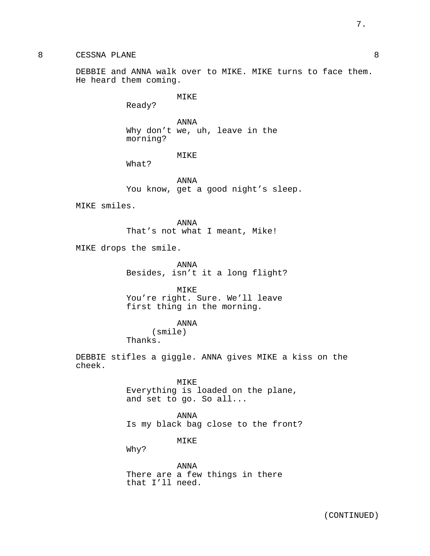DEBBIE and ANNA walk over to MIKE. MIKE turns to face them. He heard them coming.

MIKE

Ready?

ANNA Why don't we, uh, leave in the morning?

MIKE

What?

ANNA You know, get a good night's sleep.

MIKE smiles.

ANNA That's not what I meant, Mike!

MIKE drops the smile.

ANNA Besides, isn't it a long flight?

MIKE You're right. Sure. We'll leave first thing in the morning.

ANNA

(smile) Thanks.

DEBBIE stifles a giggle. ANNA gives MIKE a kiss on the cheek.

> MIKE Everything is loaded on the plane, and set to go. So all...

ANNA Is my black bag close to the front?

MIKE

Why?

ANNA There are a few things in there that I'll need.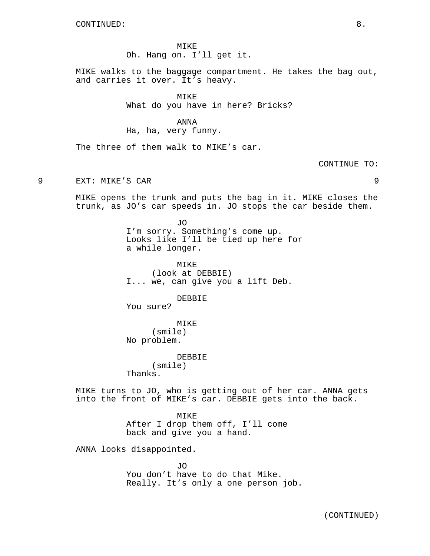MIKE Oh. Hang on. I'll get it.

MIKE walks to the baggage compartment. He takes the bag out, and carries it over. It's heavy.

**MTKE** 

What do you have in here? Bricks?

#### ANNA

Ha, ha, very funny.

The three of them walk to MIKE's car.

CONTINUE TO:

9 EXT: MIKE'S CAR 9

MIKE opens the trunk and puts the bag in it. MIKE closes the trunk, as JO's car speeds in. JO stops the car beside them.

> JO I'm sorry. Something's come up. Looks like I'll be tied up here for a while longer.

MIKE (look at DEBBIE) I... we, can give you a lift Deb.

DEBBIE

You sure?

MIKE (smile) No problem.

DEBBIE

(smile) Thanks.

MIKE turns to JO, who is getting out of her car. ANNA gets into the front of MIKE's car. DEBBIE gets into the back.

> MIKE After I drop them off, I'll come back and give you a hand.

ANNA looks disappointed.

JO You don't have to do that Mike. Really. It's only a one person job.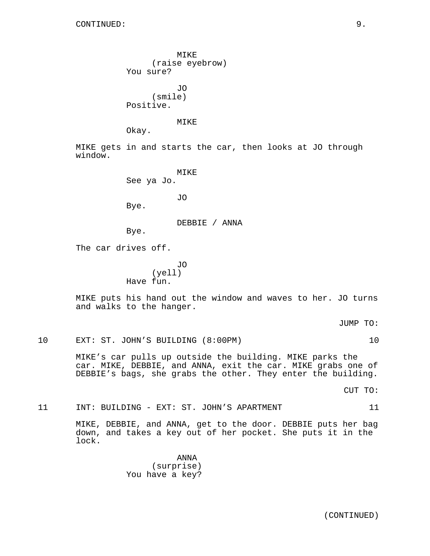window.

MIKE (raise eyebrow) You sure? JO (smile) Positive. MIKE Okay. MIKE gets in and starts the car, then looks at JO through MIKE See ya Jo. JO Bye. DEBBIE / ANNA Bye. The car drives off. JO (yell) Have fun. MIKE puts his hand out the window and waves to her. JO turns and walks to the hanger.

JUMP TO:

10 EXT: ST. JOHN'S BUILDING (8:00PM) 10

MIKE's car pulls up outside the building. MIKE parks the car. MIKE, DEBBIE, and ANNA, exit the car. MIKE grabs one of DEBBIE's bags, she grabs the other. They enter the building.

CUT TO:

11 INT: BUILDING - EXT: ST. JOHN'S APARTMENT 11

MIKE, DEBBIE, and ANNA, get to the door. DEBBIE puts her bag down, and takes a key out of her pocket. She puts it in the lock.

> ANNA (surprise) You have a key?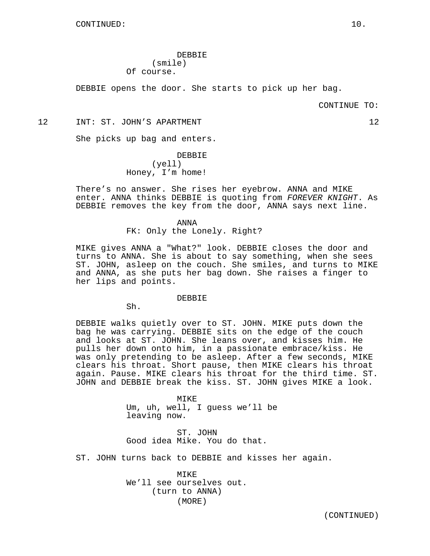DEBBIE (smile) Of course.

DEBBIE opens the door. She starts to pick up her bag.

#### CONTINUE TO:

12 INT: ST. JOHN'S APARTMENT 12 12

She picks up bag and enters.

DEBBIE (yell) Honey, I'm home!

There's no answer. She rises her eyebrow. ANNA and MIKE enter. ANNA thinks DEBBIE is quoting from FOREVER KNIGHT. As DEBBIE removes the key from the door, ANNA says next line.

> ANNA FK: Only the Lonely. Right?

MIKE gives ANNA a "What?" look. DEBBIE closes the door and turns to ANNA. She is about to say something, when she sees ST. JOHN, asleep on the couch. She smiles, and turns to MIKE and ANNA, as she puts her bag down. She raises a finger to her lips and points.

DEBBIE

Sh.

DEBBIE walks quietly over to ST. JOHN. MIKE puts down the bag he was carrying. DEBBIE sits on the edge of the couch and looks at ST. JOHN. She leans over, and kisses him. He pulls her down onto him, in a passionate embrace/kiss. He was only pretending to be asleep. After a few seconds, MIKE clears his throat. Short pause, then MIKE clears his throat again. Pause. MIKE clears his throat for the third time. ST. JOHN and DEBBIE break the kiss. ST. JOHN gives MIKE a look.

> MTKF. Um, uh, well, I guess we'll be leaving now.

ST. JOHN Good idea Mike. You do that.

ST. JOHN turns back to DEBBIE and kisses her again.

MIKE We'll see ourselves out. (turn to ANNA) (MORE)

(CONTINUED)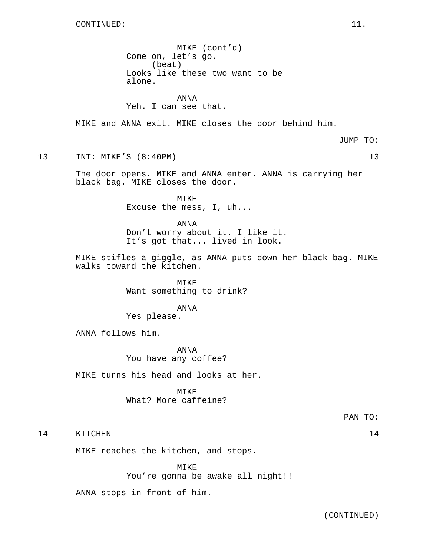MIKE (cont'd) Come on, let's go. (beat) Looks like these two want to be alone.

### ANNA Yeh. I can see that.

MIKE and ANNA exit. MIKE closes the door behind him.

JUMP TO:

13 INT: MIKE'S (8:40PM) 13

The door opens. MIKE and ANNA enter. ANNA is carrying her black bag. MIKE closes the door.

> MIKE Excuse the mess, I, uh...

ANNA Don't worry about it. I like it. It's got that... lived in look.

MIKE stifles a giggle, as ANNA puts down her black bag. MIKE walks toward the kitchen.

> MIKE Want something to drink?

> > ANNA

Yes please.

ANNA follows him.

ANNA You have any coffee?

MIKE turns his head and looks at her.

MIKE What? More caffeine?

PAN TO:

14 KITCHEN 14

MIKE reaches the kitchen, and stops.

MIKE You're gonna be awake all night!!

ANNA stops in front of him.

(CONTINUED)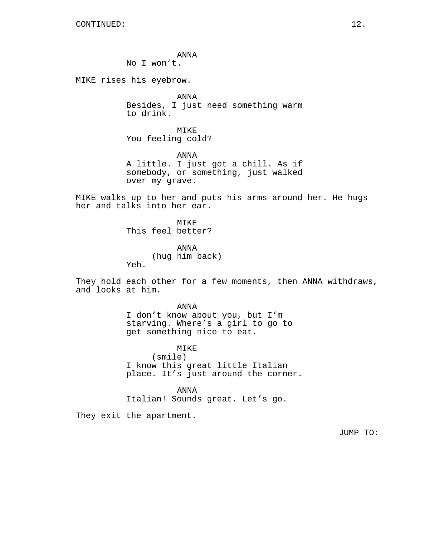ANNA

No I won't.

MIKE rises his eyebrow.

ANNA Besides, I just need something warm to drink.

MIKE You feeling cold?

ANNA A little. I just got a chill. As if somebody, or something, just walked over my grave.

MIKE walks up to her and puts his arms around her. He hugs her and talks into her ear.

> MTK<sub>F</sub> This feel better?

> > ANNA (hug him back)

Yeh.

They hold each other for a few moments, then ANNA withdraws, and looks at him.

> ANNA I don't know about you, but I'm starving. Where's a girl to go to get something nice to eat.

> > MIKE

(smile) I know this great little Italian place. It's just around the corner.

ANNA

Italian! Sounds great. Let's go.

They exit the apartment.

JUMP TO: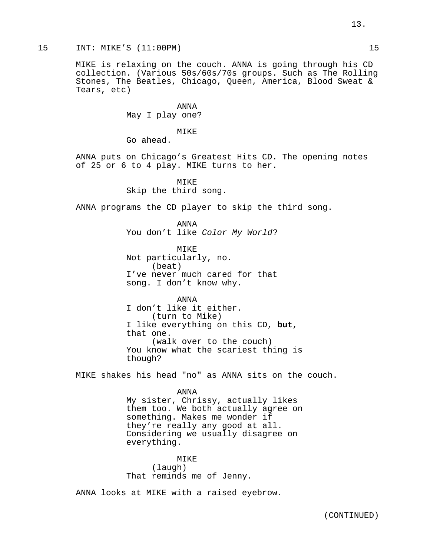### 15 INT: MIKE'S (11:00PM) 15

MIKE is relaxing on the couch. ANNA is going through his CD collection. (Various 50s/60s/70s groups. Such as The Rolling Stones, The Beatles, Chicago, Queen, America, Blood Sweat & Tears, etc)

> ANNA May I play one?

> > MIKE

Go ahead.

ANNA puts on Chicago's Greatest Hits CD. The opening notes of 25 or 6 to 4 play. MIKE turns to her.

> MIKE Skip the third song.

ANNA programs the CD player to skip the third song.

ANNA You don't like Color My World?

MIKE Not particularly, no. (beat) I've never much cared for that song. I don't know why.

ANNA I don't like it either. (turn to Mike) I like everything on this CD, **but**, that one. (walk over to the couch) You know what the scariest thing is though?

MIKE shakes his head "no" as ANNA sits on the couch.

ANNA My sister, Chrissy, actually likes them too. We both actually agree on something. Makes me wonder if they're really any good at all. Considering we usually disagree on everything.

MIKE (laugh) That reminds me of Jenny.

ANNA looks at MIKE with a raised eyebrow.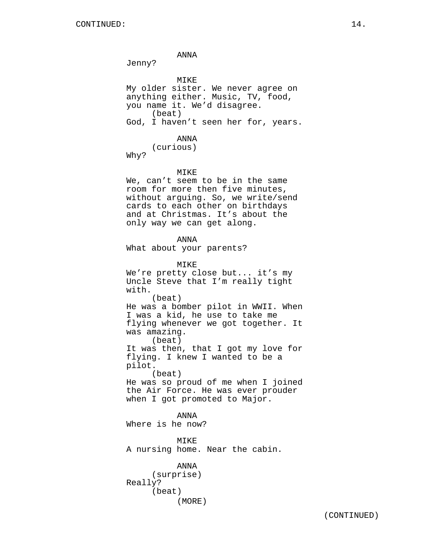ANNA Jenny? MIKE My older sister. We never agree on anything either. Music, TV, food, you name it. We'd disagree. (beat) God, I haven't seen her for, years. ANNA (curious) Why? MIKE We, can't seem to be in the same room for more then five minutes, without arguing. So, we write/send cards to each other on birthdays and at Christmas. It's about the only way we can get along. ANNA What about your parents? MIKE We're pretty close but... it's my Uncle Steve that I'm really tight with. (beat) He was a bomber pilot in WWII. When I was a kid, he use to take me flying whenever we got together. It was amazing. (beat) It was then, that I got my love for flying. I knew I wanted to be a pilot. (beat) He was so proud of me when I joined the Air Force. He was ever prouder when I got promoted to Major. ANNA Where is he now? MIKE A nursing home. Near the cabin. ANNA (surprise) Really? (beat)

(MORE)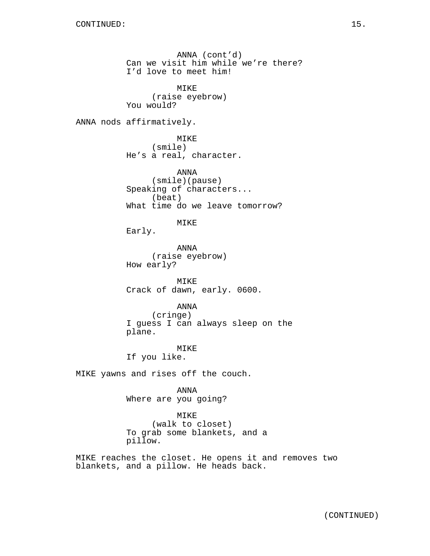ANNA (cont'd) Can we visit him while we're there? I'd love to meet him! MIKE (raise eyebrow) You would? ANNA nods affirmatively. MIKE (smile) He's a real, character. ANNA (smile)(pause) Speaking of characters... (beat) What time do we leave tomorrow? MIKE Early. ANNA (raise eyebrow) How early? MIKE Crack of dawn, early. 0600. ANNA (cringe) I guess I can always sleep on the plane. MIKE If you like. MIKE yawns and rises off the couch. ANNA Where are you going? MIKE (walk to closet) To grab some blankets, and a pillow.

MIKE reaches the closet. He opens it and removes two blankets, and a pillow. He heads back.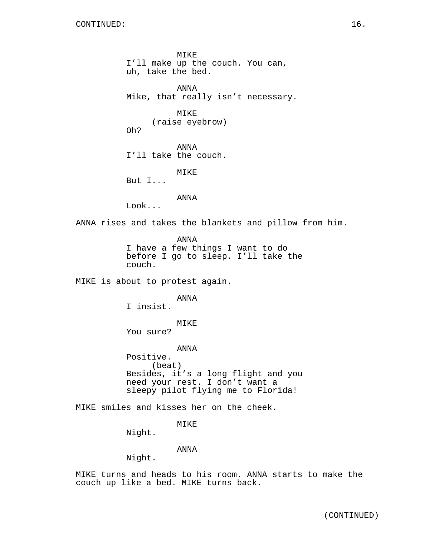MIKE I'll make up the couch. You can, uh, take the bed. ANNA Mike, that really isn't necessary. MIKE (raise eyebrow) Oh? ANNA I'll take the couch. MIKE But I... ANNA Look... ANNA rises and takes the blankets and pillow from him. ANNA I have a few things I want to do before I go to sleep. I'll take the couch. MIKE is about to protest again. ANNA I insist. MIKE You sure? ANNA Positive. (beat) Besides, it's a long flight and you need your rest. I don't want a sleepy pilot flying me to Florida! MIKE smiles and kisses her on the cheek. MIKE Night. ANNA Night.

MIKE turns and heads to his room. ANNA starts to make the couch up like a bed. MIKE turns back.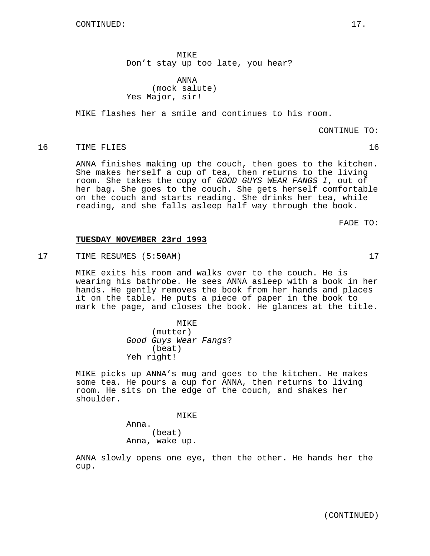(CONTINUED)

MIKE Don't stay up too late, you hear?

ANNA (mock salute) Yes Major, sir!

MIKE flashes her a smile and continues to his room.

CONTINUE TO:

# 16 TIME FLIES 2018 16

ANNA finishes making up the couch, then goes to the kitchen. She makes herself a cup of tea, then returns to the living room. She takes the copy of GOOD GUYS WEAR FANGS I, out of her bag. She goes to the couch. She gets herself comfortable on the couch and starts reading. She drinks her tea, while reading, and she falls asleep half way through the book.

FADE TO:

# **TUESDAY NOVEMBER 23rd 1993**

17 TIME RESUMES (5:50AM) 17

MIKE exits his room and walks over to the couch. He is wearing his bathrobe. He sees ANNA asleep with a book in her hands. He gently removes the book from her hands and places it on the table. He puts a piece of paper in the book to mark the page, and closes the book. He glances at the title.

> MIKE (mutter) Good Guys Wear Fangs? (beat) Yeh right!

MIKE picks up ANNA's mug and goes to the kitchen. He makes some tea. He pours a cup for ANNA, then returns to living room. He sits on the edge of the couch, and shakes her shoulder.

MIKE

Anna. (beat) Anna, wake up.

ANNA slowly opens one eye, then the other. He hands her the cup.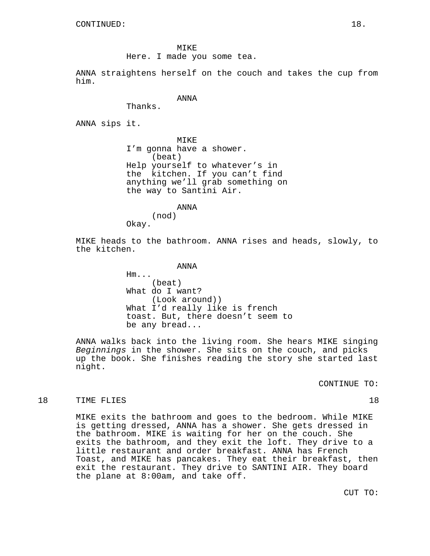MIKE Here. I made you some tea.

ANNA straightens herself on the couch and takes the cup from him.

### ANNA

Thanks.

ANNA sips it.

MIKE I'm gonna have a shower. (beat) Help yourself to whatever's in the kitchen. If you can't find anything we'll grab something on the way to Santini Air.

ANNA

(nod)

Okay.

MIKE heads to the bathroom. ANNA rises and heads, slowly, to the kitchen.

ANNA

Hm... (beat) What do I want? (Look around)) What I'd really like is french toast. But, there doesn't seem to be any bread...

ANNA walks back into the living room. She hears MIKE singing Beginnings in the shower. She sits on the couch, and picks up the book. She finishes reading the story she started last night.

CONTINUE TO:

### 18 TIME FLIES 28 20 18

MIKE exits the bathroom and goes to the bedroom. While MIKE is getting dressed, ANNA has a shower. She gets dressed in the bathroom. MIKE is waiting for her on the couch. She exits the bathroom, and they exit the loft. They drive to a little restaurant and order breakfast. ANNA has French Toast, and MIKE has pancakes. They eat their breakfast, then exit the restaurant. They drive to SANTINI AIR. They board the plane at 8:00am, and take off.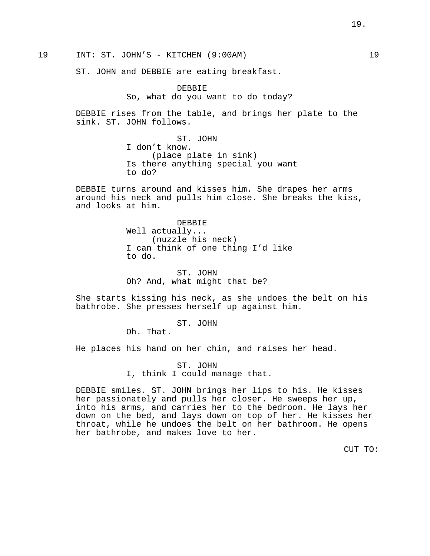19.

19 INT: ST. JOHN'S - KITCHEN (9:00AM) 19

ST. JOHN and DEBBIE are eating breakfast.

DEBBIE So, what do you want to do today?

DEBBIE rises from the table, and brings her plate to the sink. ST. JOHN follows.

> ST. JOHN I don't know. (place plate in sink) Is there anything special you want to do?

DEBBIE turns around and kisses him. She drapes her arms around his neck and pulls him close. She breaks the kiss, and looks at him.

> DEBBIE Well actually... (nuzzle his neck) I can think of one thing I'd like to do.

ST. JOHN Oh? And, what might that be?

She starts kissing his neck, as she undoes the belt on his bathrobe. She presses herself up against him.

ST. JOHN

Oh. That.

He places his hand on her chin, and raises her head.

ST. JOHN I, think I could manage that.

DEBBIE smiles. ST. JOHN brings her lips to his. He kisses her passionately and pulls her closer. He sweeps her up, into his arms, and carries her to the bedroom. He lays her down on the bed, and lays down on top of her. He kisses her throat, while he undoes the belt on her bathroom. He opens her bathrobe, and makes love to her.

CUT TO: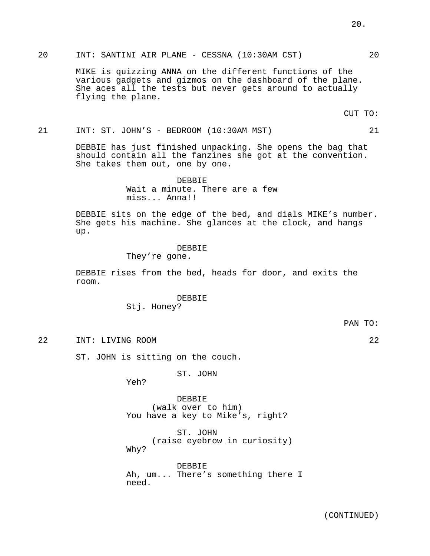MIKE is quizzing ANNA on the different functions of the

various gadgets and gizmos on the dashboard of the plane. She aces all the tests but never gets around to actually flying the plane.

20 INT: SANTINI AIR PLANE - CESSNA (10:30AM CST) 20

CUT TO:

21 INT: ST. JOHN'S - BEDROOM (10:30AM MST) 21

DEBBIE has just finished unpacking. She opens the bag that should contain all the fanzines she got at the convention. She takes them out, one by one.

> DEBBIE Wait a minute. There are a few miss... Anna!!

DEBBIE sits on the edge of the bed, and dials MIKE's number. She gets his machine. She glances at the clock, and hangs up.

#### DEBBIE

They're gone.

DEBBIE rises from the bed, heads for door, and exits the room.

> DEBBIE Stj. Honey?

22 INT: LIVING ROOM 22

ST. JOHN is sitting on the couch.

ST. JOHN

Yeh?

DEBBIE (walk over to him) You have a key to Mike's, right?

ST. JOHN (raise eyebrow in curiosity) Why?

DEBBIE Ah, um... There's something there I need.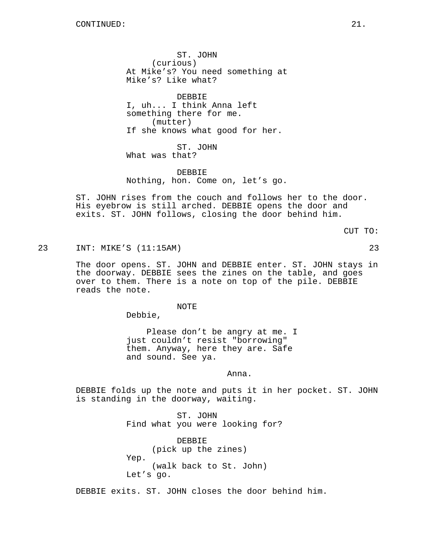ST. JOHN (curious) At Mike's? You need something at Mike's? Like what?

DEBBIE I, uh... I think Anna left something there for me. (mutter) If she knows what good for her.

ST. JOHN What was that?

DEBBIE Nothing, hon. Come on, let's go.

ST. JOHN rises from the couch and follows her to the door. His eyebrow is still arched. DEBBIE opens the door and exits. ST. JOHN follows, closing the door behind him.

CUT TO:

23 INT: MIKE'S (11:15AM) 23

The door opens. ST. JOHN and DEBBIE enter. ST. JOHN stays in the doorway. DEBBIE sees the zines on the table, and goes over to them. There is a note on top of the pile. DEBBIE reads the note.

NOTE

Debbie,

Please don't be angry at me. I just couldn't resist "borrowing" them. Anyway, here they are. Safe and sound. See ya.

Anna.

DEBBIE folds up the note and puts it in her pocket. ST. JOHN is standing in the doorway, waiting.

> ST. JOHN Find what you were looking for?

DEBBIE (pick up the zines) Yep. (walk back to St. John) Let's go.

DEBBIE exits. ST. JOHN closes the door behind him.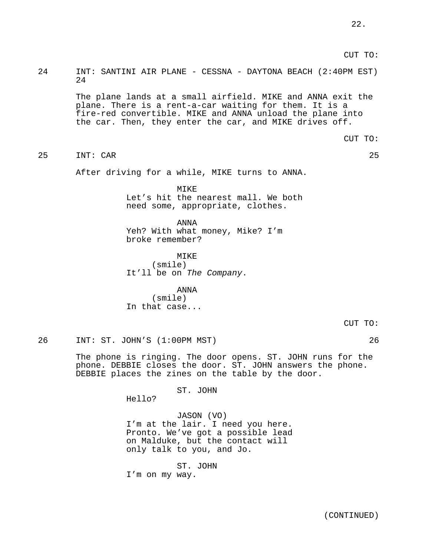#### CUT TO:

# 24 INT: SANTINI AIR PLANE - CESSNA - DAYTONA BEACH (2:40PM EST) 24

The plane lands at a small airfield. MIKE and ANNA exit the plane. There is a rent-a-car waiting for them. It is a fire-red convertible. MIKE and ANNA unload the plane into the car. Then, they enter the car, and MIKE drives off.

CUT TO:

25 INT: CAR 25

After driving for a while, MIKE turns to ANNA.

MIKE Let's hit the nearest mall. We both need some, appropriate, clothes.

ANNA Yeh? With what money, Mike? I'm broke remember?

**MTKE** (smile) It'll be on The Company.

ANNA (smile) In that case...

CUT TO:

26 INT: ST. JOHN'S (1:00PM MST) 26

The phone is ringing. The door opens. ST. JOHN runs for the phone. DEBBIE closes the door. ST. JOHN answers the phone. DEBBIE places the zines on the table by the door.

ST. JOHN

Hello?

# JASON (VO)

I'm at the lair. I need you here. Pronto. We've got a possible lead on Malduke, but the contact will only talk to you, and Jo.

ST. JOHN I'm on my way.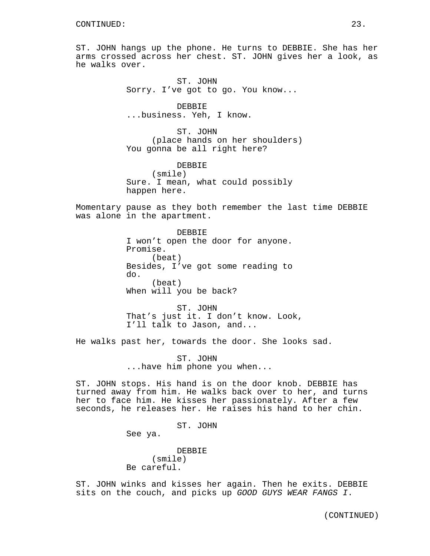ST. JOHN hangs up the phone. He turns to DEBBIE. She has her arms crossed across her chest. ST. JOHN gives her a look, as he walks over.

> ST. JOHN Sorry. I've got to go. You know...

DEBBIE ...business. Yeh, I know.

ST. JOHN (place hands on her shoulders) You gonna be all right here?

**DEBBIE** (smile) Sure. I mean, what could possibly happen here.

Momentary pause as they both remember the last time DEBBIE was alone in the apartment.

> DEBBIE I won't open the door for anyone. Promise. (beat) Besides, I've got some reading to do. (beat) When will you be back?

ST. JOHN That's just it. I don't know. Look, I'll talk to Jason, and...

He walks past her, towards the door. She looks sad.

ST. JOHN ...have him phone you when...

ST. JOHN stops. His hand is on the door knob. DEBBIE has turned away from him. He walks back over to her, and turns her to face him. He kisses her passionately. After a few seconds, he releases her. He raises his hand to her chin.

ST. JOHN

See ya.

DEBBIE (smile) Be careful.

ST. JOHN winks and kisses her again. Then he exits. DEBBIE sits on the couch, and picks up GOOD GUYS WEAR FANGS I.

(CONTINUED)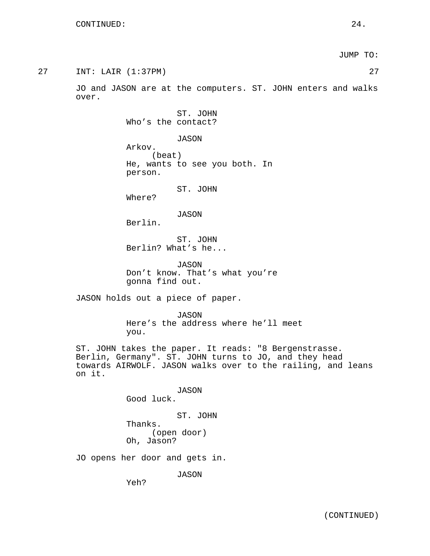JUMP TO:

| 27 | 27<br>INT: LAIR (1:37PM)                                                                                                                                                                |
|----|-----------------------------------------------------------------------------------------------------------------------------------------------------------------------------------------|
|    | JO and JASON are at the computers. ST. JOHN enters and walks<br>over.                                                                                                                   |
|    | ST. JOHN<br>Who's the contact?                                                                                                                                                          |
|    | JASON<br>Arkov.<br>(beat)<br>He, wants to see you both. In<br>person.                                                                                                                   |
|    | ST. JOHN<br>Where?                                                                                                                                                                      |
|    | JASON<br>Berlin.                                                                                                                                                                        |
|    | ST. JOHN<br>Berlin? What's he                                                                                                                                                           |
|    | <b>JASON</b><br>Don't know. That's what you're<br>gonna find out.                                                                                                                       |
|    | JASON holds out a piece of paper.                                                                                                                                                       |
|    | <b>JASON</b><br>Here's the address where he'll meet<br>you.                                                                                                                             |
|    | ST. JOHN takes the paper. It reads: "8 Bergenstrasse.<br>Berlin, Germany". ST. JOHN turns to JO, and they head<br>towards AIRWOLF. JASON walks over to the railing, and leans<br>on it. |
|    | JASON<br>Good luck.                                                                                                                                                                     |
|    | ST. JOHN<br>Thanks.<br>(open door)<br>Oh, Jason?                                                                                                                                        |
|    | JO opens her door and gets in.                                                                                                                                                          |

JASON

Yeh?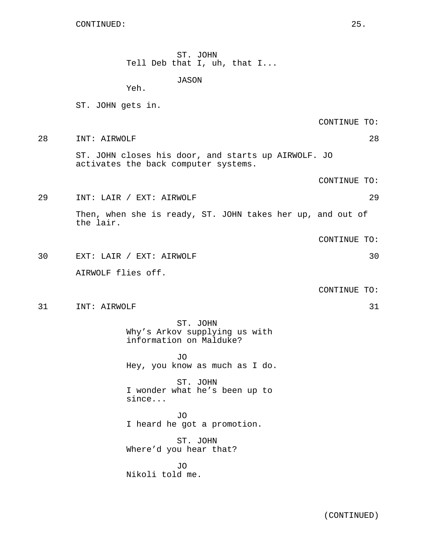CONTINUED: 25.

ST. JOHN Tell Deb that I, uh, that I...

JASON

Yeh.

ST. JOHN gets in.

CONTINUE TO:

28 INT: AIRWOLF 28 ST. JOHN closes his door, and starts up AIRWOLF. JO

activates the back computer systems.

CONTINUE TO:

29 INT: LAIR / EXT: AIRWOLF 29 Then, when she is ready, ST. JOHN takes her up, and out of the lair.

CONTINUE TO:

30 EXT: LAIR / EXT: AIRWOLF 30 AIRWOLF flies off.

CONTINUE TO:

31 INT: AIRWOLF 31

ST. JOHN Why's Arkov supplying us with information on Malduke?

JO Hey, you know as much as I do.

ST. JOHN I wonder what he's been up to since...

JO I heard he got a promotion.

ST. JOHN Where'd you hear that?

JO Nikoli told me.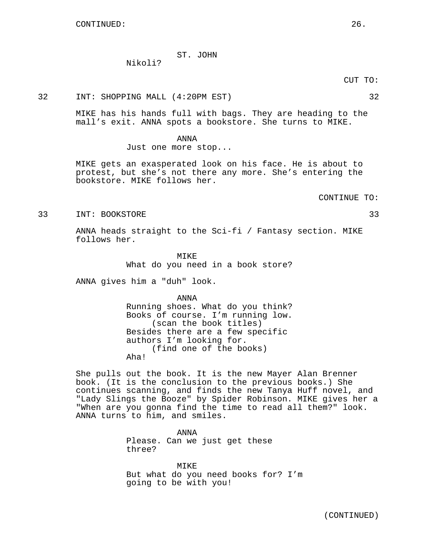# ST. JOHN

Nikoli?

32 INT: SHOPPING MALL (4:20PM EST) 32

MIKE has his hands full with bags. They are heading to the mall's exit. ANNA spots a bookstore. She turns to MIKE.

> ANNA Just one more stop...

MIKE gets an exasperated look on his face. He is about to protest, but she's not there any more. She's entering the bookstore. MIKE follows her.

CONTINUE TO:

33 INT: BOOKSTORE 33

ANNA heads straight to the Sci-fi / Fantasy section. MIKE follows her.

> MTKF. What do you need in a book store?

ANNA gives him a "duh" look.

ANNA Running shoes. What do you think? Books of course. I'm running low. (scan the book titles) Besides there are a few specific authors I'm looking for. (find one of the books) Aha!

She pulls out the book. It is the new Mayer Alan Brenner book. (It is the conclusion to the previous books.) She continues scanning, and finds the new Tanya Huff novel, and "Lady Slings the Booze" by Spider Robinson. MIKE gives her a "When are you gonna find the time to read all them?" look. ANNA turns to him, and smiles.

> ANNA Please. Can we just get these three?

MIKE But what do you need books for? I'm going to be with you!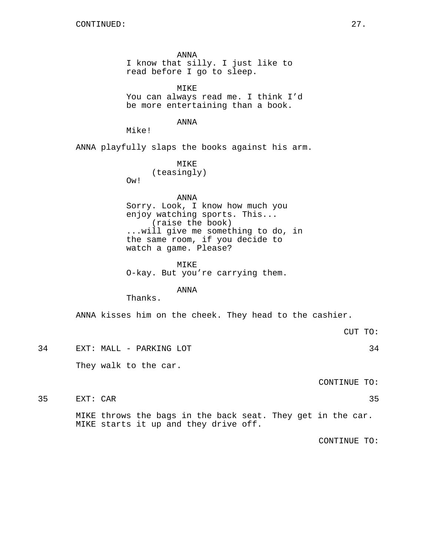ANNA I know that silly. I just like to read before I go to sleep.

MIKE You can always read me. I think I'd be more entertaining than a book.

ANNA

Mike!

ANNA playfully slaps the books against his arm.

MIKE (teasingly) Ow!

ANNA Sorry. Look, I know how much you enjoy watching sports. This... (raise the book) ...will give me something to do, in the same room, if you decide to watch a game. Please?

MIKE O-kay. But you're carrying them.

ANNA

Thanks.

ANNA kisses him on the cheek. They head to the cashier.

34 EXT: MALL - PARKING LOT 34 They walk to the car.

CONTINUE TO:

35 EXT: CAR 35

MIKE throws the bags in the back seat. They get in the car. MIKE starts it up and they drive off.

CONTINUE TO:

CUT TO: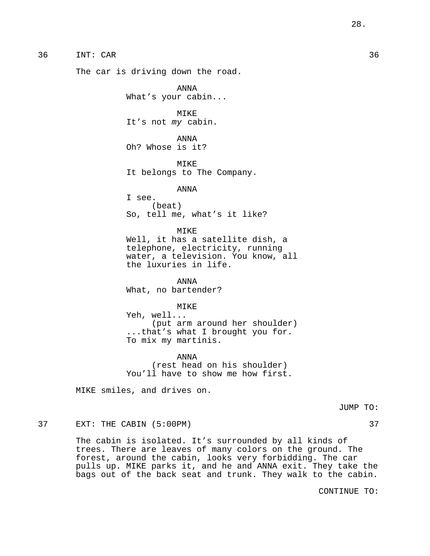# 36 INT: CAR 36

The car is driving down the road.

ANNA What's your cabin...

MIKE It's not my cabin.

ANNA Oh? Whose is it?

MIKE It belongs to The Company.

### ANNA

I see. (beat) So, tell me, what's it like?

#### MIKE

Well, it has a satellite dish, a telephone, electricity, running water, a television. You know, all the luxuries in life.

ANNA What, no bartender?

#### MIKE

Yeh, well... (put arm around her shoulder) ...that's what I brought you for. To mix my martinis.

ANNA (rest head on his shoulder) You'll have to show me how first.

MIKE smiles, and drives on.

JUMP TO:

### 37 EXT: THE CABIN (5:00PM) 37

The cabin is isolated. It's surrounded by all kinds of trees. There are leaves of many colors on the ground. The forest, around the cabin, looks very forbidding. The car pulls up. MIKE parks it, and he and ANNA exit. They take the bags out of the back seat and trunk. They walk to the cabin.

CONTINUE TO: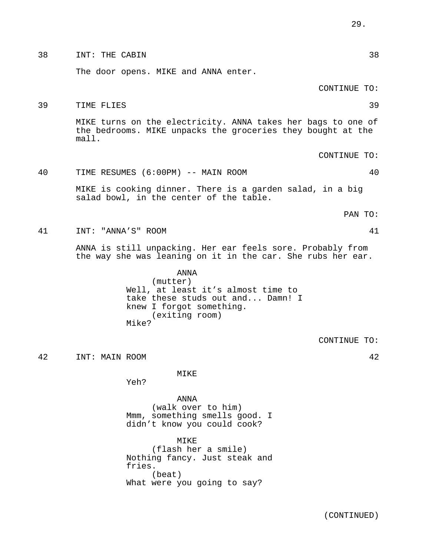38 INT: THE CABIN 38

The door opens. MIKE and ANNA enter.

CONTINUE TO:

39 TIME FLIES 39

MIKE turns on the electricity. ANNA takes her bags to one of the bedrooms. MIKE unpacks the groceries they bought at the mall.

CONTINUE TO:

# 40 TIME RESUMES (6:00PM) -- MAIN ROOM 40

MIKE is cooking dinner. There is a garden salad, in a big salad bowl, in the center of the table.

PAN TO:

41 INT: "ANNA'S" ROOM 41

ANNA is still unpacking. Her ear feels sore. Probably from the way she was leaning on it in the car. She rubs her ear.

> ANNA (mutter) Well, at least it's almost time to take these studs out and... Damn! I knew I forgot something. (exiting room) Mike?

> > CONTINUE TO:

42 INT: MAIN ROOM 42

MIKE

Yeh?

ANNA (walk over to him) Mmm, something smells good. I didn't know you could cook?

MIKE (flash her a smile) Nothing fancy. Just steak and fries. (beat) What were you going to say?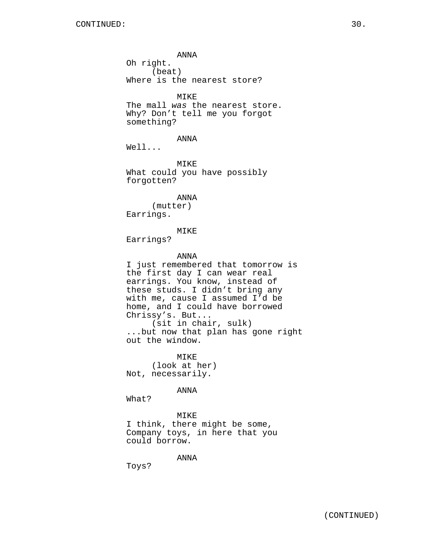ANNA Oh right. (beat) Where is the nearest store? MIKE The mall was the nearest store. Why? Don't tell me you forgot something? ANNA Well... MIKE What could you have possibly forgotten? ANNA (mutter) Earrings. MIKE Earrings? ANNA I just remembered that tomorrow is the first day I can wear real earrings. You know, instead of these studs. I didn't bring any with me, cause I assumed I'd be home, and I could have borrowed Chrissy's. But... (sit in chair, sulk) ...but now that plan has gone right out the window. MIKE (look at her) Not, necessarily.

ANNA

What?

MIKE I think, there might be some, Company toys, in here that you could borrow.

ANNA

Toys?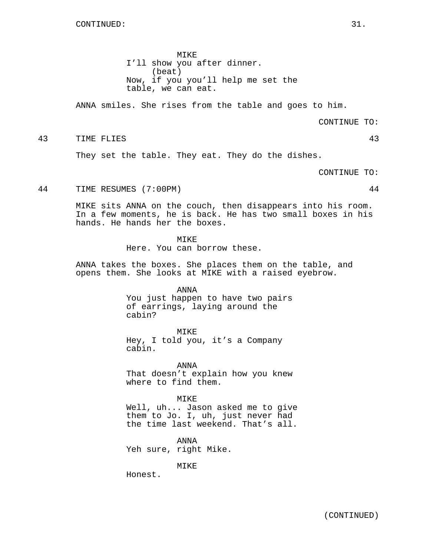MIKE I'll show you after dinner. (beat) Now, if you you'll help me set the table, we can eat.

ANNA smiles. She rises from the table and goes to him.

CONTINUE TO:

43 TIME FLIES 43

They set the table. They eat. They do the dishes.

CONTINUE TO:

44 TIME RESUMES (7:00PM) 44

MIKE sits ANNA on the couch, then disappears into his room. In a few moments, he is back. He has two small boxes in his hands. He hands her the boxes.

**MTKE** 

Here. You can borrow these.

ANNA takes the boxes. She places them on the table, and opens them. She looks at MIKE with a raised eyebrow.

ANNA

You just happen to have two pairs of earrings, laying around the cabin?

MIKE

Hey, I told you, it's a Company cabin.

ANNA That doesn't explain how you knew where to find them.

MIKE

Well, uh... Jason asked me to give them to Jo. I, uh, just never had the time last weekend. That's all.

ANNA Yeh sure, right Mike.

MIKE

Honest.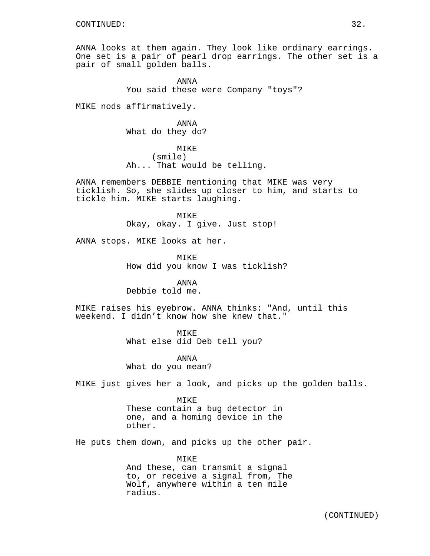ANNA looks at them again. They look like ordinary earrings. One set is a pair of pearl drop earrings. The other set is a pair of small golden balls.

> ANNA You said these were Company "toys"?

MIKE nods affirmatively.

ANNA What do they do?

MTK<sub>E</sub> (smile) Ah... That would be telling.

ANNA remembers DEBBIE mentioning that MIKE was very ticklish. So, she slides up closer to him, and starts to tickle him. MIKE starts laughing.

> MIKE Okay, okay. I give. Just stop!

ANNA stops. MIKE looks at her.

MIKE How did you know I was ticklish?

# ANNA

Debbie told me.

MIKE raises his eyebrow. ANNA thinks: "And, until this weekend. I didn't know how she knew that."

MTKF.

What else did Deb tell you?

ANNA What do you mean?

MIKE just gives her a look, and picks up the golden balls.

MIKE These contain a bug detector in one, and a homing device in the other.

He puts them down, and picks up the other pair.

MIKE And these, can transmit a signal to, or receive a signal from, The Wolf, anywhere within a ten mile radius.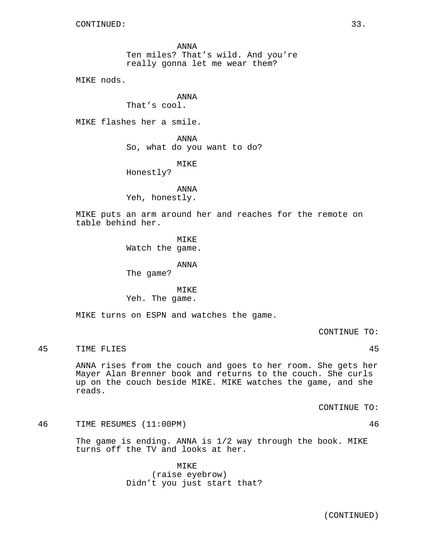ANNA Ten miles? That's wild. And you're really gonna let me wear them?

MIKE nods.

ANNA That's cool.

MIKE flashes her a smile.

ANNA So, what do you want to do?

MIKE

Honestly?

ANNA Yeh, honestly.

MIKE puts an arm around her and reaches for the remote on table behind her.

MIKE

Watch the game.

ANNA

The game?

MIKE Yeh. The game.

MIKE turns on ESPN and watches the game.

CONTINUE TO:

45 TIME FLIES 45

ANNA rises from the couch and goes to her room. She gets her Mayer Alan Brenner book and returns to the couch. She curls up on the couch beside MIKE. MIKE watches the game, and she reads.

CONTINUE TO:

46 TIME RESUMES (11:00PM) 46

The game is ending. ANNA is 1/2 way through the book. MIKE turns off the TV and looks at her.

> MIKE (raise eyebrow) Didn't you just start that?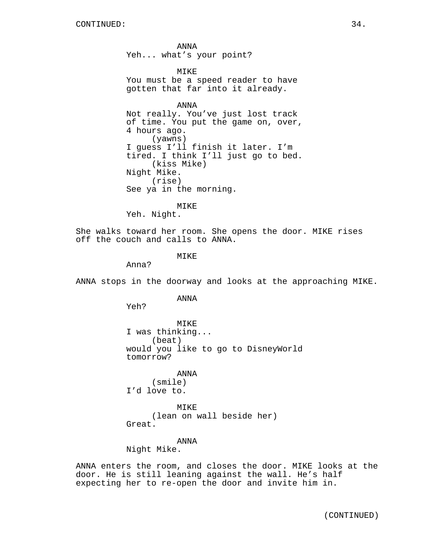ANNA Yeh... what's your point?

MIKE You must be a speed reader to have gotten that far into it already.

ANNA Not really. You've just lost track of time. You put the game on, over, 4 hours ago. (yawns) I guess I'll finish it later. I'm tired. I think I'll just go to bed. (kiss Mike) Night Mike. (rise) See ya in the morning.

MIKE

Yeh. Night.

She walks toward her room. She opens the door. MIKE rises off the couch and calls to ANNA.

**MTKE** 

Anna?

ANNA stops in the doorway and looks at the approaching MIKE.

ANNA

Yeh?

MIKE I was thinking... (beat) would you like to go to DisneyWorld tomorrow?

ANNA (smile) I'd love to.

MIKE (lean on wall beside her) Great.

# ANNA

Night Mike.

ANNA enters the room, and closes the door. MIKE looks at the door. He is still leaning against the wall. He's half expecting her to re-open the door and invite him in.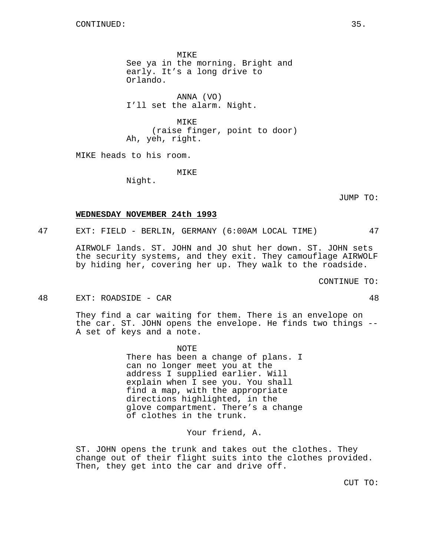MIKE See ya in the morning. Bright and early. It's a long drive to Orlando.

ANNA (VO) I'll set the alarm. Night.

MIKE (raise finger, point to door) Ah, yeh, right.

MIKE heads to his room.

MIKE

Night.

JUMP TO:

#### **WEDNESDAY NOVEMBER 24th 1993**

47 EXT: FIELD - BERLIN, GERMANY (6:00AM LOCAL TIME) 47

AIRWOLF lands. ST. JOHN and JO shut her down. ST. JOHN sets the security systems, and they exit. They camouflage AIRWOLF by hiding her, covering her up. They walk to the roadside.

CONTINUE TO:

48 EXT: ROADSIDE - CAR 48

They find a car waiting for them. There is an envelope on the car. ST. JOHN opens the envelope. He finds two things -- A set of keys and a note.

> NOTE There has been a change of plans. I can no longer meet you at the address I supplied earlier. Will explain when I see you. You shall find a map, with the appropriate directions highlighted, in the glove compartment. There's a change of clothes in the trunk.

> > Your friend, A.

ST. JOHN opens the trunk and takes out the clothes. They change out of their flight suits into the clothes provided. Then, they get into the car and drive off.

CUT TO: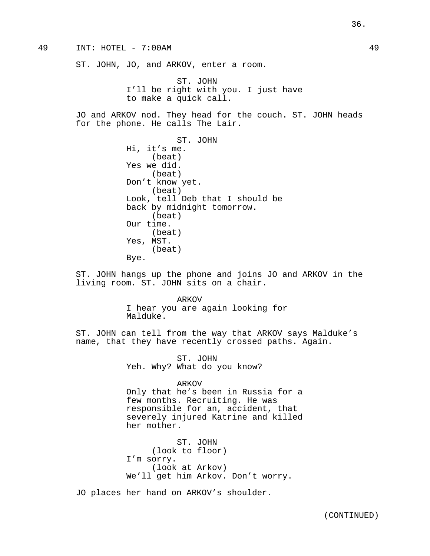ST. JOHN, JO, and ARKOV, enter a room.

ST. JOHN I'll be right with you. I just have to make a quick call.

JO and ARKOV nod. They head for the couch. ST. JOHN heads for the phone. He calls The Lair.

> ST. JOHN Hi, it's me. (beat) Yes we did. (beat) Don't know yet. (beat) Look, tell Deb that I should be back by midnight tomorrow. (beat) Our time. (beat) Yes, MST. (beat) Bye.

ST. JOHN hangs up the phone and joins JO and ARKOV in the living room. ST. JOHN sits on a chair.

> ARKOV I hear you are again looking for Malduke.

ST. JOHN can tell from the way that ARKOV says Malduke's name, that they have recently crossed paths. Again.

> ST. JOHN Yeh. Why? What do you know?

#### ARKOV

Only that he's been in Russia for a few months. Recruiting. He was responsible for an, accident, that severely injured Katrine and killed her mother.

ST. JOHN (look to floor) I'm sorry. (look at Arkov) We'll get him Arkov. Don't worry.

JO places her hand on ARKOV's shoulder.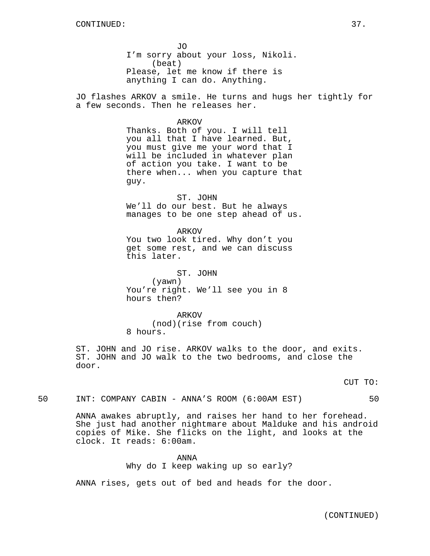JO I'm sorry about your loss, Nikoli. (beat) Please, let me know if there is anything I can do. Anything.

JO flashes ARKOV a smile. He turns and hugs her tightly for a few seconds. Then he releases her.

ARKOV

Thanks. Both of you. I will tell you all that I have learned. But, you must give me your word that I will be included in whatever plan of action you take. I want to be there when... when you capture that guy.

ST. JOHN We'll do our best. But he always manages to be one step ahead of us.

ARKOV You two look tired. Why don't you get some rest, and we can discuss this later.

ST. JOHN (yawn) You're right. We'll see you in 8 hours then?

ARKOV (nod)(rise from couch) 8 hours.

ST. JOHN and JO rise. ARKOV walks to the door, and exits. ST. JOHN and JO walk to the two bedrooms, and close the door.

CUT TO:

50 INT: COMPANY CABIN - ANNA'S ROOM (6:00AM EST) 50

ANNA awakes abruptly, and raises her hand to her forehead. She just had another nightmare about Malduke and his android copies of Mike. She flicks on the light, and looks at the clock. It reads: 6:00am.

> ANNA Why do I keep waking up so early?

ANNA rises, gets out of bed and heads for the door.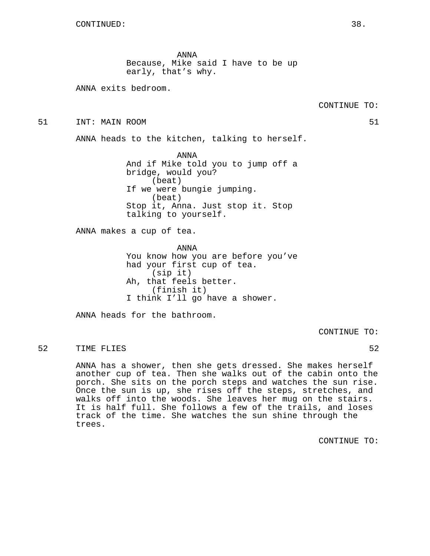ANNA Because, Mike said I have to be up early, that's why.

ANNA exits bedroom.

51 INT: MAIN ROOM 51

ANNA heads to the kitchen, talking to herself.

ANNA And if Mike told you to jump off a bridge, would you? (beat) If we were bungie jumping. (beat) Stop it, Anna. Just stop it. Stop talking to yourself.

ANNA makes a cup of tea.

ANNA You know how you are before you've had your first cup of tea. (sip it) Ah, that feels better. (finish it) I think I'll go have a shower.

ANNA heads for the bathroom.

CONTINUE TO:

52 TIME FLIES 52

ANNA has a shower, then she gets dressed. She makes herself another cup of tea. Then she walks out of the cabin onto the porch. She sits on the porch steps and watches the sun rise. Once the sun is up, she rises off the steps, stretches, and walks off into the woods. She leaves her mug on the stairs. It is half full. She follows a few of the trails, and loses track of the time. She watches the sun shine through the trees.

CONTINUE TO: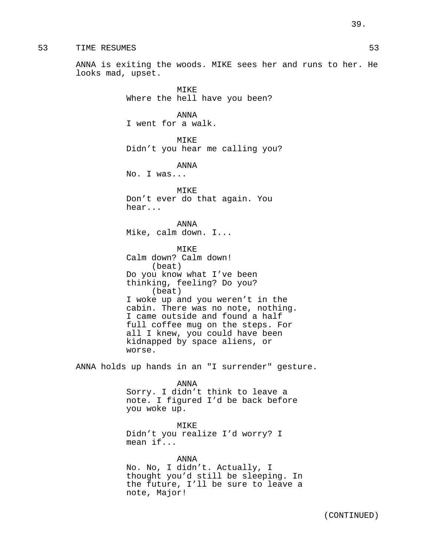53 TIME RESUMES 53

ANNA is exiting the woods. MIKE sees her and runs to her. He looks mad, upset.

> MIKE Where the hell have you been? ANNA I went for a walk. MIKE Didn't you hear me calling you? ANNA No. I was... MIKE Don't ever do that again. You hear... ANNA Mike, calm down. I... MIKE Calm down? Calm down! (beat) Do you know what I've been thinking, feeling? Do you? (beat) I woke up and you weren't in the cabin. There was no note, nothing. I came outside and found a half full coffee mug on the steps. For all I knew, you could have been kidnapped by space aliens, or worse.

ANNA holds up hands in an "I surrender" gesture.

ANNA

Sorry. I didn't think to leave a note. I figured I'd be back before you woke up.

MIKE

Didn't you realize I'd worry? I mean if...

ANNA No. No, I didn't. Actually, I thought you'd still be sleeping. In the future, I'll be sure to leave a note, Major!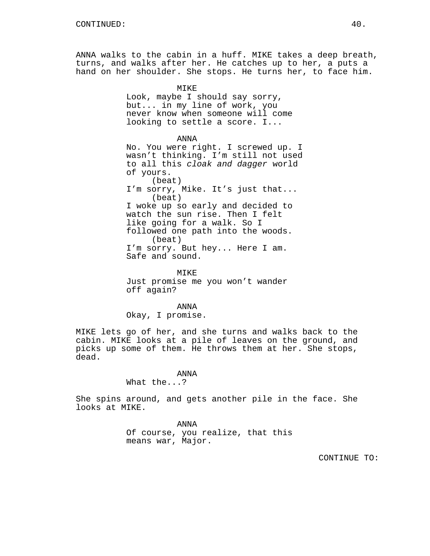ANNA walks to the cabin in a huff. MIKE takes a deep breath, turns, and walks after her. He catches up to her, a puts a hand on her shoulder. She stops. He turns her, to face him.

> MIKE Look, maybe I should say sorry, but... in my line of work, you never know when someone will come looking to settle a score. I...

> > ANNA

No. You were right. I screwed up. I wasn't thinking. I'm still not used to all this cloak and dagger world of yours. (beat) I'm sorry, Mike. It's just that... (beat) I woke up so early and decided to watch the sun rise. Then I felt like going for a walk. So I followed one path into the woods. (beat) I'm sorry. But hey... Here I am. Safe and sound.

MIKE Just promise me you won't wander off again?

ANNA Okay, I promise.

MIKE lets go of her, and she turns and walks back to the cabin. MIKE looks at a pile of leaves on the ground, and picks up some of them. He throws them at her. She stops, dead.

ANNA

What the...?

She spins around, and gets another pile in the face. She looks at MIKE.

> ANNA Of course, you realize, that this means war, Major.

> > CONTINUE TO: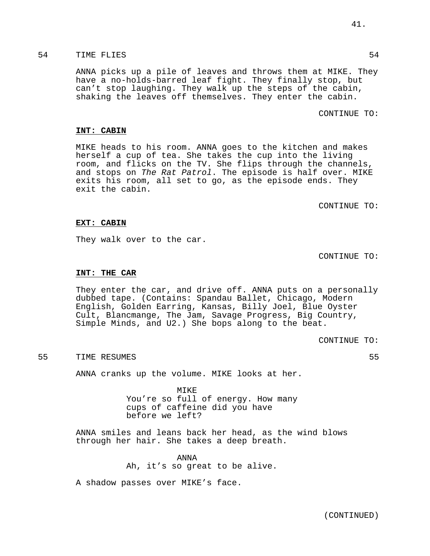# 54 TIME FLIES 54

ANNA picks up a pile of leaves and throws them at MIKE. They have a no-holds-barred leaf fight. They finally stop, but can't stop laughing. They walk up the steps of the cabin, shaking the leaves off themselves. They enter the cabin.

# CONTINUE TO:

### **INT: CABIN**

MIKE heads to his room. ANNA goes to the kitchen and makes herself a cup of tea. She takes the cup into the living room, and flicks on the TV. She flips through the channels, and stops on The Rat Patrol. The episode is half over. MIKE exits his room, all set to go, as the episode ends. They exit the cabin.

CONTINUE TO:

### **EXT: CABIN**

They walk over to the car.

CONTINUE TO:

# **INT: THE CAR**

They enter the car, and drive off. ANNA puts on a personally dubbed tape. (Contains: Spandau Ballet, Chicago, Modern English, Golden Earring, Kansas, Billy Joel, Blue Oyster Cult, Blancmange, The Jam, Savage Progress, Big Country, Simple Minds, and U2.) She bops along to the beat.

CONTINUE TO:

# 55 TIME RESUMES 55

ANNA cranks up the volume. MIKE looks at her.

MIKE You're so full of energy. How many cups of caffeine did you have before we left?

ANNA smiles and leans back her head, as the wind blows through her hair. She takes a deep breath.

> ANNA Ah, it's so great to be alive.

A shadow passes over MIKE's face.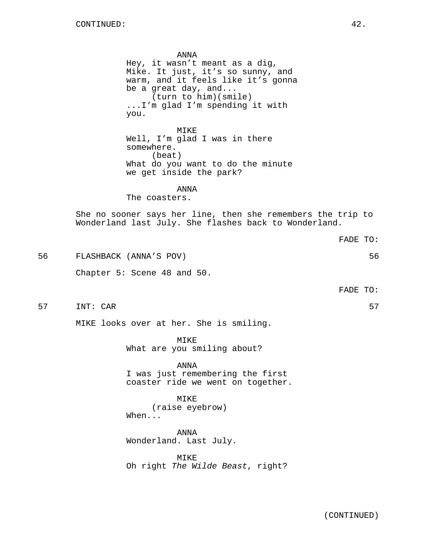ANNA Hey, it wasn't meant as a dig, Mike. It just, it's so sunny, and warm, and it feels like it's gonna be a great day, and... (turn to him)(smile) ...I'm glad I'm spending it with you. MIKE Well, I'm glad I was in there somewhere. (beat) What do you want to do the minute we get inside the park? ANNA The coasters. She no sooner says her line, then she remembers the trip to Wonderland last July. She flashes back to Wonderland. FADE TO: 56 FLASHBACK (ANNA'S POV) 56 Chapter 5: Scene 48 and 50. FADE TO: 57 INT: CAR 57 MIKE looks over at her. She is smiling. MIKE What are you smiling about?

> ANNA I was just remembering the first coaster ride we went on together.

MIKE (raise eyebrow) When...

ANNA Wonderland. Last July.

MIKE Oh right The Wilde Beast, right?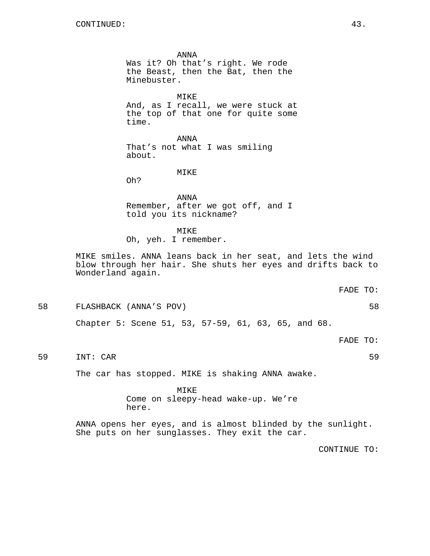ANNA Was it? Oh that's right. We rode the Beast, then the Bat, then the Minebuster. MIKE And, as I recall, we were stuck at the top of that one for quite some time. ANNA That's not what I was smiling about. MIKE Oh? ANNA Remember, after we got off, and I told you its nickname? MIKE Oh, yeh. I remember. MIKE smiles. ANNA leans back in her seat, and lets the wind blow through her hair. She shuts her eyes and drifts back to Wonderland again. FADE TO: 58 FLASHBACK (ANNA'S POV) 58 Chapter 5: Scene 51, 53, 57-59, 61, 63, 65, and 68. FADE TO: 59 INT: CAR 59

The car has stopped. MIKE is shaking ANNA awake.

MIKE Come on sleepy-head wake-up. We're here.

ANNA opens her eyes, and is almost blinded by the sunlight. She puts on her sunglasses. They exit the car.

CONTINUE TO: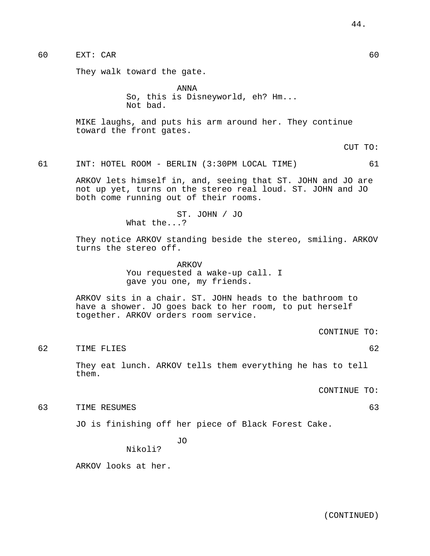# 60 EXT: CAR 60

They walk toward the gate.

ANNA So, this is Disneyworld, eh? Hm... Not bad.

MIKE laughs, and puts his arm around her. They continue toward the front gates.

CUT TO:

61 INT: HOTEL ROOM - BERLIN (3:30PM LOCAL TIME) 61

ARKOV lets himself in, and, seeing that ST. JOHN and JO are not up yet, turns on the stereo real loud. ST. JOHN and JO both come running out of their rooms.

> ST. JOHN / JO What the...?

They notice ARKOV standing beside the stereo, smiling. ARKOV turns the stereo off.

> ARKOV You requested a wake-up call. I gave you one, my friends.

ARKOV sits in a chair. ST. JOHN heads to the bathroom to have a shower. JO goes back to her room, to put herself together. ARKOV orders room service.

CONTINUE TO:

62 TIME FLIES 62

They eat lunch. ARKOV tells them everything he has to tell them.

CONTINUE TO:

63 TIME RESUMES 63

JO is finishing off her piece of Black Forest Cake.

JO Nikoli?

ARKOV looks at her.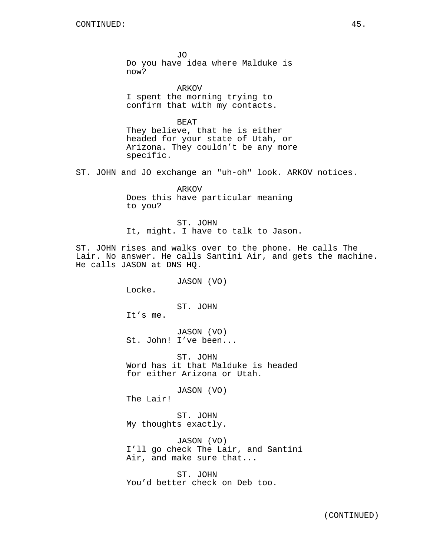JO Do you have idea where Malduke is now?

ARKOV I spent the morning trying to confirm that with my contacts.

BEAT They believe, that he is either headed for your state of Utah, or Arizona. They couldn't be any more specific.

ST. JOHN and JO exchange an "uh-oh" look. ARKOV notices.

ARKOV Does this have particular meaning to you?

ST. JOHN It, might. I have to talk to Jason.

ST. JOHN rises and walks over to the phone. He calls The Lair. No answer. He calls Santini Air, and gets the machine. He calls JASON at DNS HQ.

JASON (VO)

Locke.

ST. JOHN

It's me.

JASON (VO) St. John! I've been...

ST. JOHN Word has it that Malduke is headed for either Arizona or Utah.

JASON (VO)

The Lair!

ST. JOHN My thoughts exactly.

JASON (VO) I'll go check The Lair, and Santini Air, and make sure that...

ST. JOHN You'd better check on Deb too.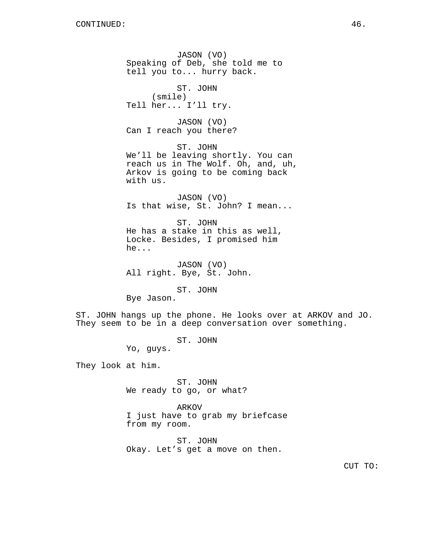JASON (VO) Speaking of Deb, she told me to tell you to... hurry back. ST. JOHN (smile) Tell her... I'll try. JASON (VO) Can I reach you there? ST. JOHN We'll be leaving shortly. You can reach us in The Wolf. Oh, and, uh, Arkov is going to be coming back with us. JASON (VO) Is that wise, St. John? I mean... ST. JOHN He has a stake in this as well, Locke. Besides, I promised him he... JASON (VO) All right. Bye, St. John. ST. JOHN

Bye Jason.

ST. JOHN hangs up the phone. He looks over at ARKOV and JO. They seem to be in a deep conversation over something.

> ST. JOHN Yo, guys.

They look at him.

ST. JOHN We ready to go, or what?

ARKOV I just have to grab my briefcase from my room.

ST. JOHN Okay. Let's get a move on then.

CUT TO: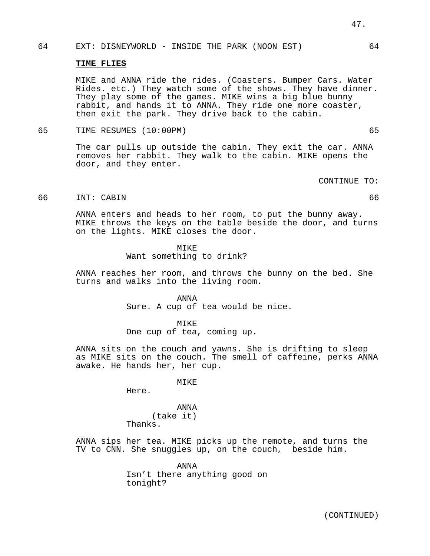# 64 EXT: DISNEYWORLD - INSIDE THE PARK (NOON EST) 64

### **TIME FLIES**

MIKE and ANNA ride the rides. (Coasters. Bumper Cars. Water Rides. etc.) They watch some of the shows. They have dinner. They play some of the games. MIKE wins a big blue bunny rabbit, and hands it to ANNA. They ride one more coaster, then exit the park. They drive back to the cabin.

65 TIME RESUMES (10:00PM) 65

The car pulls up outside the cabin. They exit the car. ANNA removes her rabbit. They walk to the cabin. MIKE opens the door, and they enter.

CONTINUE TO:

# 66 INT: CABIN 66

ANNA enters and heads to her room, to put the bunny away. MIKE throws the keys on the table beside the door, and turns on the lights. MIKE closes the door.

### MIKE

Want something to drink?

ANNA reaches her room, and throws the bunny on the bed. She turns and walks into the living room.

# ANNA

Sure. A cup of tea would be nice.

#### MIKE

One cup of tea, coming up.

ANNA sits on the couch and yawns. She is drifting to sleep as MIKE sits on the couch. The smell of caffeine, perks ANNA awake. He hands her, her cup.

**MTKE** 

Here.

ANNA (take it) Thanks.

ANNA sips her tea. MIKE picks up the remote, and turns the TV to CNN. She snuggles up, on the couch, beside him.

> ANNA Isn't there anything good on tonight?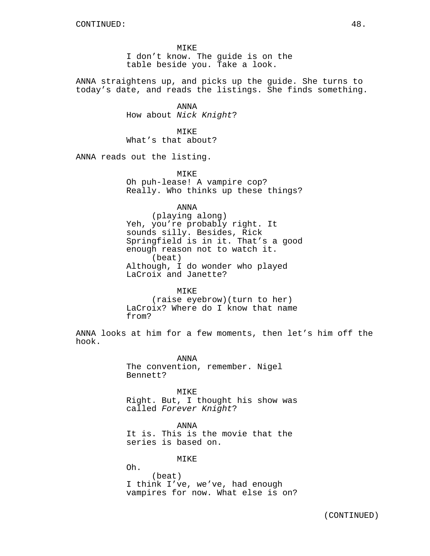MIKE I don't know. The guide is on the table beside you. Take a look.

ANNA straightens up, and picks up the guide. She turns to today's date, and reads the listings. She finds something.

> ANNA How about Nick Knight?

MIKE What's that about?

ANNA reads out the listing.

MIKE Oh puh-lease! A vampire cop? Really. Who thinks up these things?

ANNA

(playing along) Yeh, you're probably right. It sounds silly. Besides, Rick Springfield is in it. That's a good enough reason not to watch it. (beat) Although, I do wonder who played LaCroix and Janette?

MTKE<sup>1</sup> (raise eyebrow)(turn to her) LaCroix? Where do I know that name from?

ANNA looks at him for a few moments, then let's him off the hook.

> ANNA The convention, remember. Nigel Bennett?

MIKE Right. But, I thought his show was called Forever Knight?

ANNA It is. This is the movie that the series is based on.

MIKE

Oh. (beat) I think I've, we've, had enough vampires for now. What else is on?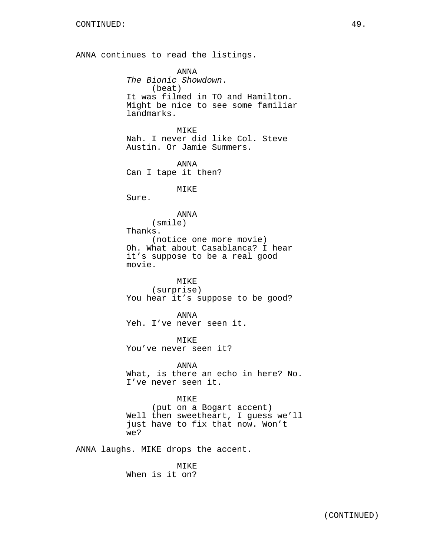ANNA continues to read the listings.

ANNA The Bionic Showdown. (beat) It was filmed in TO and Hamilton. Might be nice to see some familiar landmarks. MIKE Nah. I never did like Col. Steve Austin. Or Jamie Summers. ANNA Can I tape it then? MIKE Sure. ANNA (smile) Thanks. (notice one more movie) Oh. What about Casablanca? I hear it's suppose to be a real good movie. MIKE (surprise) You hear it's suppose to be good? ANNA Yeh. I've never seen it. MIKE You've never seen it? ANNA What, is there an echo in here? No. I've never seen it. MIKE (put on a Bogart accent) Well then sweetheart, I guess we'll just have to fix that now. Won't we? ANNA laughs. MIKE drops the accent. MIKE

When is it on?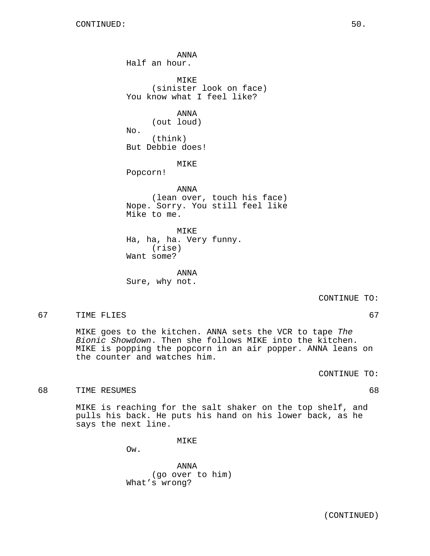ANNA Half an hour. MIKE (sinister look on face) You know what I feel like? ANNA (out loud) No. (think) But Debbie does! MIKE Popcorn! ANNA (lean over, touch his face) Nope. Sorry. You still feel like Mike to me. MIKE Ha, ha, ha. Very funny. (rise) Want some?

ANNA Sure, why not.

CONTINUE TO:

67 TIME FLIES 67

MIKE goes to the kitchen. ANNA sets the VCR to tape The Bionic Showdown. Then she follows MIKE into the kitchen. MIKE is popping the popcorn in an air popper. ANNA leans on the counter and watches him.

CONTINUE TO:

68 TIME RESUMES 68

MIKE is reaching for the salt shaker on the top shelf, and pulls his back. He puts his hand on his lower back, as he says the next line.

MIKE

Ow.

ANNA (go over to him) What's wrong?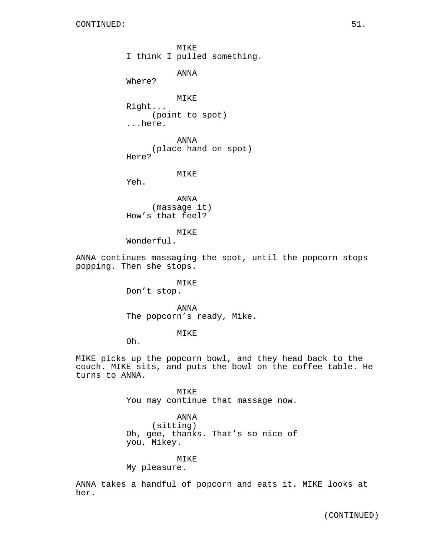MIKE I think I pulled something.

ANNA

Where?

MIKE Right... (point to spot) ...here.

ANNA (place hand on spot) Here?

# MIKE

Yeh.

ANNA (massage it) How's that feel?

MIKE

Wonderful.

ANNA continues massaging the spot, until the popcorn stops popping. Then she stops.

> MIKE Don't stop.

ANNA The popcorn's ready, Mike.

MIKE

Oh.

MIKE picks up the popcorn bowl, and they head back to the couch. MIKE sits, and puts the bowl on the coffee table. He turns to ANNA.

> MIKE You may continue that massage now.

ANNA (sitting) Oh, gee, thanks. That's so nice of you, Mikey.

MIKE

My pleasure.

ANNA takes a handful of popcorn and eats it. MIKE looks at her.

(CONTINUED)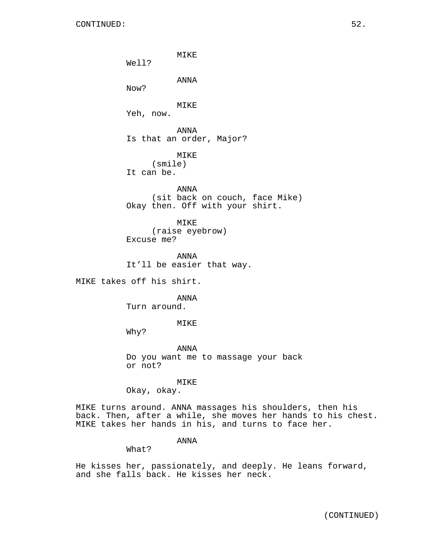MIKE Well? ANNA Now? MIKE Yeh, now. ANNA Is that an order, Major? MIKE (smile) It can be. ANNA (sit back on couch, face Mike) Okay then. Off with your shirt. MIKE (raise eyebrow) Excuse me? ANNA It'll be easier that way. MIKE takes off his shirt. ANNA Turn around. MIKE Why? ANNA Do you want me to massage your back or not?

MIKE

Okay, okay.

MIKE turns around. ANNA massages his shoulders, then his back. Then, after a while, she moves her hands to his chest. MIKE takes her hands in his, and turns to face her.

ANNA

What?

He kisses her, passionately, and deeply. He leans forward, and she falls back. He kisses her neck.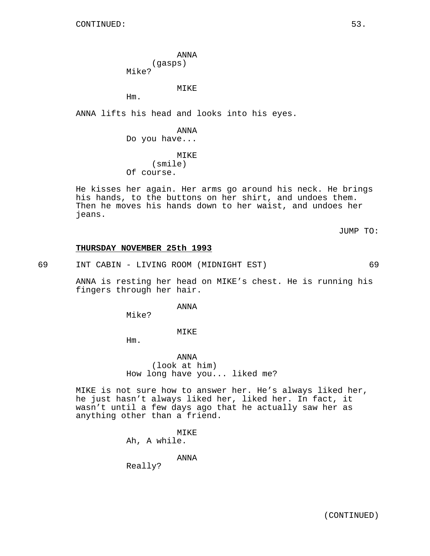ANNA (gasps) Mike?

MIKE

Hm.

ANNA lifts his head and looks into his eyes.

ANNA Do you have... MIKE (smile) Of course.

He kisses her again. Her arms go around his neck. He brings his hands, to the buttons on her shirt, and undoes them. Then he moves his hands down to her waist, and undoes her jeans.

JUMP TO:

#### **THURSDAY NOVEMBER 25th 1993**

69 INT CABIN - LIVING ROOM (MIDNIGHT EST) 69

ANNA is resting her head on MIKE's chest. He is running his fingers through her hair.

ANNA

Mike?

MIKE

Hm.

ANNA (look at him) How long have you... liked me?

MIKE is not sure how to answer her. He's always liked her, he just hasn't always liked her, liked her. In fact, it wasn't until a few days ago that he actually saw her as anything other than a friend.

> MIKE Ah, A while.

> > ANNA

Really?

(CONTINUED)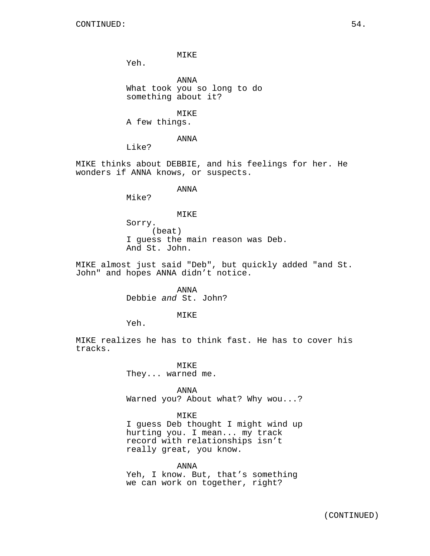MIKE

Yeh.

ANNA What took you so long to do something about it?

MIKE A few things.

ANNA

Like?

MIKE thinks about DEBBIE, and his feelings for her. He wonders if ANNA knows, or suspects.

# ANNA

Mike?

#### MIKE

Sorry. (beat) I guess the main reason was Deb. And St. John.

MIKE almost just said "Deb", but quickly added "and St. John" and hopes ANNA didn't notice.

> ANNA Debbie and St. John?

# MIKE

Yeh.

MIKE realizes he has to think fast. He has to cover his tracks.

> MIKE They... warned me.

ANNA Warned you? About what? Why wou...?

# MIKE

I guess Deb thought I might wind up hurting you. I mean... my track record with relationships isn't really great, you know.

ANNA Yeh, I know. But, that's something we can work on together, right?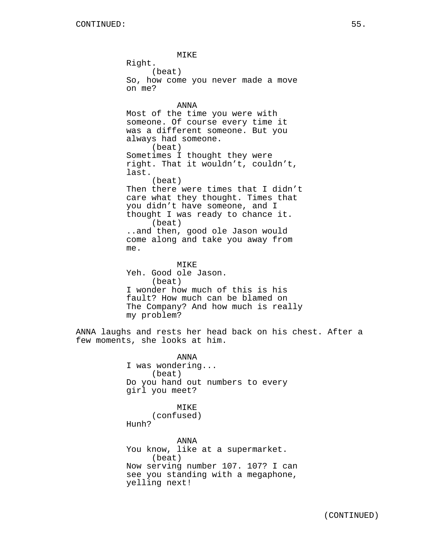MIKE Right. (beat) So, how come you never made a move on me? ANNA Most of the time you were with someone. Of course every time it was a different someone. But you always had someone. (beat) Sometimes I thought they were right. That it wouldn't, couldn't, last. (beat) Then there were times that I didn't care what they thought. Times that you didn't have someone, and I thought I was ready to chance it. (beat) ..and then, good ole Jason would come along and take you away from me. MIKE Yeh. Good ole Jason. (beat) I wonder how much of this is his fault? How much can be blamed on The Company? And how much is really my problem? ANNA laughs and rests her head back on his chest. After a few moments, she looks at him. ANNA I was wondering... (beat) Do you hand out numbers to every girl you meet? MIKE (confused) Hunh? ANNA You know, like at a supermarket. (beat) Now serving number 107. 107? I can see you standing with a megaphone, yelling next!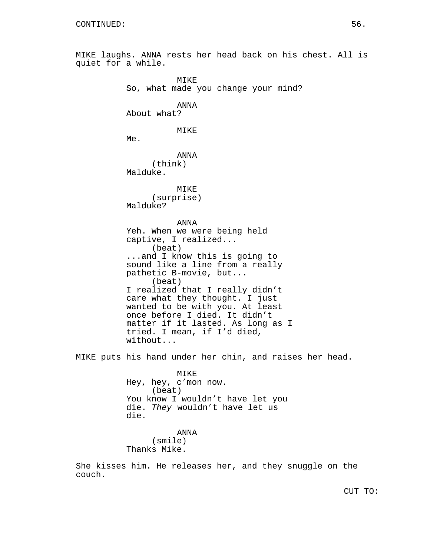MIKE laughs. ANNA rests her head back on his chest. All is quiet for a while. MIKE So, what made you change your mind? ANNA About what? MIKE Me. ANNA (think) Malduke. MIKE (surprise) Malduke? ANNA Yeh. When we were being held captive, I realized... (beat) ...and I know this is going to sound like a line from a really pathetic B-movie, but... (beat) I realized that I really didn't care what they thought. I just wanted to be with you. At least once before I died. It didn't matter if it lasted. As long as I tried. I mean, if I'd died, without... MIKE puts his hand under her chin, and raises her head. MIKE Hey, hey, c'mon now. (beat) You know I wouldn't have let you

die. They wouldn't have let us die.

ANNA (smile) Thanks Mike.

She kisses him. He releases her, and they snuggle on the couch.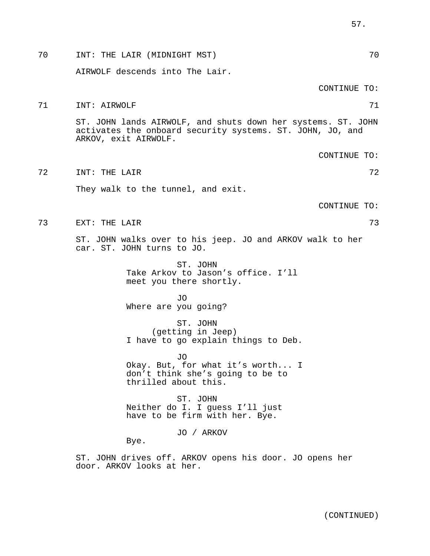| 70 | INT: THE LAIR (MIDNIGHT MST)                                                                                                                      | 70           |
|----|---------------------------------------------------------------------------------------------------------------------------------------------------|--------------|
|    | AIRWOLF descends into The Lair.                                                                                                                   |              |
|    |                                                                                                                                                   | CONTINUE TO: |
| 71 | INT: AIRWOLF                                                                                                                                      | 71           |
|    | ST. JOHN lands AIRWOLF, and shuts down her systems. ST. JOHN<br>activates the onboard security systems. ST. JOHN, JO, and<br>ARKOV, exit AIRWOLF. |              |
|    |                                                                                                                                                   | CONTINUE TO: |
| 72 | INT: THE LAIR                                                                                                                                     | 72           |
|    | They walk to the tunnel, and exit.                                                                                                                |              |
|    |                                                                                                                                                   | CONTINUE TO: |
| 73 | EXT: THE LAIR                                                                                                                                     | 73           |
|    | ST. JOHN walks over to his jeep. JO and ARKOV walk to her<br>car. ST. JOHN turns to JO.                                                           |              |
|    | ST. JOHN<br>Take Arkov to Jason's office. I'll<br>meet you there shortly.                                                                         |              |
|    | JO<br>Where are you going?                                                                                                                        |              |
|    | ST. JOHN<br>(getting in Jeep)<br>I have to go explain things to Deb.                                                                              |              |
|    | .TO<br>Okay. But, for what it's worth I<br>don't think she's going to be to<br>thrilled about this.                                               |              |
|    | ST. JOHN<br>Neither do I. I guess I'll just<br>have to be firm with her. Bye.                                                                     |              |
|    | JO / ARKOV<br>Bye.                                                                                                                                |              |
|    | ST. JOHN drives off. ARKOV opens his door. JO opens her                                                                                           |              |

door. ARKOV looks at her.

(CONTINUED)

57.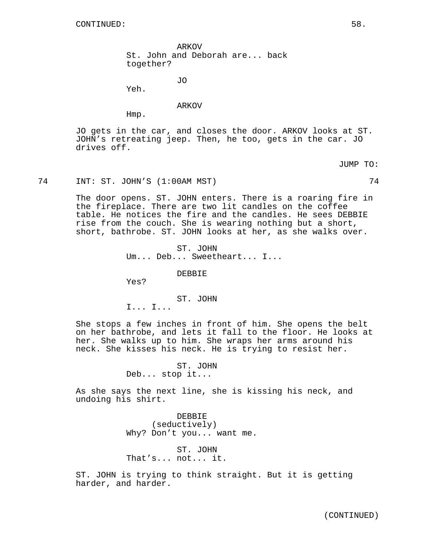ARKOV St. John and Deborah are... back together?

JO

Yeh.

# ARKOV

Hmp.

JO gets in the car, and closes the door. ARKOV looks at ST. JOHN's retreating jeep. Then, he too, gets in the car. JO drives off.

JUMP TO:

# 74 INT: ST. JOHN'S (1:00AM MST) 74

The door opens. ST. JOHN enters. There is a roaring fire in the fireplace. There are two lit candles on the coffee table. He notices the fire and the candles. He sees DEBBIE rise from the couch. She is wearing nothing but a short, short, bathrobe. ST. JOHN looks at her, as she walks over.

> ST. JOHN Um... Deb... Sweetheart... I...

> > DEBBIE

Yes?

ST. JOHN

I... I...

She stops a few inches in front of him. She opens the belt on her bathrobe, and lets it fall to the floor. He looks at her. She walks up to him. She wraps her arms around his neck. She kisses his neck. He is trying to resist her.

> ST. JOHN Deb... stop it...

As she says the next line, she is kissing his neck, and undoing his shirt.

> DEBBIE (seductively) Why? Don't you... want me.

ST. JOHN That's... not... it.

ST. JOHN is trying to think straight. But it is getting harder, and harder.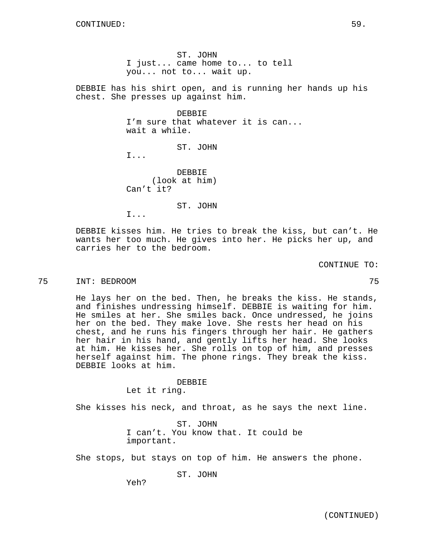ST. JOHN I just... came home to... to tell you... not to... wait up.

DEBBIE has his shirt open, and is running her hands up his chest. She presses up against him.

> DEBBIE I'm sure that whatever it is can... wait a while.

> > ST. JOHN

I...

DEBBIE (look at him) Can't it?

ST. JOHN

I...

DEBBIE kisses him. He tries to break the kiss, but can't. He wants her too much. He gives into her. He picks her up, and carries her to the bedroom.

CONTINUE TO:

# 75 INT: BEDROOM 75

He lays her on the bed. Then, he breaks the kiss. He stands, and finishes undressing himself. DEBBIE is waiting for him. He smiles at her. She smiles back. Once undressed, he joins her on the bed. They make love. She rests her head on his chest, and he runs his fingers through her hair. He gathers her hair in his hand, and gently lifts her head. She looks at him. He kisses her. She rolls on top of him, and presses herself against him. The phone rings. They break the kiss. DEBBIE looks at him.

# DEBBIE

Let it ring.

She kisses his neck, and throat, as he says the next line.

ST. JOHN I can't. You know that. It could be important.

She stops, but stays on top of him. He answers the phone.

ST. JOHN

Yeh?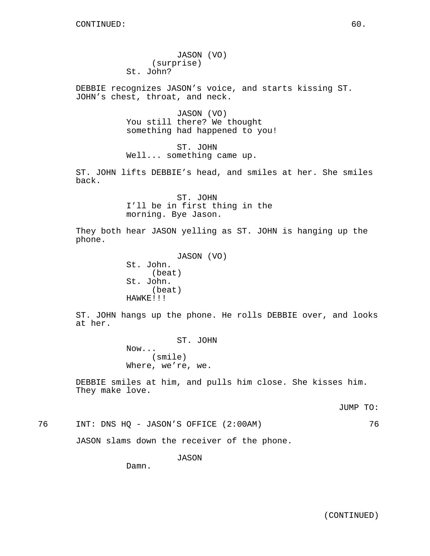JASON (VO) (surprise) St. John?

DEBBIE recognizes JASON's voice, and starts kissing ST. JOHN's chest, throat, and neck.

> JASON (VO) You still there? We thought something had happened to you!

ST. JOHN Well... something came up.

ST. JOHN lifts DEBBIE's head, and smiles at her. She smiles back.

> ST. JOHN I'll be in first thing in the morning. Bye Jason.

They both hear JASON yelling as ST. JOHN is hanging up the phone.

> JASON (VO) St. John. (beat) St. John. (beat) HAWKE!!!

ST. JOHN hangs up the phone. He rolls DEBBIE over, and looks at her.

> ST. JOHN Now... (smile) Where, we're, we.

DEBBIE smiles at him, and pulls him close. She kisses him. They make love.

JUMP TO:

76 INT: DNS HQ - JASON'S OFFICE (2:00AM) 76

JASON slams down the receiver of the phone.

JASON

Damn.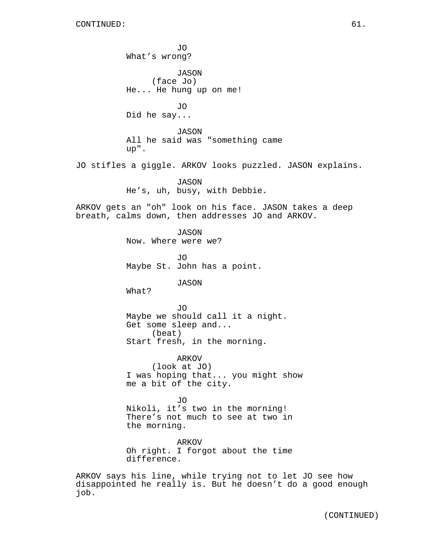job.

JO What's wrong? JASON (face Jo) He... He hung up on me! JO Did he say... JASON All he said was "something came up". JO stifles a giggle. ARKOV looks puzzled. JASON explains. JASON He's, uh, busy, with Debbie. ARKOV gets an "oh" look on his face. JASON takes a deep breath, calms down, then addresses JO and ARKOV. JASON Now. Where were we? JO Maybe St. John has a point. JASON What? JO Maybe we should call it a night. Get some sleep and... (beat) Start fresh, in the morning. ARKOV (look at JO) I was hoping that... you might show me a bit of the city. JO Nikoli, it's two in the morning! There's not much to see at two in the morning. ARKOV Oh right. I forgot about the time difference. ARKOV says his line, while trying not to let JO see how disappointed he really is. But he doesn't do a good enough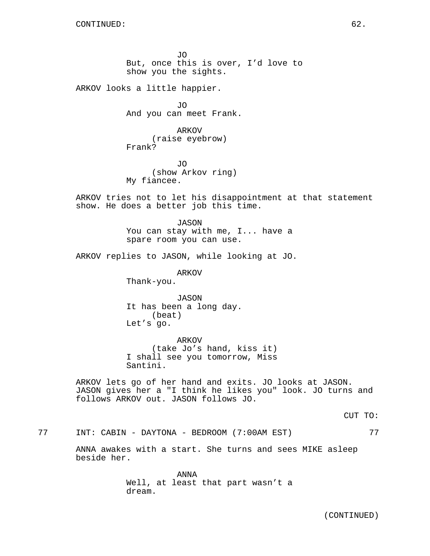JO But, once this is over, I'd love to show you the sights.

ARKOV looks a little happier.

JO And you can meet Frank.

ARKOV (raise eyebrow) Frank?

JO (show Arkov ring) My fiancee.

ARKOV tries not to let his disappointment at that statement show. He does a better job this time.

> JASON You can stay with me, I... have a spare room you can use.

ARKOV replies to JASON, while looking at JO.

ARKOV

Thank-you.

JASON It has been a long day. (beat) Let's go.

ARKOV (take Jo's hand, kiss it) I shall see you tomorrow, Miss Santini.

ARKOV lets go of her hand and exits. JO looks at JASON. JASON gives her a "I think he likes you" look. JO turns and follows ARKOV out. JASON follows JO.

CUT TO:

77 INT: CABIN - DAYTONA - BEDROOM (7:00AM EST) 77

ANNA awakes with a start. She turns and sees MIKE asleep beside her.

> ANNA Well, at least that part wasn't a dream.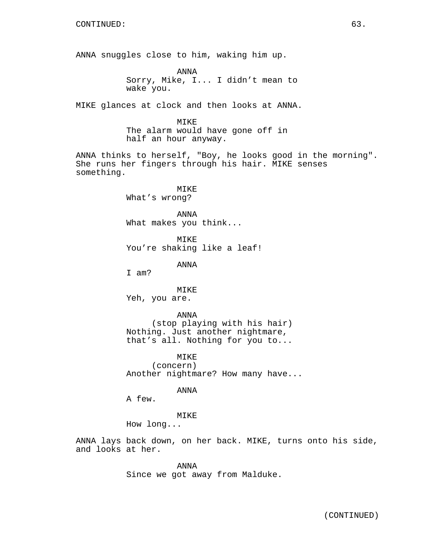ANNA snuggles close to him, waking him up.

ANNA Sorry, Mike, I... I didn't mean to wake you.

MIKE glances at clock and then looks at ANNA.

MIKE The alarm would have gone off in half an hour anyway.

ANNA thinks to herself, "Boy, he looks good in the morning". She runs her fingers through his hair. MIKE senses something.

> MIKE What's wrong?

ANNA What makes you think...

MIKE You're shaking like a leaf!

ANNA

I am?

MIKE Yeh, you are.

ANNA (stop playing with his hair) Nothing. Just another nightmare, that's all. Nothing for you to...

MIKE (concern) Another nightmare? How many have...

ANNA

A few.

MIKE

How long...

ANNA lays back down, on her back. MIKE, turns onto his side, and looks at her.

> ANNA Since we got away from Malduke.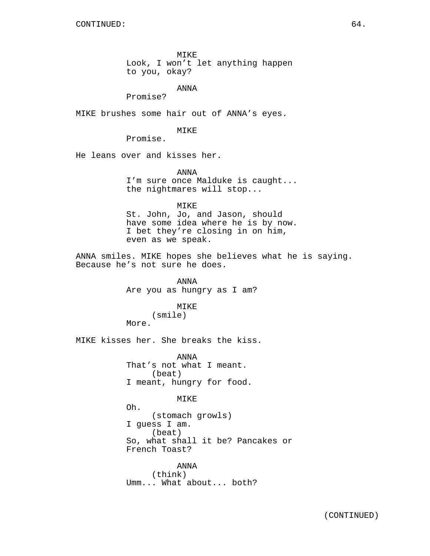MIKE Look, I won't let anything happen to you, okay?

ANNA

Promise?

MIKE brushes some hair out of ANNA's eyes.

MIKE

Promise.

He leans over and kisses her.

ANNA I'm sure once Malduke is caught... the nightmares will stop...

MIKE

St. John, Jo, and Jason, should have some idea where he is by now. I bet they're closing in on him, even as we speak.

ANNA smiles. MIKE hopes she believes what he is saying. Because he's not sure he does.

> ANNA Are you as hungry as I am?

# MIKE

# (smile)

More.

MIKE kisses her. She breaks the kiss.

ANNA That's not what I meant. (beat) I meant, hungry for food.

MIKE

Oh. (stomach growls) I guess I am. (beat) So, what shall it be? Pancakes or French Toast?

ANNA (think) Umm... What about... both?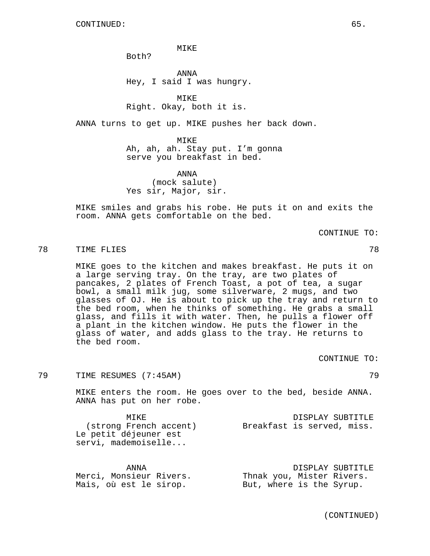MIKE

Both?

ANNA Hey, I said I was hungry.

**MTKE** Right. Okay, both it is.

ANNA turns to get up. MIKE pushes her back down.

MIKE Ah, ah, ah. Stay put. I'm gonna serve you breakfast in bed.

ANNA (mock salute) Yes sir, Major, sir.

MIKE smiles and grabs his robe. He puts it on and exits the room. ANNA gets comfortable on the bed.

CONTINUE TO:

# 78 TIME FLIES 78

MIKE goes to the kitchen and makes breakfast. He puts it on a large serving tray. On the tray, are two plates of pancakes, 2 plates of French Toast, a pot of tea, a sugar bowl, a small milk jug, some silverware, 2 mugs, and two glasses of OJ. He is about to pick up the tray and return to the bed room, when he thinks of something. He grabs a small glass, and fills it with water. Then, he pulls a flower off a plant in the kitchen window. He puts the flower in the glass of water, and adds glass to the tray. He returns to the bed room.

CONTINUE TO:

79 TIME RESUMES (7:45AM) 79

MIKE enters the room. He goes over to the bed, beside ANNA. ANNA has put on her robe.

MIKE (strong French accent) Le petit déjeuner est servi, mademoiselle... DISPLAY SUBTITLE Breakfast is served, miss.

| ANNA                    |                           | DISPLAY SUBTITLE |
|-------------------------|---------------------------|------------------|
| Merci, Monsieur Rivers. | Thnak you, Mister Rivers. |                  |
| Mais, où est le sirop.  | But, where is the Syrup.  |                  |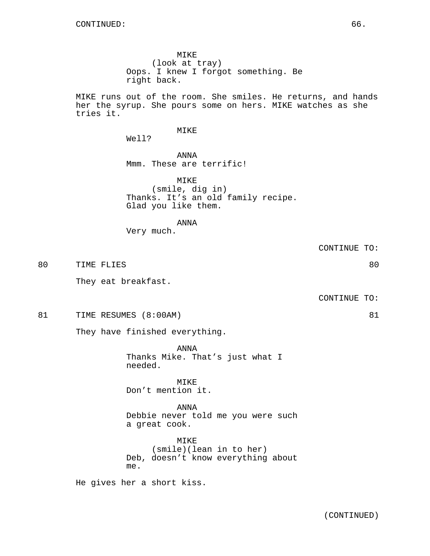MIKE runs out of the room. She smiles. He returns, and hands her the syrup. She pours some on hers. MIKE watches as she tries it.

# MIKE

Well?

ANNA Mmm. These are terrific!

MIKE (smile, dig in) Thanks. It's an old family recipe. Glad you like them.

ANNA

Very much.

CONTINUE TO:

80 TIME FLIES 80

They eat breakfast.

CONTINUE TO:

81 TIME RESUMES (8:00AM) 81

They have finished everything.

ANNA Thanks Mike. That's just what I needed.

MTK<sub>E</sub> Don't mention it.

ANNA Debbie never told me you were such a great cook.

MIKE (smile)(lean in to her) Deb, doesn't know everything about me.

He gives her a short kiss.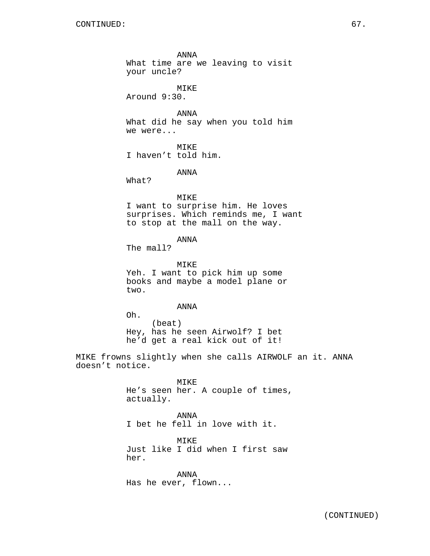ANNA What time are we leaving to visit your uncle? MIKE Around 9:30. ANNA What did he say when you told him we were... MIKE I haven't told him. ANNA What? MIKE I want to surprise him. He loves surprises. Which reminds me, I want to stop at the mall on the way. ANNA The mall? MIKE Yeh. I want to pick him up some books and maybe a model plane or two. ANNA Oh. (beat) Hey, has he seen Airwolf? I bet he'd get a real kick out of it! MIKE frowns slightly when she calls AIRWOLF an it. ANNA doesn't notice. MIKE He's seen her. A couple of times, actually. ANNA I bet he fell in love with it. MIKE

Just like I did when I first saw her.

ANNA Has he ever, flown...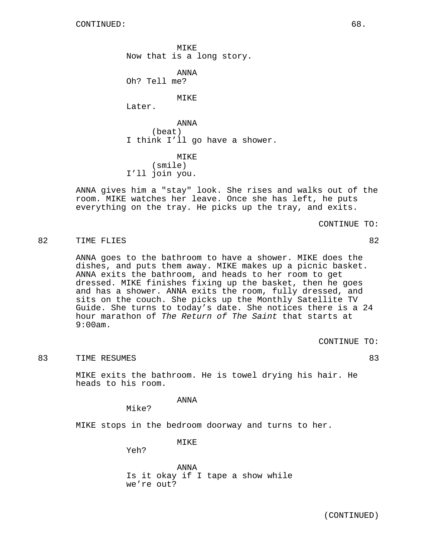MIKE Now that is a long story.

ANNA Oh? Tell me?

MTKE<sup>®</sup>

Later.

ANNA (beat) I think I'll go have a shower.

MIKE (smile) I'll join you.

ANNA gives him a "stay" look. She rises and walks out of the room. MIKE watches her leave. Once she has left, he puts everything on the tray. He picks up the tray, and exits.

CONTINUE TO:

# 82 TIME FLIES 82

ANNA goes to the bathroom to have a shower. MIKE does the dishes, and puts them away. MIKE makes up a picnic basket. ANNA exits the bathroom, and heads to her room to get dressed. MIKE finishes fixing up the basket, then he goes and has a shower. ANNA exits the room, fully dressed, and sits on the couch. She picks up the Monthly Satellite TV Guide. She turns to today's date. She notices there is a 24 hour marathon of The Return of The Saint that starts at 9:00am.

CONTINUE TO:

# 83 TIME RESUMES 83 83

MIKE exits the bathroom. He is towel drying his hair. He heads to his room.

ANNA

Mike?

MIKE stops in the bedroom doorway and turns to her.

MIKE

Yeh?

ANNA Is it okay if I tape a show while we're out?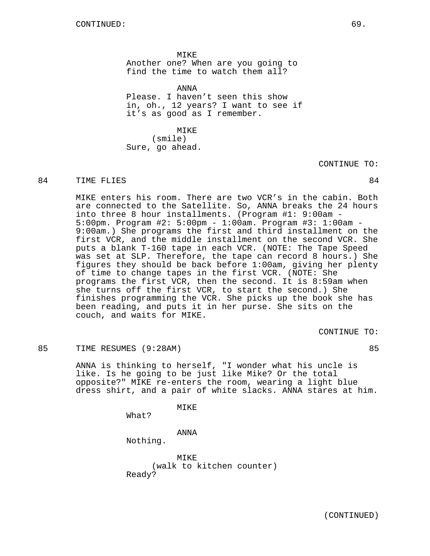MIKE Another one? When are you going to find the time to watch them all?

ANNA Please. I haven't seen this show in, oh., 12 years? I want to see if it's as good as I remember.

MIKE

(smile) Sure, go ahead.

CONTINUE TO:

# 84 TIME FLIES 84

MIKE enters his room. There are two VCR's in the cabin. Both are connected to the Satellite. So, ANNA breaks the 24 hours into three 8 hour installments. (Program #1: 9:00am - 5:00pm. Program #2: 5:00pm - 1:00am. Program #3: 1:00am - 9:00am.) She programs the first and third installment on the first VCR, and the middle installment on the second VCR. She puts a blank T-160 tape in each VCR. (NOTE: The Tape Speed was set at SLP. Therefore, the tape can record 8 hours.) She figures they should be back before 1:00am, giving her plenty of time to change tapes in the first VCR. (NOTE: She programs the first VCR, then the second. It is 8:59am when she turns off the first VCR, to start the second.) She finishes programming the VCR. She picks up the book she has been reading, and puts it in her purse. She sits on the couch, and waits for MIKE.

CONTINUE TO:

# 85 TIME RESUMES (9:28AM) 85

ANNA is thinking to herself, "I wonder what his uncle is like. Is he going to be just like Mike? Or the total opposite?" MIKE re-enters the room, wearing a light blue dress shirt, and a pair of white slacks. ANNA stares at him.

MIKE

What?

ANNA

Nothing.

MTK<sub>E</sub> (walk to kitchen counter) Ready?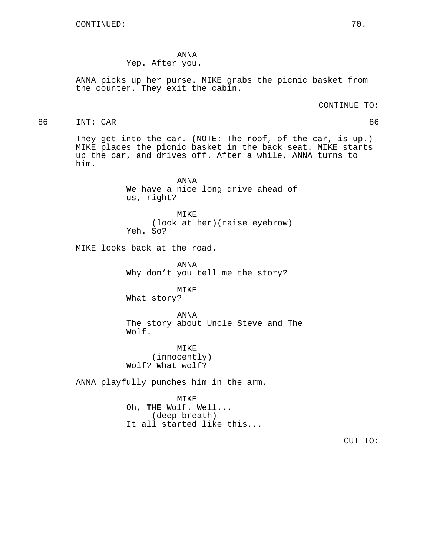ANNA Yep. After you.

ANNA picks up her purse. MIKE grabs the picnic basket from the counter. They exit the cabin.

86 INT: CAR 86

They get into the car. (NOTE: The roof, of the car, is up.) MIKE places the picnic basket in the back seat. MIKE starts up the car, and drives off. After a while, ANNA turns to him.

> ANNA We have a nice long drive ahead of us, right?

MIKE (look at her)(raise eyebrow) Yeh. So?

MIKE looks back at the road.

ANNA Why don't you tell me the story?

MIKE What story?

ANNA The story about Uncle Steve and The Wolf.

MIKE (innocently) Wolf? What wolf?

ANNA playfully punches him in the arm.

MIKE Oh, **THE** Wolf. Well... (deep breath) It all started like this...

CUT TO: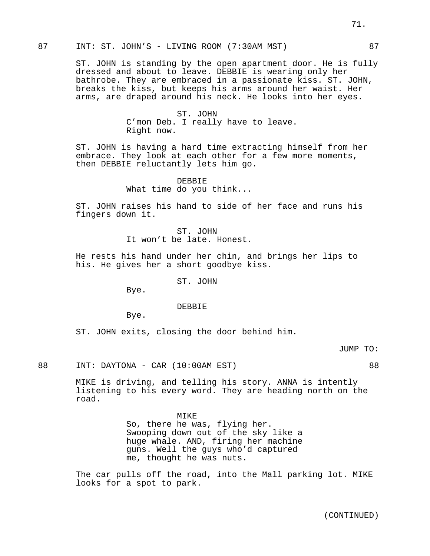# 87 INT: ST. JOHN'S - LIVING ROOM (7:30AM MST) 87

ST. JOHN is standing by the open apartment door. He is fully dressed and about to leave. DEBBIE is wearing only her bathrobe. They are embraced in a passionate kiss. ST. JOHN, breaks the kiss, but keeps his arms around her waist. Her arms, are draped around his neck. He looks into her eyes.

> ST. JOHN C'mon Deb. I really have to leave. Right now.

ST. JOHN is having a hard time extracting himself from her embrace. They look at each other for a few more moments, then DEBBIE reluctantly lets him go.

> DEBBIE What time do you think...

ST. JOHN raises his hand to side of her face and runs his fingers down it.

> ST. JOHN It won't be late. Honest.

He rests his hand under her chin, and brings her lips to his. He gives her a short goodbye kiss.

ST. JOHN

Bye.

DEBBIE

Bye.

ST. JOHN exits, closing the door behind him.

JUMP TO:

88 INT: DAYTONA - CAR (10:00AM EST) 88

MIKE is driving, and telling his story. ANNA is intently listening to his every word. They are heading north on the road.

> MIKE So, there he was, flying her. Swooping down out of the sky like a huge whale. AND, firing her machine guns. Well the guys who'd captured me, thought he was nuts.

The car pulls off the road, into the Mall parking lot. MIKE looks for a spot to park.

(CONTINUED)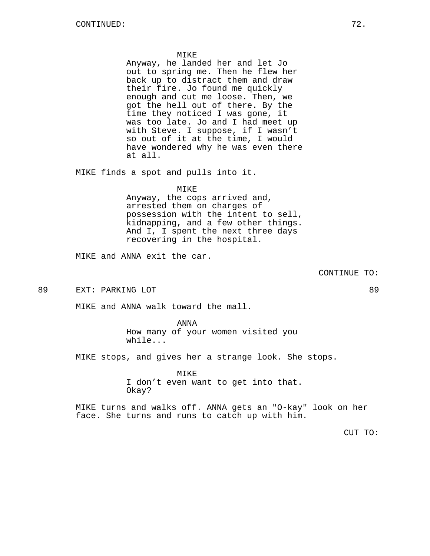#### MIKE

Anyway, he landed her and let Jo out to spring me. Then he flew her back up to distract them and draw their fire. Jo found me quickly enough and cut me loose. Then, we got the hell out of there. By the time they noticed I was gone, it was too late. Jo and I had meet up with Steve. I suppose, if I wasn't so out of it at the time, I would have wondered why he was even there at all.

MIKE finds a spot and pulls into it.

## MIKE

Anyway, the cops arrived and, arrested them on charges of possession with the intent to sell, kidnapping, and a few other things. And I, I spent the next three days recovering in the hospital.

MIKE and ANNA exit the car.

CONTINUE TO:

89 EXT: PARKING LOT 89

MIKE and ANNA walk toward the mall.

ANNA How many of your women visited you while...

MIKE stops, and gives her a strange look. She stops.

MIKE I don't even want to get into that. Okay?

MIKE turns and walks off. ANNA gets an "O-kay" look on her face. She turns and runs to catch up with him.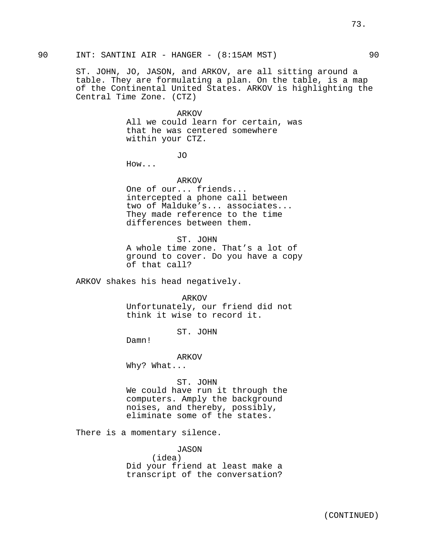ST. JOHN, JO, JASON, and ARKOV, are all sitting around a table. They are formulating a plan. On the table, is a map of the Continental United States. ARKOV is highlighting the Central Time Zone. (CTZ)

#### ARKOV

All we could learn for certain, was that he was centered somewhere within your CTZ.

JO

How...

ARKOV

One of our... friends... intercepted a phone call between two of Malduke's... associates... They made reference to the time differences between them.

ST. JOHN A whole time zone. That's a lot of ground to cover. Do you have a copy of that call?

ARKOV shakes his head negatively.

ARKOV

Unfortunately, our friend did not think it wise to record it.

ST. JOHN

Damn!

ARKOV

Why? What...

ST. JOHN We could have run it through the computers. Amply the background noises, and thereby, possibly, eliminate some of the states.

There is a momentary silence.

JASON (idea) Did your friend at least make a transcript of the conversation?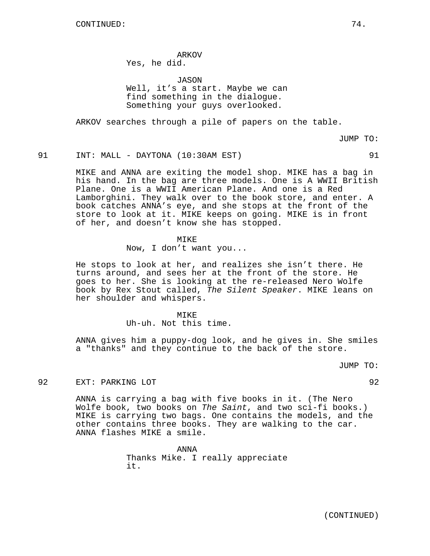ARKOV Yes, he did.

JASON

Well, it's a start. Maybe we can find something in the dialogue. Something your guys overlooked.

ARKOV searches through a pile of papers on the table.

JUMP TO:

### 91 INT: MALL - DAYTONA (10:30AM EST) 91

MIKE and ANNA are exiting the model shop. MIKE has a bag in his hand. In the bag are three models. One is A WWII British Plane. One is a WWII American Plane. And one is a Red Lamborghini. They walk over to the book store, and enter. A book catches ANNA's eye, and she stops at the front of the store to look at it. MIKE keeps on going. MIKE is in front of her, and doesn't know she has stopped.

MIKE

Now, I don't want you...

He stops to look at her, and realizes she isn't there. He turns around, and sees her at the front of the store. He goes to her. She is looking at the re-released Nero Wolfe book by Rex Stout called, The Silent Speaker. MIKE leans on her shoulder and whispers.

> MIKE Uh-uh. Not this time.

ANNA gives him a puppy-dog look, and he gives in. She smiles a "thanks" and they continue to the back of the store.

JUMP TO:

92 EXT: PARKING LOT 92

ANNA is carrying a bag with five books in it. (The Nero Wolfe book, two books on The Saint, and two sci-fi books.) MIKE is carrying two bags. One contains the models, and the other contains three books. They are walking to the car. ANNA flashes MIKE a smile.

> ANNA Thanks Mike. I really appreciate it.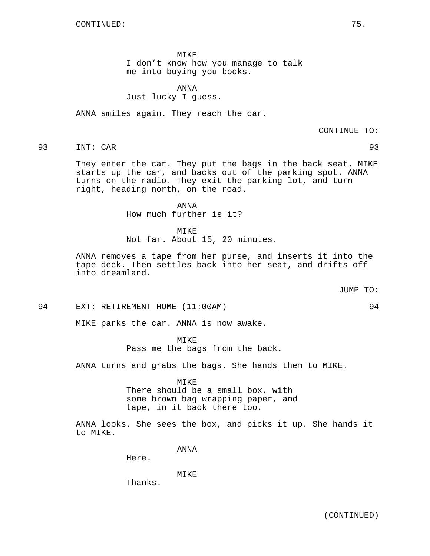MIKE

I don't know how you manage to talk me into buying you books.

ANNA Just lucky I guess.

ANNA smiles again. They reach the car.

CONTINUE TO:

93 INT: CAR 93

They enter the car. They put the bags in the back seat. MIKE starts up the car, and backs out of the parking spot. ANNA turns on the radio. They exit the parking lot, and turn right, heading north, on the road.

ANNA

How much further is it?

MIKE Not far. About 15, 20 minutes.

ANNA removes a tape from her purse, and inserts it into the tape deck. Then settles back into her seat, and drifts off into dreamland.

JUMP TO:

94 EXT: RETIREMENT HOME (11:00AM) 94

MIKE parks the car. ANNA is now awake.

MIKE Pass me the bags from the back.

ANNA turns and grabs the bags. She hands them to MIKE.

**MTKE** 

There should be a small box, with some brown bag wrapping paper, and tape, in it back there too.

ANNA looks. She sees the box, and picks it up. She hands it to MIKE.

ANNA

Here.

MIKE

Thanks.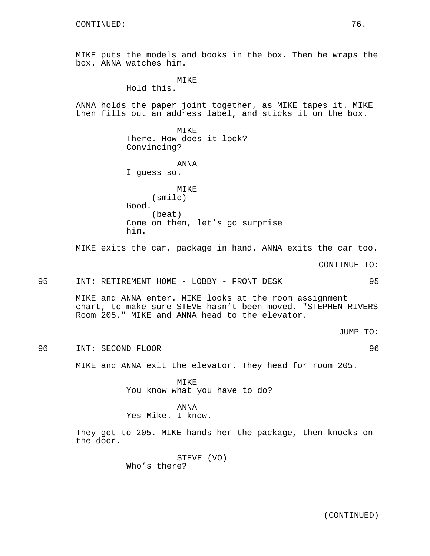MIKE puts the models and books in the box. Then he wraps the box. ANNA watches him.

> **MTKE** Hold this.

ANNA holds the paper joint together, as MIKE tapes it. MIKE then fills out an address label, and sticks it on the box.

> MIKE There. How does it look? Convincing?

### ANNA

I guess so.

MIKE (smile) Good. (beat) Come on then, let's go surprise him.

MIKE exits the car, package in hand. ANNA exits the car too.

CONTINUE TO:

95 INT: RETIREMENT HOME - LOBBY - FRONT DESK 95

MIKE and ANNA enter. MIKE looks at the room assignment chart, to make sure STEVE hasn't been moved. "STEPHEN RIVERS Room 205." MIKE and ANNA head to the elevator.

JUMP TO:

96 INT: SECOND FLOOR 96

MIKE and ANNA exit the elevator. They head for room 205.

MIKE You know what you have to do?

ANNA Yes Mike. I know.

They get to 205. MIKE hands her the package, then knocks on the door.

> STEVE (VO) Who's there?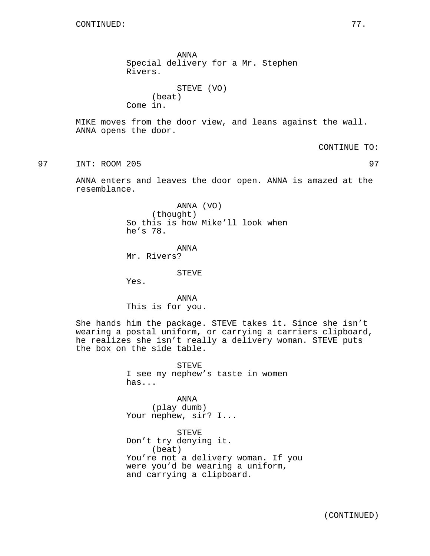ANNA Special delivery for a Mr. Stephen Rivers. STEVE (VO)

(beat) Come in.

MIKE moves from the door view, and leans against the wall. ANNA opens the door.

CONTINUE TO:

97 INT: ROOM 205 97

ANNA enters and leaves the door open. ANNA is amazed at the resemblance.

> ANNA (VO) (thought) So this is how Mike'll look when he's 78.

ANNA Mr. Rivers?

STEVE

Yes.

ANNA This is for you.

She hands him the package. STEVE takes it. Since she isn't wearing a postal uniform, or carrying a carriers clipboard, he realizes she isn't really a delivery woman. STEVE puts the box on the side table.

> STEVE I see my nephew's taste in women has...

ANNA (play dumb) Your nephew, sir? I...

STEVE Don't try denying it. (beat) You're not a delivery woman. If you were you'd be wearing a uniform, and carrying a clipboard.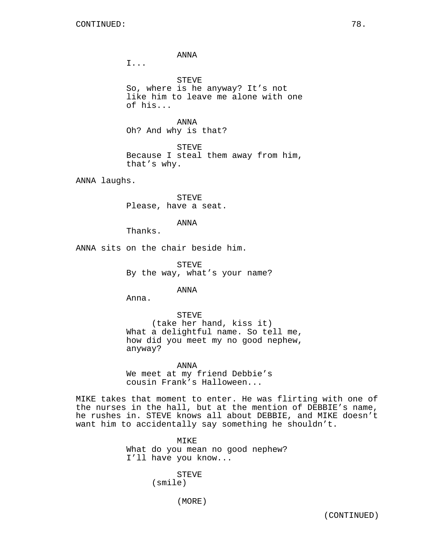ANNA

I...

STEVE So, where is he anyway? It's not like him to leave me alone with one of his...

ANNA Oh? And why is that?

STEVE Because I steal them away from him, that's why.

ANNA laughs.

STEVE Please, have a seat.

ANNA

Thanks.

ANNA sits on the chair beside him.

STEVE By the way, what's your name?

ANNA

Anna.

STEVE (take her hand, kiss it) What a delightful name. So tell me, how did you meet my no good nephew, anyway?

ANNA We meet at my friend Debbie's cousin Frank's Halloween...

MIKE takes that moment to enter. He was flirting with one of the nurses in the hall, but at the mention of DEBBIE's name, he rushes in. STEVE knows all about DEBBIE, and MIKE doesn't want him to accidentally say something he shouldn't.

> MIKE What do you mean no good nephew? I'll have you know...

> > **STEVE** (smile)

> > > (MORE)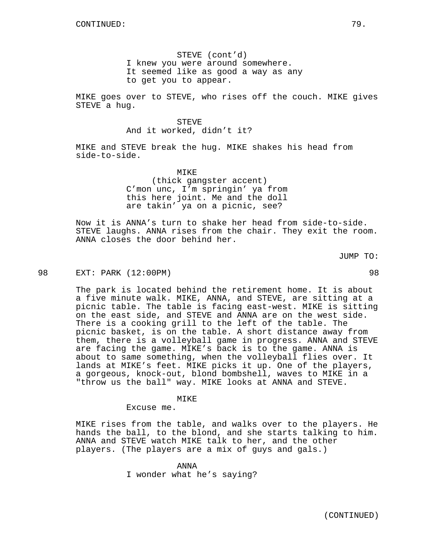STEVE (cont'd) I knew you were around somewhere. It seemed like as good a way as any to get you to appear.

MIKE goes over to STEVE, who rises off the couch. MIKE gives STEVE a hug.

> STEVE And it worked, didn't it?

MIKE and STEVE break the hug. MIKE shakes his head from side-to-side.

MTKE<sup>®</sup>

(thick gangster accent) C'mon unc, I'm springin' ya from this here joint. Me and the doll are takin' ya on a picnic, see?

Now it is ANNA's turn to shake her head from side-to-side. STEVE laughs. ANNA rises from the chair. They exit the room. ANNA closes the door behind her.

JUMP TO:

98 EXT: PARK (12:00PM) 98

The park is located behind the retirement home. It is about a five minute walk. MIKE, ANNA, and STEVE, are sitting at a picnic table. The table is facing east-west. MIKE is sitting on the east side, and STEVE and ANNA are on the west side. There is a cooking grill to the left of the table. The picnic basket, is on the table. A short distance away from them, there is a volleyball game in progress. ANNA and STEVE are facing the game. MIKE's back is to the game. ANNA is about to same something, when the volleyball flies over. It lands at MIKE's feet. MIKE picks it up. One of the players, a gorgeous, knock-out, blond bombshell, waves to MIKE in a "throw us the ball" way. MIKE looks at ANNA and STEVE.

### MIKE

Excuse me.

MIKE rises from the table, and walks over to the players. He hands the ball, to the blond, and she starts talking to him. ANNA and STEVE watch MIKE talk to her, and the other players. (The players are a mix of guys and gals.)

> ANNA I wonder what he's saying?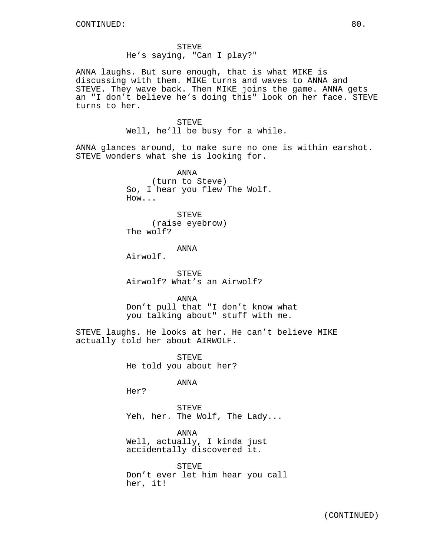STEVE He's saying, "Can I play?"

ANNA laughs. But sure enough, that is what MIKE is discussing with them. MIKE turns and waves to ANNA and STEVE. They wave back. Then MIKE joins the game. ANNA gets an "I don't believe he's doing this" look on her face. STEVE turns to her.

### STEVE

Well, he'll be busy for a while.

ANNA glances around, to make sure no one is within earshot. STEVE wonders what she is looking for.

> ANNA (turn to Steve) So, I hear you flew The Wolf. How...

STEVE (raise eyebrow) The wolf?

### ANNA

Airwolf.

STEVE Airwolf? What's an Airwolf?

ANNA

Don't pull that "I don't know what you talking about" stuff with me.

STEVE laughs. He looks at her. He can't believe MIKE actually told her about AIRWOLF.

> STEVE He told you about her?

> > ANNA

Her?

STEVE Yeh, her. The Wolf, The Lady...

ANNA Well, actually, I kinda just accidentally discovered it.

STEVE Don't ever let him hear you call her, it!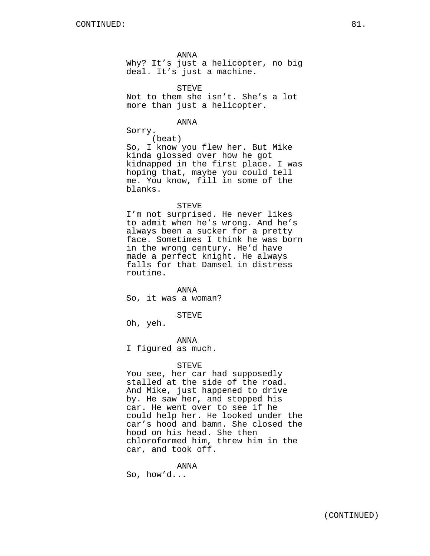ANNA

Why? It's just a helicopter, no big deal. It's just a machine.

STEVE Not to them she isn't. She's a lot more than just a helicopter.

ANNA

Sorry.

(beat)

So, I know you flew her. But Mike kinda glossed over how he got kidnapped in the first place. I was hoping that, maybe you could tell me. You know, fill in some of the blanks.

#### STEVE

I'm not surprised. He never likes to admit when he's wrong. And he's always been a sucker for a pretty face. Sometimes I think he was born in the wrong century. He'd have made a perfect knight. He always falls for that Damsel in distress routine.

ANNA

So, it was a woman?

#### STEVE

Oh, yeh.

ANNA

I figured as much.

#### STEVE

You see, her car had supposedly stalled at the side of the road. And Mike, just happened to drive by. He saw her, and stopped his car. He went over to see if he could help her. He looked under the car's hood and bamn. She closed the hood on his head. She then chloroformed him, threw him in the car, and took off.

ANNA So, how'd...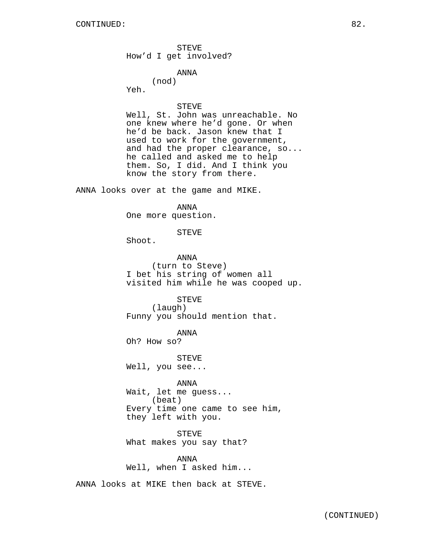STEVE How'd I get involved?

ANNA

(nod) Yeh.

STEVE

Well, St. John was unreachable. No one knew where he'd gone. Or when he'd be back. Jason knew that I used to work for the government, and had the proper clearance, so... he called and asked me to help them. So, I did. And I think you know the story from there.

ANNA looks over at the game and MIKE.

ANNA One more question.

STEVE

Shoot.

ANNA (turn to Steve) I bet his string of women all visited him while he was cooped up.

> STEVE (laugh)

Funny you should mention that.

ANNA

Oh? How so?

STEVE Well, you see...

ANNA Wait, let me guess... (beat) Every time one came to see him, they left with you.

STEVE What makes you say that?

ANNA Well, when I asked him...

ANNA looks at MIKE then back at STEVE.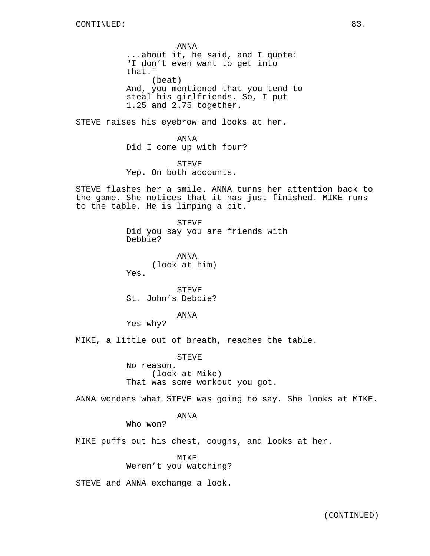ANNA ...about it, he said, and I quote: "I don't even want to get into that." (beat) And, you mentioned that you tend to steal his girlfriends. So, I put 1.25 and 2.75 together.

STEVE raises his eyebrow and looks at her.

ANNA Did I come up with four?

STEVE Yep. On both accounts.

STEVE flashes her a smile. ANNA turns her attention back to the game. She notices that it has just finished. MIKE runs to the table. He is limping a bit.

> STEVE Did you say you are friends with Debbie?

ANNA (look at him) Yes.

STEVE St. John's Debbie?

ANNA

Yes why?

MIKE, a little out of breath, reaches the table.

STEVE

No reason. (look at Mike) That was some workout you got.

ANNA wonders what STEVE was going to say. She looks at MIKE.

ANNA

Who won?

MIKE puffs out his chest, coughs, and looks at her.

MIKE Weren't you watching?

STEVE and ANNA exchange a look.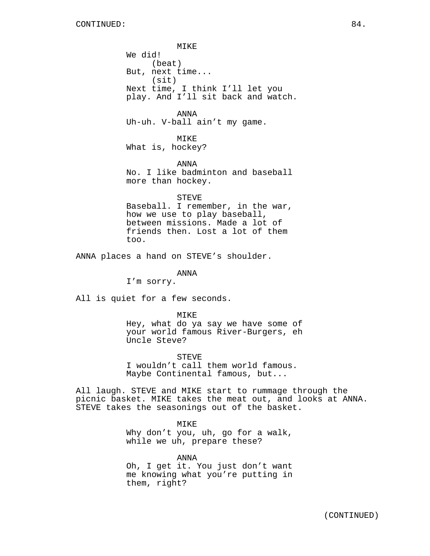MIKE We did! (beat) But, next time... (sit) Next time, I think I'll let you play. And I'll sit back and watch.

ANNA Uh-uh. V-ball ain't my game.

MIKE What is, hockey?

ANNA No. I like badminton and baseball more than hockey.

STEVE Baseball. I remember, in the war, how we use to play baseball, between missions. Made a lot of friends then. Lost a lot of them too.

ANNA places a hand on STEVE's shoulder.

ANNA

I'm sorry.

All is quiet for a few seconds.

MIKE

Hey, what do ya say we have some of your world famous River-Burgers, eh Uncle Steve?

STEVE I wouldn't call them world famous. Maybe Continental famous, but...

All laugh. STEVE and MIKE start to rummage through the picnic basket. MIKE takes the meat out, and looks at ANNA. STEVE takes the seasonings out of the basket.

MIKE

Why don't you, uh, go for a walk, while we uh, prepare these?

ANNA Oh, I get it. You just don't want me knowing what you're putting in them, right?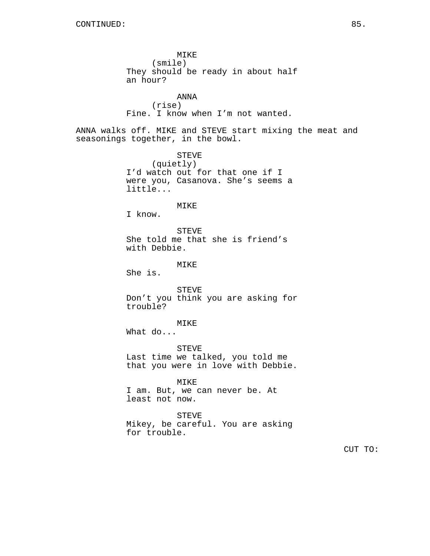MIKE (smile) They should be ready in about half an hour? ANNA (rise) Fine. I know when I'm not wanted. ANNA walks off. MIKE and STEVE start mixing the meat and seasonings together, in the bowl. STEVE (quietly) I'd watch out for that one if I were you, Casanova. She's seems a little... MIKE I know. STEVE She told me that she is friend's with Debbie. MIKE She is. STEVE Don't you think you are asking for trouble? MIKE What do... STEVE Last time we talked, you told me that you were in love with Debbie. MIKE I am. But, we can never be. At least not now. STEVE Mikey, be careful. You are asking for trouble. CUT TO: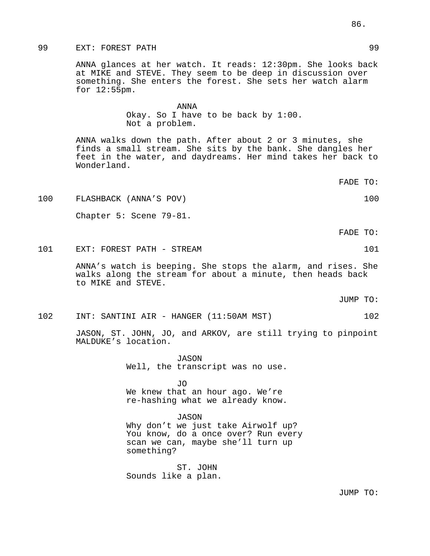## 99 EXT: FOREST PATH 99

ANNA glances at her watch. It reads: 12:30pm. She looks back at MIKE and STEVE. They seem to be deep in discussion over something. She enters the forest. She sets her watch alarm for 12:55pm.

> ANNA Okay. So I have to be back by 1:00. Not a problem.

ANNA walks down the path. After about 2 or 3 minutes, she finds a small stream. She sits by the bank. She dangles her feet in the water, and daydreams. Her mind takes her back to Wonderland.

FADE TO:

100 FLASHBACK (ANNA'S POV) 100

Chapter 5: Scene 79-81.

FADE TO:

101 EXT: FOREST PATH - STREAM 101 201

ANNA's watch is beeping. She stops the alarm, and rises. She walks along the stream for about a minute, then heads back to MIKE and STEVE.

JUMP TO:

102 INT: SANTINI AIR - HANGER (11:50AM MST) 102

JASON, ST. JOHN, JO, and ARKOV, are still trying to pinpoint MALDUKE's location.

> JASON Well, the transcript was no use.

JO We knew that an hour ago. We're re-hashing what we already know.

### JASON

Why don't we just take Airwolf up? You know, do a once over? Run every scan we can, maybe she'll turn up something?

ST. JOHN Sounds like a plan.

JUMP TO: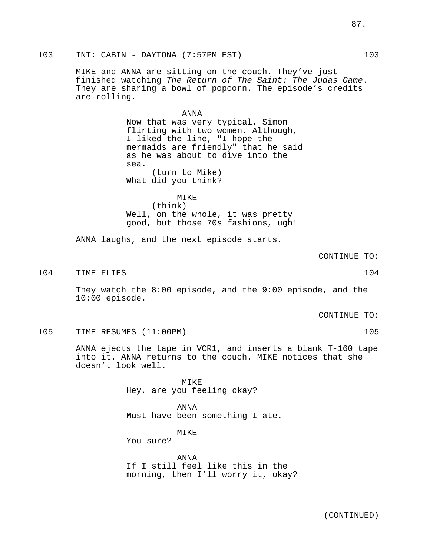103 INT: CABIN - DAYTONA (7:57PM EST) 103

MIKE and ANNA are sitting on the couch. They've just finished watching The Return of The Saint: The Judas Game. They are sharing a bowl of popcorn. The episode's credits are rolling.

ANNA

Now that was very typical. Simon flirting with two women. Although, I liked the line, "I hope the mermaids are friendly" that he said as he was about to dive into the sea. (turn to Mike) What did you think?

## MIKE (think) Well, on the whole, it was pretty good, but those 70s fashions, ugh!

ANNA laughs, and the next episode starts.

CONTINUE TO:

104 TIME FLIES 104 104

They watch the 8:00 episode, and the 9:00 episode, and the 10:00 episode.

CONTINUE TO:

105 TIME RESUMES (11:00PM) 105

ANNA ejects the tape in VCR1, and inserts a blank T-160 tape into it. ANNA returns to the couch. MIKE notices that she doesn't look well.

> MIKE Hey, are you feeling okay?

ANNA Must have been something I ate.

MIKE

You sure?

ANNA If I still feel like this in the morning, then I'll worry it, okay?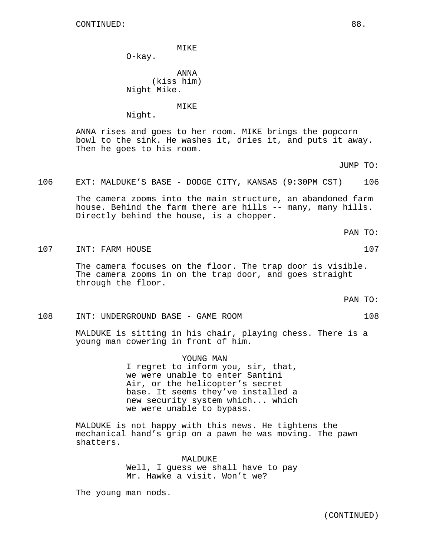O-kay.

ANNA (kiss him) Night Mike.

MIKE

Night.

ANNA rises and goes to her room. MIKE brings the popcorn bowl to the sink. He washes it, dries it, and puts it away. Then he goes to his room.

JUMP TO:

106 EXT: MALDUKE'S BASE - DODGE CITY, KANSAS (9:30PM CST) 106

The camera zooms into the main structure, an abandoned farm house. Behind the farm there are hills -- many, many hills. Directly behind the house, is a chopper.

PAN TO:

107 INT: FARM HOUSE 107 107

The camera focuses on the floor. The trap door is visible. The camera zooms in on the trap door, and goes straight through the floor.

PAN TO:

108 INT: UNDERGROUND BASE - GAME ROOM 108

MALDUKE is sitting in his chair, playing chess. There is a young man cowering in front of him.

YOUNG MAN

I regret to inform you, sir, that, we were unable to enter Santini Air, or the helicopter's secret base. It seems they've installed a new security system which... which we were unable to bypass.

MALDUKE is not happy with this news. He tightens the mechanical hand's grip on a pawn he was moving. The pawn shatters.

> MALDUKE Well, I guess we shall have to pay Mr. Hawke a visit. Won't we?

The young man nods.

(CONTINUED)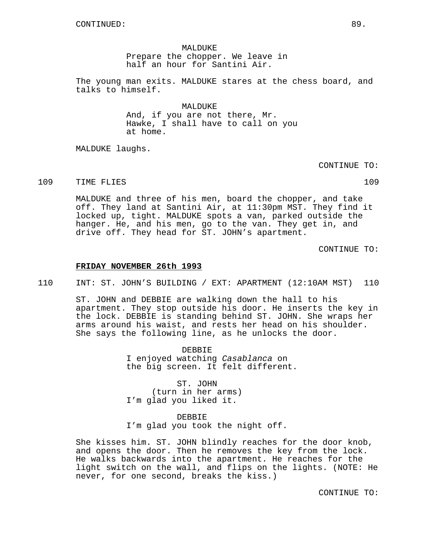MALDUKE Prepare the chopper. We leave in half an hour for Santini Air.

The young man exits. MALDUKE stares at the chess board, and talks to himself.

> MALDUKE And, if you are not there, Mr. Hawke, I shall have to call on you at home.

MALDUKE laughs.

CONTINUE TO:

109 TIME FLIES 109

MALDUKE and three of his men, board the chopper, and take off. They land at Santini Air, at 11:30pm MST. They find it locked up, tight. MALDUKE spots a van, parked outside the hanger. He, and his men, go to the van. They get in, and drive off. They head for ST. JOHN's apartment.

CONTINUE TO:

### **FRIDAY NOVEMBER 26th 1993**

110 INT: ST. JOHN'S BUILDING / EXT: APARTMENT (12:10AM MST) 110

ST. JOHN and DEBBIE are walking down the hall to his apartment. They stop outside his door. He inserts the key in the lock. DEBBIE is standing behind ST. JOHN. She wraps her arms around his waist, and rests her head on his shoulder. She says the following line, as he unlocks the door.

> DEBBIE I enjoyed watching Casablanca on the big screen. It felt different.

ST. JOHN (turn in her arms) I'm glad you liked it.

# DEBBIE

I'm glad you took the night off.

She kisses him. ST. JOHN blindly reaches for the door knob, and opens the door. Then he removes the key from the lock. He walks backwards into the apartment. He reaches for the light switch on the wall, and flips on the lights. (NOTE: He never, for one second, breaks the kiss.)

CONTINUE TO: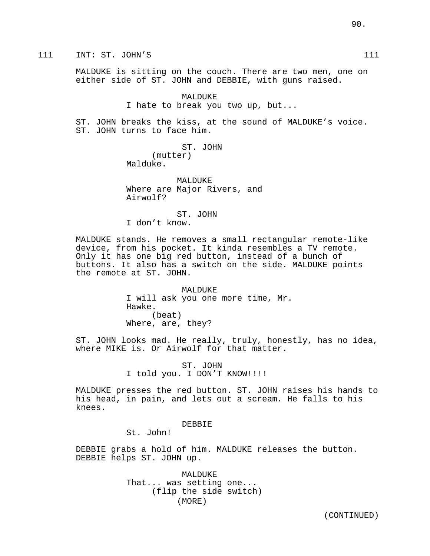111 INT: ST. JOHN'S 111

MALDUKE is sitting on the couch. There are two men, one on either side of ST. JOHN and DEBBIE, with guns raised.

> MALDUKE I hate to break you two up, but...

ST. JOHN breaks the kiss, at the sound of MALDUKE's voice. ST. JOHN turns to face him.

> ST. JOHN (mutter) Malduke.

**MALDUKE** Where are Major Rivers, and Airwolf?

ST. JOHN I don't know.

MALDUKE stands. He removes a small rectangular remote-like device, from his pocket. It kinda resembles a TV remote. Only it has one big red button, instead of a bunch of buttons. It also has a switch on the side. MALDUKE points the remote at ST. JOHN.

> MALDUKE I will ask you one more time, Mr. Hawke. (beat) Where, are, they?

ST. JOHN looks mad. He really, truly, honestly, has no idea, where MIKE is. Or Airwolf for that matter.

> ST. JOHN I told you. I DON'T KNOW!!!!

MALDUKE presses the red button. ST. JOHN raises his hands to his head, in pain, and lets out a scream. He falls to his knees.

### DEBBIE

St. John!

DEBBIE grabs a hold of him. MALDUKE releases the button. DEBBIE helps ST. JOHN up.

> MALDUKE That... was setting one... (flip the side switch) (MORE)

> > (CONTINUED)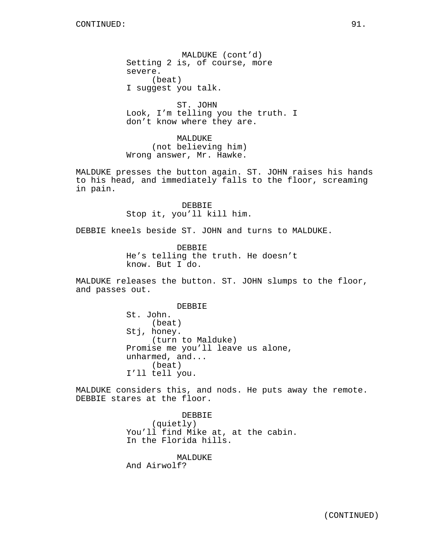MALDUKE (cont'd) Setting 2 is, of course, more severe. (beat) I suggest you talk.

ST. JOHN Look, I'm telling you the truth. I don't know where they are.

MALDUKE (not believing him) Wrong answer, Mr. Hawke.

MALDUKE presses the button again. ST. JOHN raises his hands to his head, and immediately falls to the floor, screaming in pain.

> DEBBIE Stop it, you'll kill him.

DEBBIE kneels beside ST. JOHN and turns to MALDUKE.

DEBBIE He's telling the truth. He doesn't know. But I do.

MALDUKE releases the button. ST. JOHN slumps to the floor, and passes out.

> **DEBBIE** St. John. (beat) Stj, honey. (turn to Malduke) Promise me you'll leave us alone, unharmed, and... (beat) I'll tell you.

MALDUKE considers this, and nods. He puts away the remote. DEBBIE stares at the floor.

> DEBBIE (quietly) You'll find Mike at, at the cabin. In the Florida hills.

MALDUKE And Airwolf?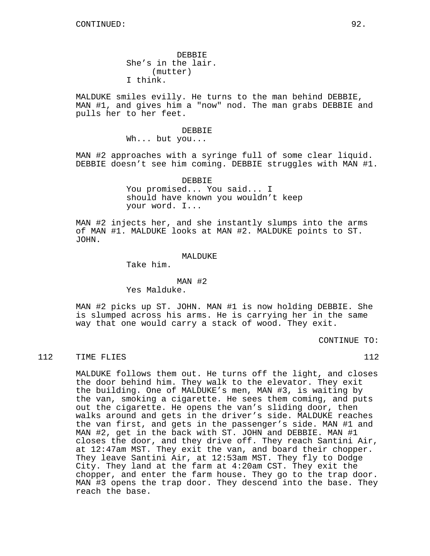DEBBIE She's in the lair. (mutter) I think.

MALDUKE smiles evilly. He turns to the man behind DEBBIE, MAN #1, and gives him a "now" nod. The man grabs DEBBIE and pulls her to her feet.

#### DEBBIE

Wh... but you...

MAN #2 approaches with a syringe full of some clear liquid. DEBBIE doesn't see him coming. DEBBIE struggles with MAN #1.

> DEBBIE You promised... You said... I should have known you wouldn't keep your word. I...

MAN #2 injects her, and she instantly slumps into the arms of MAN #1. MALDUKE looks at MAN #2. MALDUKE points to ST. JOHN.

#### MALDUKE

Take him.

### MAN #2

Yes Malduke.

MAN #2 picks up ST. JOHN. MAN #1 is now holding DEBBIE. She is slumped across his arms. He is carrying her in the same way that one would carry a stack of wood. They exit.

CONTINUE TO:

112 TIME FLIES 112

MALDUKE follows them out. He turns off the light, and closes the door behind him. They walk to the elevator. They exit the building. One of MALDUKE's men, MAN #3, is waiting by the van, smoking a cigarette. He sees them coming, and puts out the cigarette. He opens the van's sliding door, then walks around and gets in the driver's side. MALDUKE reaches the van first, and gets in the passenger's side. MAN #1 and MAN #2, get in the back with ST. JOHN and DEBBIE. MAN #1 closes the door, and they drive off. They reach Santini Air, at 12:47am MST. They exit the van, and board their chopper. They leave Santini Air, at 12:53am MST. They fly to Dodge City. They land at the farm at 4:20am CST. They exit the chopper, and enter the farm house. They go to the trap door. MAN #3 opens the trap door. They descend into the base. They reach the base.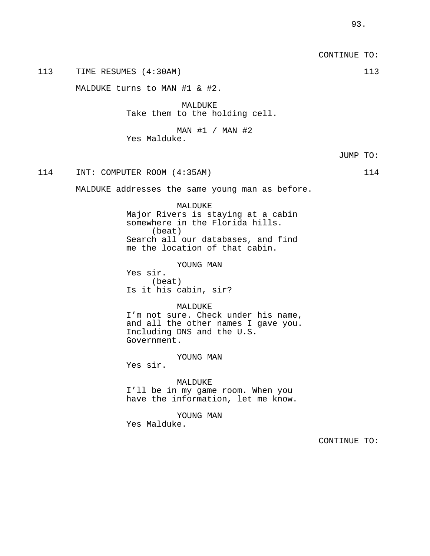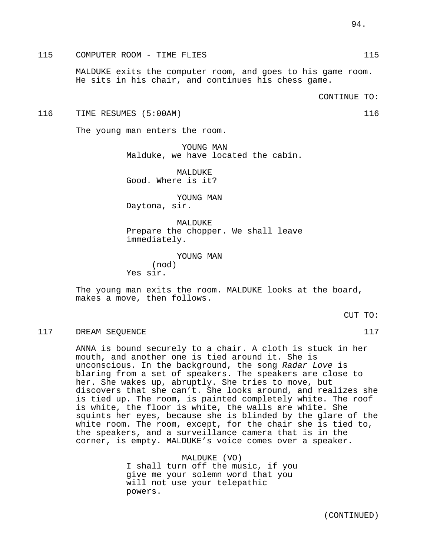## 115 COMPUTER ROOM - TIME FLIES 115

MALDUKE exits the computer room, and goes to his game room. He sits in his chair, and continues his chess game.

### 116 TIME RESUMES (5:00AM) 116

The young man enters the room.

YOUNG MAN Malduke, we have located the cabin.

MALDUKE Good. Where is it?

YOUNG MAN Daytona, sir.

MALDUKE Prepare the chopper. We shall leave immediately.

YOUNG MAN (nod) Yes sir.

The young man exits the room. MALDUKE looks at the board, makes a move, then follows.

CUT TO:

### 117 DREAM SEQUENCE 117

ANNA is bound securely to a chair. A cloth is stuck in her mouth, and another one is tied around it. She is unconscious. In the background, the song Radar Love is blaring from a set of speakers. The speakers are close to her. She wakes up, abruptly. She tries to move, but discovers that she can't. She looks around, and realizes she is tied up. The room, is painted completely white. The roof is white, the floor is white, the walls are white. She squints her eyes, because she is blinded by the glare of the white room. The room, except, for the chair she is tied to, the speakers, and a surveillance camera that is in the corner, is empty. MALDUKE's voice comes over a speaker.

> MALDUKE (VO) I shall turn off the music, if you give me your solemn word that you will not use your telepathic powers.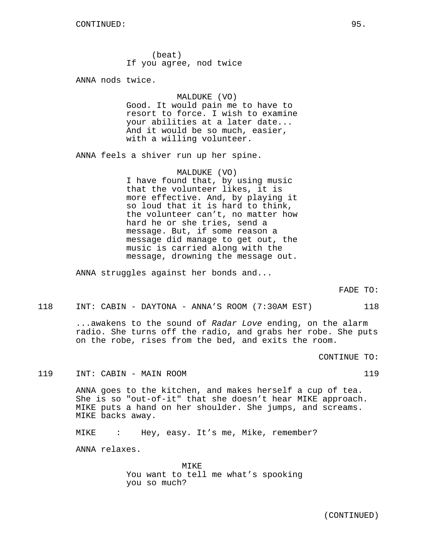(beat) If you agree, nod twice

ANNA nods twice.

### MALDUKE (VO)

Good. It would pain me to have to resort to force. I wish to examine your abilities at a later date... And it would be so much, easier, with a willing volunteer.

ANNA feels a shiver run up her spine.

MALDUKE (VO) I have found that, by using music that the volunteer likes, it is more effective. And, by playing it so loud that it is hard to think, the volunteer can't, no matter how hard he or she tries, send a message. But, if some reason a message did manage to get out, the music is carried along with the message, drowning the message out.

ANNA struggles against her bonds and...

FADE TO:

118 INT: CABIN - DAYTONA - ANNA'S ROOM (7:30AM EST) 118

...awakens to the sound of Radar Love ending, on the alarm radio. She turns off the radio, and grabs her robe. She puts on the robe, rises from the bed, and exits the room.

CONTINUE TO:

119 INT: CABIN - MAIN ROOM 119

ANNA goes to the kitchen, and makes herself a cup of tea. She is so "out-of-it" that she doesn't hear MIKE approach. MIKE puts a hand on her shoulder. She jumps, and screams. MIKE backs away.

MIKE : Hey, easy. It's me, Mike, remember?

ANNA relaxes.

MIKE You want to tell me what's spooking you so much?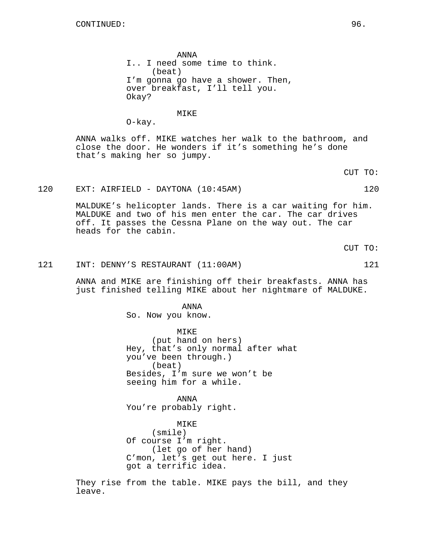ANNA I.. I need some time to think. (beat) I'm gonna go have a shower. Then, over breakfast, I'll tell you. Okay?

MIKE

ANNA walks off. MIKE watches her walk to the bathroom, and close the door. He wonders if it's something he's done that's making her so jumpy.

120 EXT: AIRFIELD - DAYTONA (10:45AM) 120

O-kay.

MALDUKE's helicopter lands. There is a car waiting for him. MALDUKE and two of his men enter the car. The car drives off. It passes the Cessna Plane on the way out. The car heads for the cabin.

CUT TO:

121 INT: DENNY'S RESTAURANT (11:00AM) 121

ANNA and MIKE are finishing off their breakfasts. ANNA has just finished telling MIKE about her nightmare of MALDUKE.

> ANNA So. Now you know.

MIKE (put hand on hers) Hey, that's only normal after what you've been through.) (beat) Besides, I'm sure we won't be seeing him for a while.

ANNA You're probably right.

MIKE (smile) Of course I'm right. (let go of her hand) C'mon, let's get out here. I just got a terrific idea.

They rise from the table. MIKE pays the bill, and they leave.

CUT TO: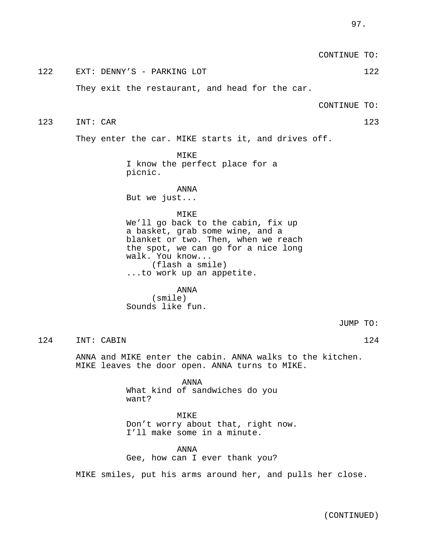|     |          |                                                                                                                                                                                                                             | CONTINUE TO: |     |
|-----|----------|-----------------------------------------------------------------------------------------------------------------------------------------------------------------------------------------------------------------------------|--------------|-----|
| 122 |          | EXT: DENNY'S - PARKING LOT                                                                                                                                                                                                  |              | 122 |
|     |          | They exit the restaurant, and head for the car.                                                                                                                                                                             |              |     |
|     |          |                                                                                                                                                                                                                             | CONTINUE TO: |     |
| 123 | INT: CAR |                                                                                                                                                                                                                             |              | 123 |
|     |          | They enter the car. MIKE starts it, and drives off.                                                                                                                                                                         |              |     |
|     |          | MIKE<br>I know the perfect place for a<br>picnic.                                                                                                                                                                           |              |     |
|     |          | ANNA<br>But we just                                                                                                                                                                                                         |              |     |
|     |          | MIKE<br>We'll go back to the cabin, fix up<br>a basket, grab some wine, and a<br>blanket or two. Then, when we reach<br>the spot, we can go for a nice long<br>walk. You know<br>(flash a smile)<br>to work up an appetite. |              |     |
|     |          | <b>ANNA</b><br>(smile)<br>Sounds like fun.                                                                                                                                                                                  |              |     |
|     |          |                                                                                                                                                                                                                             | JUMP TO:     |     |
| 124 |          | INT: CABIN                                                                                                                                                                                                                  |              | 124 |
|     |          | ANNA and MIKE enter the cabin. ANNA walks to the kitchen.<br>MIKE leaves the door open. ANNA turns to MIKE.                                                                                                                 |              |     |
|     |          | ANNA<br>What kind of sandwiches do you<br>want?                                                                                                                                                                             |              |     |
|     |          | MIKE<br>Don't worry about that, right now.<br>I'll make some in a minute.                                                                                                                                                   |              |     |

ANNA Gee, how can I ever thank you?

MIKE smiles, put his arms around her, and pulls her close.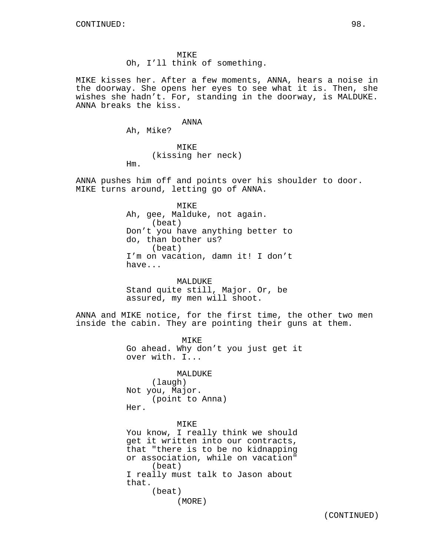MIKE Oh, I'll think of something.

MIKE kisses her. After a few moments, ANNA, hears a noise in the doorway. She opens her eyes to see what it is. Then, she wishes she hadn't. For, standing in the doorway, is MALDUKE. ANNA breaks the kiss.

### ANNA

Ah, Mike?

Hm.

MIKE (kissing her neck)

ANNA pushes him off and points over his shoulder to door. MIKE turns around, letting go of ANNA.

> MIKE Ah, gee, Malduke, not again. (beat) Don't you have anything better to do, than bother us? (beat) I'm on vacation, damn it! I don't have...

MALDUKE Stand quite still, Major. Or, be assured, my men will shoot.

ANNA and MIKE notice, for the first time, the other two men inside the cabin. They are pointing their guns at them.

> MIKE Go ahead. Why don't you just get it over with. I...

MALDUKE (laugh) Not you, Major. (point to Anna) Her.

## MIKE

You know, I really think we should get it written into our contracts, that "there is to be no kidnapping or association, while on vacation" (beat) I really must talk to Jason about that. (beat) (MORE)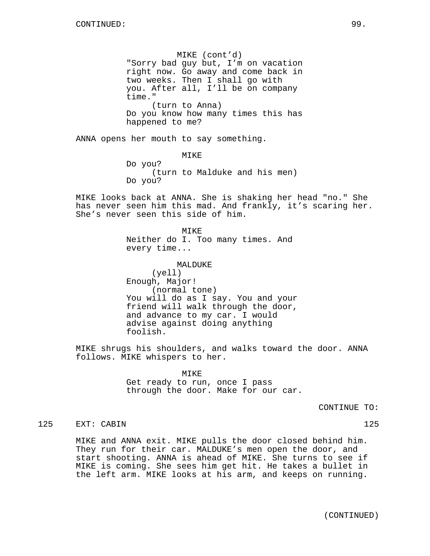MIKE (cont'd) "Sorry bad guy but, I'm on vacation right now. Go away and come back in two weeks. Then I shall go with you. After all, I'll be on company time." (turn to Anna) Do you know how many times this has happened to me?

ANNA opens her mouth to say something.

MIKE Do you? (turn to Malduke and his men) Do you?

MIKE looks back at ANNA. She is shaking her head "no." She has never seen him this mad. And frankly, it's scaring her. She's never seen this side of him.

> MIKE Neither do I. Too many times. And every time...

MALDUKE (yell) Enough, Major! (normal tone) You will do as I say. You and your friend will walk through the door, and advance to my car. I would advise against doing anything foolish.

MIKE shrugs his shoulders, and walks toward the door. ANNA follows. MIKE whispers to her.

> MIKE Get ready to run, once I pass through the door. Make for our car.

> > CONTINUE TO:

## 125 EXT: CABIN 125

MIKE and ANNA exit. MIKE pulls the door closed behind him. They run for their car. MALDUKE's men open the door, and start shooting. ANNA is ahead of MIKE. She turns to see if MIKE is coming. She sees him get hit. He takes a bullet in the left arm. MIKE looks at his arm, and keeps on running.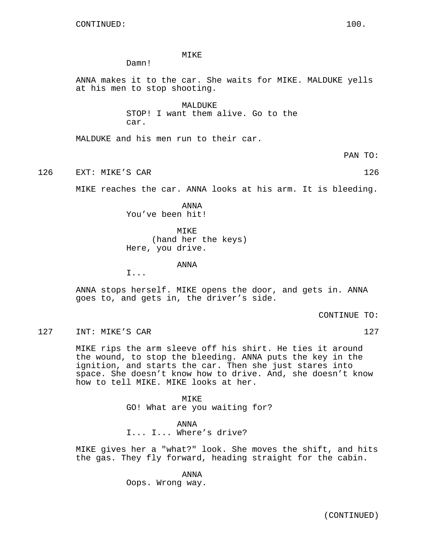MIKE

Damn!

ANNA makes it to the car. She waits for MIKE. MALDUKE yells at his men to stop shooting.

> MALDUKE STOP! I want them alive. Go to the car.

MALDUKE and his men run to their car.

PAN TO:

126 EXT: MIKE'S CAR 126

MIKE reaches the car. ANNA looks at his arm. It is bleeding.

ANNA You've been hit!

MIKE (hand her the keys) Here, you drive.

ANNA

I...

ANNA stops herself. MIKE opens the door, and gets in. ANNA goes to, and gets in, the driver's side.

CONTINUE TO:

127 INT: MIKE'S CAR 127 127

MIKE rips the arm sleeve off his shirt. He ties it around the wound, to stop the bleeding. ANNA puts the key in the ignition, and starts the car. Then she just stares into space. She doesn't know how to drive. And, she doesn't know how to tell MIKE. MIKE looks at her.

> **MTKE** GO! What are you waiting for?

ANNA I... I... Where's drive?

MIKE gives her a "what?" look. She moves the shift, and hits the gas. They fly forward, heading straight for the cabin.

> ANNA Oops. Wrong way.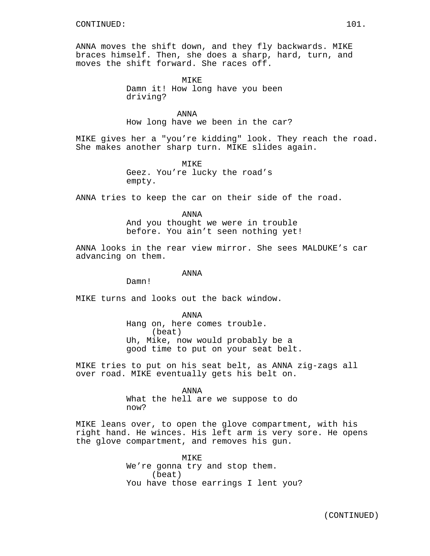ANNA moves the shift down, and they fly backwards. MIKE braces himself. Then, she does a sharp, hard, turn, and moves the shift forward. She races off.

> MTK<sub>E</sub> Damn it! How long have you been driving?

ANNA How long have we been in the car?

MIKE gives her a "you're kidding" look. They reach the road. She makes another sharp turn. MIKE slides again.

> MIKE Geez. You're lucky the road's empty.

ANNA tries to keep the car on their side of the road.

ANNA And you thought we were in trouble before. You ain't seen nothing yet!

ANNA looks in the rear view mirror. She sees MALDUKE's car advancing on them.

ANNA

Damn!

MIKE turns and looks out the back window.

ANNA Hang on, here comes trouble. (beat) Uh, Mike, now would probably be a good time to put on your seat belt.

MIKE tries to put on his seat belt, as ANNA zig-zags all over road. MIKE eventually gets his belt on.

> ANNA What the hell are we suppose to do now?

MIKE leans over, to open the glove compartment, with his right hand. He winces. His left arm is very sore. He opens the glove compartment, and removes his gun.

> MIKE We're gonna try and stop them. (beat) You have those earrings I lent you?

(CONTINUED)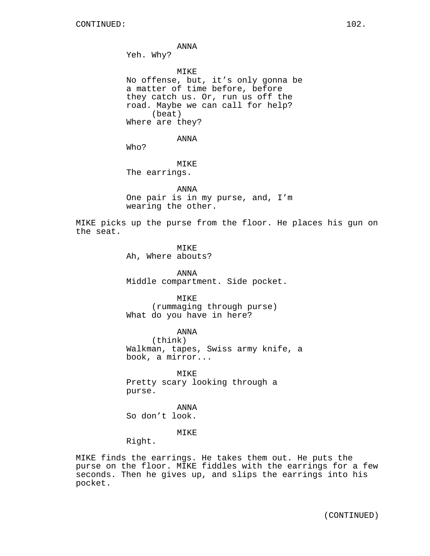ANNA Yeh. Why? MIKE No offense, but, it's only gonna be a matter of time before, before they catch us. Or, run us off the road. Maybe we can call for help? (beat) Where are they? ANNA Who? MIKE The earrings.

ANNA One pair is in my purse, and, I'm wearing the other.

MIKE picks up the purse from the floor. He places his gun on the seat.

> MIKE Ah, Where abouts?

ANNA Middle compartment. Side pocket.

MIKE (rummaging through purse) What do you have in here?

ANNA (think) Walkman, tapes, Swiss army knife, a book, a mirror...

MIKE Pretty scary looking through a purse.

ANNA So don't look.

MIKE

Right.

MIKE finds the earrings. He takes them out. He puts the purse on the floor. MIKE fiddles with the earrings for a few seconds. Then he gives up, and slips the earrings into his pocket.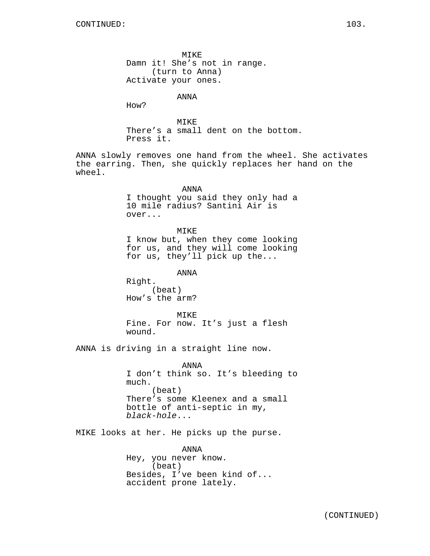MIKE Damn it! She's not in range. (turn to Anna) Activate your ones. ANNA How? MIKE There's a small dent on the bottom. Press it. ANNA slowly removes one hand from the wheel. She activates the earring. Then, she quickly replaces her hand on the wheel. ANNA I thought you said they only had a 10 mile radius? Santini Air is over... MIKE I know but, when they come looking for us, and they will come looking for us, they'll pick up the... ANNA Right. (beat) How's the arm? MIKE Fine. For now. It's just a flesh wound. ANNA is driving in a straight line now. ANNA I don't think so. It's bleeding to much. (beat) There's some Kleenex and a small bottle of anti-septic in my, black-hole... MIKE looks at her. He picks up the purse. ANNA Hey, you never know. (beat) Besides, I've been kind of... accident prone lately.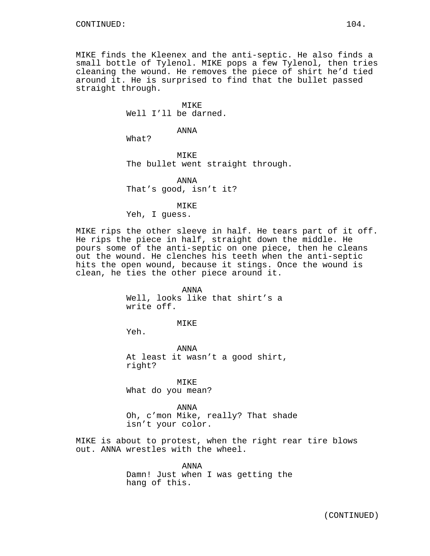MIKE finds the Kleenex and the anti-septic. He also finds a small bottle of Tylenol. MIKE pops a few Tylenol, then tries cleaning the wound. He removes the piece of shirt he'd tied around it. He is surprised to find that the bullet passed straight through.

> MIKE Well I'll be darned.

> > ANNA

What?

MIKE The bullet went straight through.

ANNA That's good, isn't it?

MIKE

Yeh, I guess.

MIKE rips the other sleeve in half. He tears part of it off. He rips the piece in half, straight down the middle. He pours some of the anti-septic on one piece, then he cleans out the wound. He clenches his teeth when the anti-septic hits the open wound, because it stings. Once the wound is clean, he ties the other piece around it.

> ANNA Well, looks like that shirt's a write off.

> > MIKE

Yeh.

ANNA At least it wasn't a good shirt, right?

MIKE What do you mean?

ANNA Oh, c'mon Mike, really? That shade isn't your color.

MIKE is about to protest, when the right rear tire blows out. ANNA wrestles with the wheel.

> ANNA Damn! Just when I was getting the hang of this.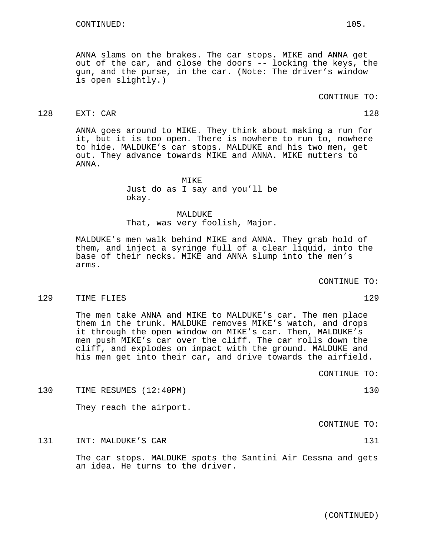ANNA slams on the brakes. The car stops. MIKE and ANNA get out of the car, and close the doors -- locking the keys, the gun, and the purse, in the car. (Note: The driver's window is open slightly.)

### CONTINUE TO:

## 128 EXT: CAR 128

ANNA goes around to MIKE. They think about making a run for it, but it is too open. There is nowhere to run to, nowhere to hide. MALDUKE's car stops. MALDUKE and his two men, get out. They advance towards MIKE and ANNA. MIKE mutters to ANNA.

> MIKE Just do as I say and you'll be okay.

MALDUKE That, was very foolish, Major.

MALDUKE's men walk behind MIKE and ANNA. They grab hold of them, and inject a syringe full of a clear liquid, into the base of their necks. MIKE and ANNA slump into the men's arms.

CONTINUE TO:

#### 129 TIME FLIES 129

The men take ANNA and MIKE to MALDUKE's car. The men place them in the trunk. MALDUKE removes MIKE's watch, and drops it through the open window on MIKE's car. Then, MALDUKE's men push MIKE's car over the cliff. The car rolls down the cliff, and explodes on impact with the ground. MALDUKE and his men get into their car, and drive towards the airfield.

CONTINUE TO:

130 TIME RESUMES (12:40PM) 130

They reach the airport.

CONTINUE TO:

131 INT: MALDUKE'S CAR 131

The car stops. MALDUKE spots the Santini Air Cessna and gets an idea. He turns to the driver.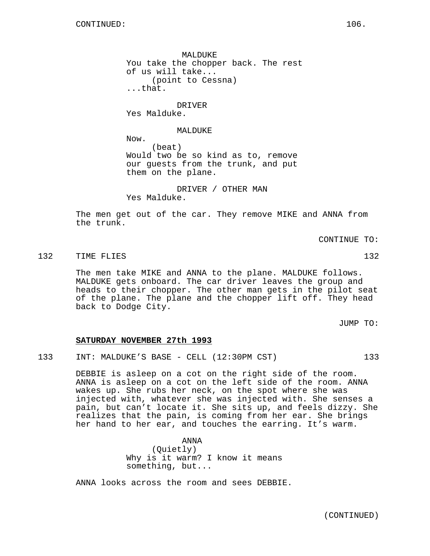MALDUKE You take the chopper back. The rest of us will take... (point to Cessna) ...that.

DRIVER Yes Malduke.

### MALDUKE

Now. (beat) Would two be so kind as to, remove our guests from the trunk, and put them on the plane.

DRIVER / OTHER MAN Yes Malduke.

The men get out of the car. They remove MIKE and ANNA from the trunk.

CONTINUE TO:

132 TIME FLIES 132

The men take MIKE and ANNA to the plane. MALDUKE follows. MALDUKE gets onboard. The car driver leaves the group and heads to their chopper. The other man gets in the pilot seat of the plane. The plane and the chopper lift off. They head back to Dodge City.

JUMP TO:

### **SATURDAY NOVEMBER 27th 1993**

133 INT: MALDUKE'S BASE - CELL (12:30PM CST) 133

DEBBIE is asleep on a cot on the right side of the room. ANNA is asleep on a cot on the left side of the room. ANNA wakes up. She rubs her neck, on the spot where she was injected with, whatever she was injected with. She senses a pain, but can't locate it. She sits up, and feels dizzy. She realizes that the pain, is coming from her ear. She brings her hand to her ear, and touches the earring. It's warm.

> ANNA (Quietly) Why is it warm? I know it means something, but...

ANNA looks across the room and sees DEBBIE.

(CONTINUED)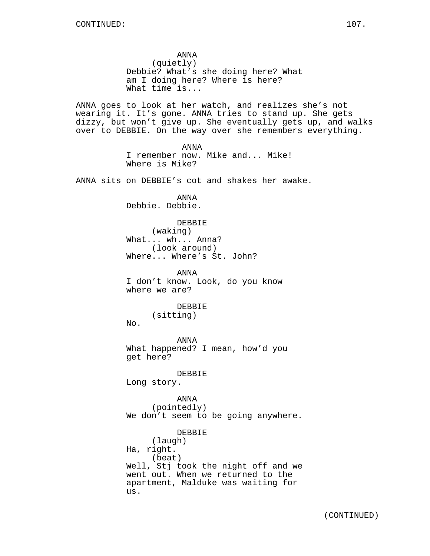ANNA (quietly) Debbie? What's she doing here? What am I doing here? Where is here? What time is... ANNA goes to look at her watch, and realizes she's not wearing it. It's gone. ANNA tries to stand up. She gets dizzy, but won't give up. She eventually gets up, and walks over to DEBBIE. On the way over she remembers everything. ANNA I remember now. Mike and... Mike! Where is Mike? ANNA sits on DEBBIE's cot and shakes her awake. ANNA Debbie. Debbie. DEBBIE (waking) What... wh... Anna? (look around) Where... Where's St. John? ANNA I don't know. Look, do you know where we are? DEBBIE (sitting) No. ANNA What happened? I mean, how'd you get here? DEBBIE Long story. ANNA (pointedly) We don't seem to be going anywhere. DEBBIE (laugh) Ha, right. (beat) Well, Stj took the night off and we went out. When we returned to the apartment, Malduke was waiting for us.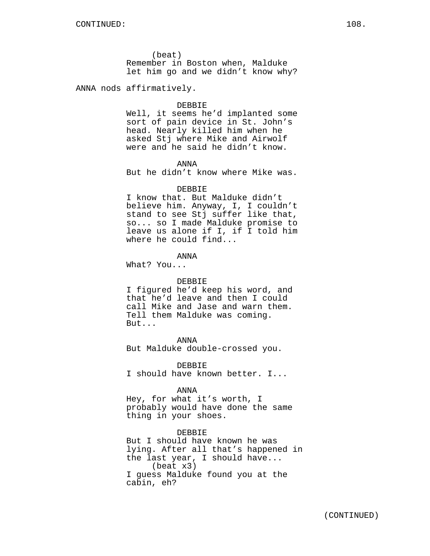(beat) Remember in Boston when, Malduke let him go and we didn't know why?

ANNA nods affirmatively.

#### DEBBIE

Well, it seems he'd implanted some sort of pain device in St. John's head. Nearly killed him when he asked Stj where Mike and Airwolf were and he said he didn't know.

# ANNA

But he didn't know where Mike was.

# DEBBIE

I know that. But Malduke didn't believe him. Anyway, I, I couldn't stand to see Stj suffer like that, so... so I made Malduke promise to leave us alone if I, if I told him where he could find...

# ANNA

What? You...

# DEBBIE

I figured he'd keep his word, and that he'd leave and then I could call Mike and Jase and warn them. Tell them Malduke was coming. But...

ANNA But Malduke double-crossed you.

DEBBIE I should have known better. I...

#### ANNA

Hey, for what it's worth, I probably would have done the same thing in your shoes.

# DEBBIE

But I should have known he was lying. After all that's happened in the last year, I should have... (beat x3) I guess Malduke found you at the cabin, eh?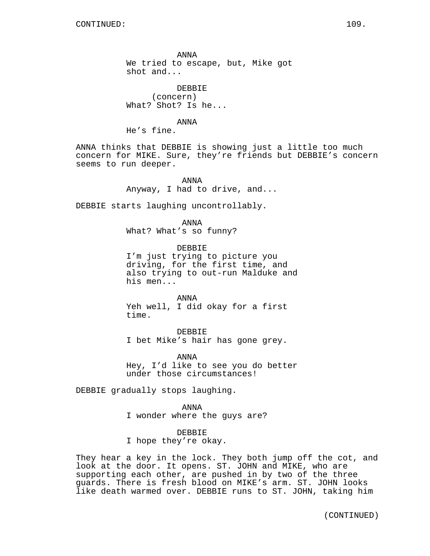ANNA We tried to escape, but, Mike got shot and...

DEBBIE (concern) What? Shot? Is he...

ANNA He's fine.

ANNA thinks that DEBBIE is showing just a little too much concern for MIKE. Sure, they're friends but DEBBIE's concern seems to run deeper.

> ANNA Anyway, I had to drive, and...

DEBBIE starts laughing uncontrollably.

ANNA

What? What's so funny?

DEBBIE I'm just trying to picture you driving, for the first time, and also trying to out-run Malduke and his men...

ANNA Yeh well, I did okay for a first time.

DEBBIE I bet Mike's hair has gone grey.

ANNA Hey, I'd like to see you do better under those circumstances!

DEBBIE gradually stops laughing.

ANNA I wonder where the guys are?

DEBBIE I hope they're okay.

They hear a key in the lock. They both jump off the cot, and look at the door. It opens. ST. JOHN and MIKE, who are supporting each other, are pushed in by two of the three guards. There is fresh blood on MIKE's arm. ST. JOHN looks like death warmed over. DEBBIE runs to ST. JOHN, taking him

(CONTINUED)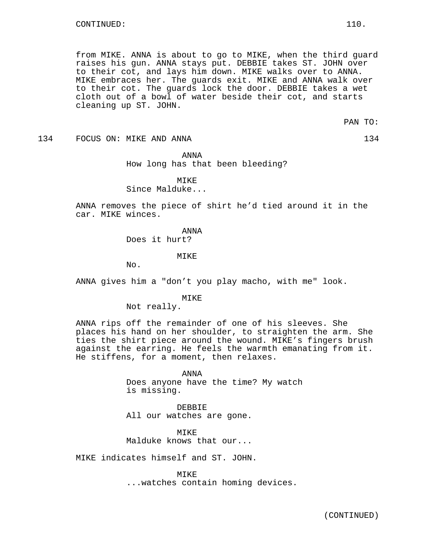from MIKE. ANNA is about to go to MIKE, when the third guard raises his gun. ANNA stays put. DEBBIE takes ST. JOHN over to their cot, and lays him down. MIKE walks over to ANNA. MIKE embraces her. The guards exit. MIKE and ANNA walk over to their cot. The guards lock the door. DEBBIE takes a wet cloth out of a bowl of water beside their cot, and starts cleaning up ST. JOHN.

PAN TO:

134 FOCUS ON: MIKE AND ANNA 134 134

ANNA How long has that been bleeding?

MTK<sub>E</sub> Since Malduke...

ANNA removes the piece of shirt he'd tied around it in the car. MIKE winces.

> ANNA Does it hurt?

> > **MTKE**

No.

ANNA gives him a "don't you play macho, with me" look.

MIKE

Not really.

ANNA rips off the remainder of one of his sleeves. She places his hand on her shoulder, to straighten the arm. She ties the shirt piece around the wound. MIKE's fingers brush against the earring. He feels the warmth emanating from it. He stiffens, for a moment, then relaxes.

> ANNA Does anyone have the time? My watch is missing.

DEBBIE All our watches are gone.

MIKE Malduke knows that our...

MIKE indicates himself and ST. JOHN.

MIKE ...watches contain homing devices.

(CONTINUED)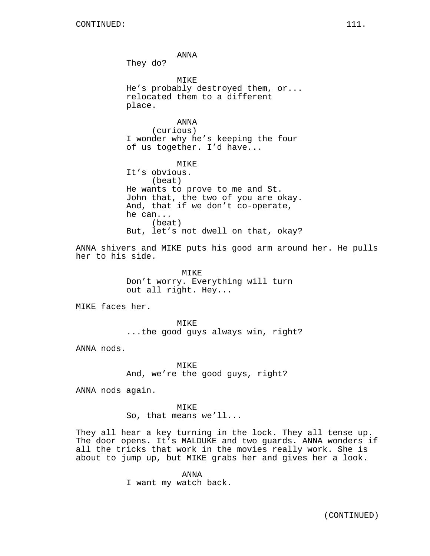ANNA They do? MIKE He's probably destroyed them, or... relocated them to a different place. ANNA (curious) I wonder why he's keeping the four of us together. I'd have... MIKE It's obvious. (beat) He wants to prove to me and St. John that, the two of you are okay. And, that if we don't co-operate, he can... (beat) But, let's not dwell on that, okay? ANNA shivers and MIKE puts his good arm around her. He pulls her to his side. MIKE Don't worry. Everything will turn out all right. Hey...

MIKE faces her.

MIKE ...the good guys always win, right?

ANNA nods.

MIKE And, we're the good guys, right?

ANNA nods again.

MIKE So, that means we'll...

They all hear a key turning in the lock. They all tense up. The door opens. It's MALDUKE and two guards. ANNA wonders if all the tricks that work in the movies really work. She is about to jump up, but MIKE grabs her and gives her a look.

> ANNA I want my watch back.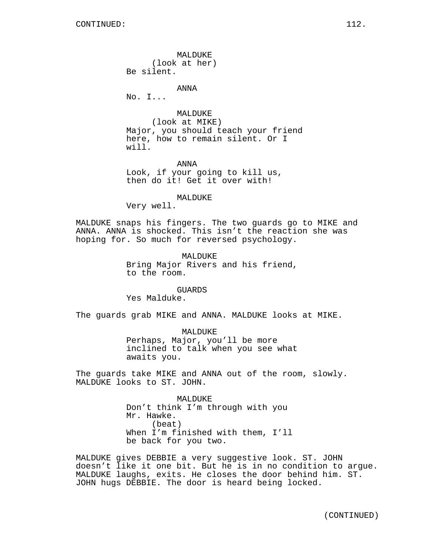MALDUKE (look at her) Be silent.

ANNA

No. I...

MALDUKE (look at MIKE) Major, you should teach your friend here, how to remain silent. Or I will.

ANNA Look, if your going to kill us, then do it! Get it over with!

MALDUKE

Very well.

MALDUKE snaps his fingers. The two guards go to MIKE and ANNA. ANNA is shocked. This isn't the reaction she was hoping for. So much for reversed psychology.

> MALDUKE Bring Major Rivers and his friend, to the room.

GUARDS Yes Malduke.

The guards grab MIKE and ANNA. MALDUKE looks at MIKE.

MALDUKE Perhaps, Major, you'll be more inclined to talk when you see what awaits you.

The guards take MIKE and ANNA out of the room, slowly. MALDUKE looks to ST. JOHN.

> MALDUKE Don't think I'm through with you Mr. Hawke. (beat) When I'm finished with them, I'll be back for you two.

MALDUKE gives DEBBIE a very suggestive look. ST. JOHN doesn't like it one bit. But he is in no condition to argue. MALDUKE laughs, exits. He closes the door behind him. ST. JOHN hugs DEBBIE. The door is heard being locked.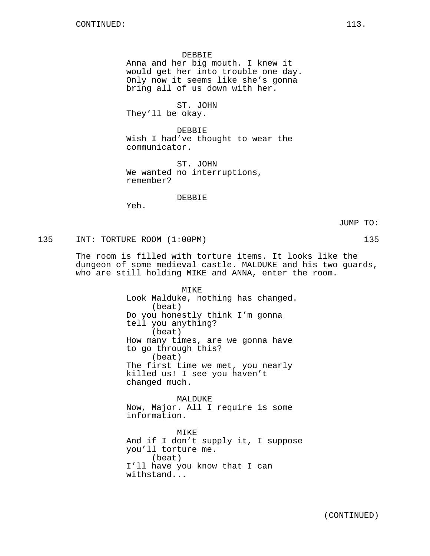DEBBIE

Anna and her big mouth. I knew it would get her into trouble one day. Only now it seems like she's gonna bring all of us down with her.

ST. JOHN

They'll be okay.

DEBBIE Wish I had've thought to wear the communicator.

ST. JOHN We wanted no interruptions, remember?

DEBBIE

Yeh.

JUMP TO:

135 INT: TORTURE ROOM (1:00PM) 135

The room is filled with torture items. It looks like the dungeon of some medieval castle. MALDUKE and his two guards, who are still holding MIKE and ANNA, enter the room.

> MIKE Look Malduke, nothing has changed. (beat) Do you honestly think I'm gonna tell you anything? (beat) How many times, are we gonna have to go through this? (beat) The first time we met, you nearly killed us! I see you haven't changed much.

MALDUKE Now, Major. All I require is some information.

MIKE And if I don't supply it, I suppose you'll torture me. (beat) I'll have you know that I can withstand...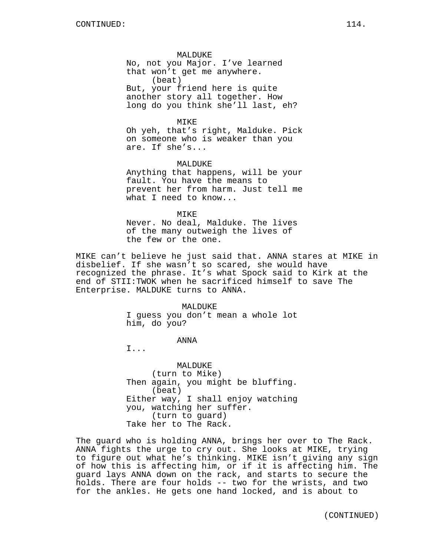MALDUKE No, not you Major. I've learned that won't get me anywhere. (beat) But, your friend here is quite another story all together. How long do you think she'll last, eh?

MIKE Oh yeh, that's right, Malduke. Pick on someone who is weaker than you are. If she's...

MALDUKE Anything that happens, will be your fault. You have the means to prevent her from harm. Just tell me what I need to know...

MTKF. Never. No deal, Malduke. The lives of the many outweigh the lives of the few or the one.

MIKE can't believe he just said that. ANNA stares at MIKE in disbelief. If she wasn't so scared, she would have recognized the phrase. It's what Spock said to Kirk at the end of STII:TWOK when he sacrificed himself to save The Enterprise. MALDUKE turns to ANNA.

# MALDUKE

I guess you don't mean a whole lot him, do you?

# ANNA

I...

MALDUKE (turn to Mike) Then again, you might be bluffing. (beat) Either way, I shall enjoy watching you, watching her suffer. (turn to guard) Take her to The Rack.

The guard who is holding ANNA, brings her over to The Rack. ANNA fights the urge to cry out. She looks at MIKE, trying to figure out what he's thinking. MIKE isn't giving any sign of how this is affecting him, or if it is affecting him. The guard lays ANNA down on the rack, and starts to secure the holds. There are four holds -- two for the wrists, and two for the ankles. He gets one hand locked, and is about to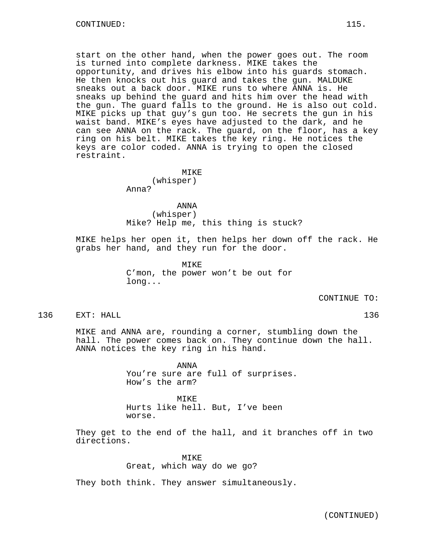start on the other hand, when the power goes out. The room is turned into complete darkness. MIKE takes the opportunity, and drives his elbow into his guards stomach. He then knocks out his guard and takes the gun. MALDUKE sneaks out a back door. MIKE runs to where ANNA is. He sneaks up behind the guard and hits him over the head with the gun. The guard falls to the ground. He is also out cold. MIKE picks up that guy's gun too. He secrets the gun in his waist band. MIKE's eyes have adjusted to the dark, and he can see ANNA on the rack. The guard, on the floor, has a key ring on his belt. MIKE takes the key ring. He notices the keys are color coded. ANNA is trying to open the closed restraint.

> MTKE<sup>®</sup> (whisper) Anna?

ANNA (whisper) Mike? Help me, this thing is stuck?

MIKE helps her open it, then helps her down off the rack. He grabs her hand, and they run for the door.

> MIKE C'mon, the power won't be out for long...

> > CONTINUE TO:

136 EXT: HALL 136

MIKE and ANNA are, rounding a corner, stumbling down the hall. The power comes back on. They continue down the hall. ANNA notices the key ring in his hand.

> ANNA You're sure are full of surprises. How's the arm?

MTK<sub>E</sub> Hurts like hell. But, I've been worse.

They get to the end of the hall, and it branches off in two directions.

> MIKE Great, which way do we go?

They both think. They answer simultaneously.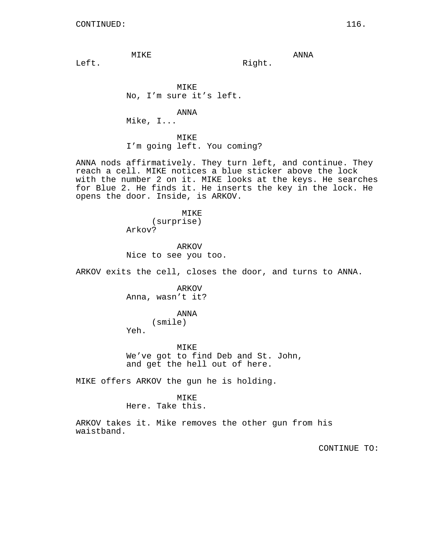MIKE

ANNA

Right.

Left.

MIKE No, I'm sure it's left.

ANNA

Mike, I...

MIKE I'm going left. You coming?

ANNA nods affirmatively. They turn left, and continue. They reach a cell. MIKE notices a blue sticker above the lock with the number 2 on it. MIKE looks at the keys. He searches for Blue 2. He finds it. He inserts the key in the lock. He opens the door. Inside, is ARKOV.

> MIKE (surprise) Arkov?

ARKOV Nice to see you too.

ARKOV exits the cell, closes the door, and turns to ANNA.

ARKOV Anna, wasn't it?

> ANNA (smile)

Yeh.

MIKE We've got to find Deb and St. John, and get the hell out of here.

MIKE offers ARKOV the gun he is holding.

# MIKE

Here. Take this.

ARKOV takes it. Mike removes the other gun from his waistband.

CONTINUE TO: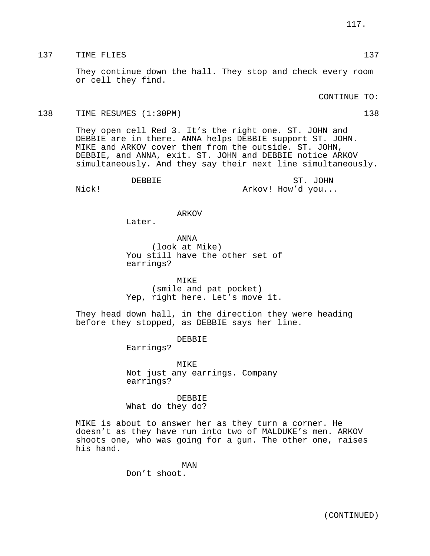# 137 TIME FLIES 137 137

They continue down the hall. They stop and check every room or cell they find.

# CONTINUE TO:

## 138 TIME RESUMES (1:30PM) 138

They open cell Red 3. It's the right one. ST. JOHN and DEBBIE are in there. ANNA helps DEBBIE support ST. JOHN. MIKE and ARKOV cover them from the outside. ST. JOHN, DEBBIE, and ANNA, exit. ST. JOHN and DEBBIE notice ARKOV simultaneously. And they say their next line simultaneously.

DEBBIE

ST. JOHN Arkov! How'd you...

Nick!

# ARKOV

Later.

ANNA (look at Mike) You still have the other set of earrings?

MIKE (smile and pat pocket) Yep, right here. Let's move it.

They head down hall, in the direction they were heading before they stopped, as DEBBIE says her line.

# DEBBIE

Earrings?

MIKE Not just any earrings. Company earrings?

DEBBIE What do they do?

MIKE is about to answer her as they turn a corner. He doesn't as they have run into two of MALDUKE's men. ARKOV shoots one, who was going for a gun. The other one, raises his hand.

> MAN Don't shoot.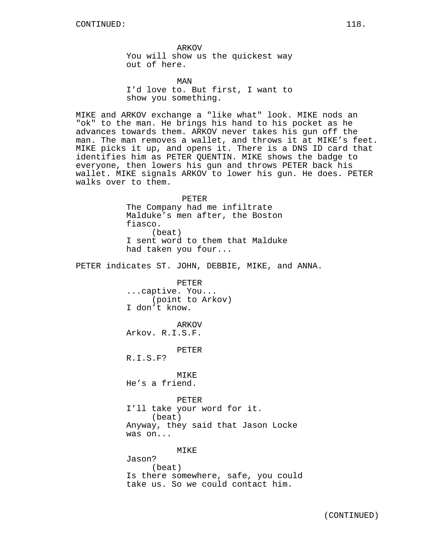ARKOV You will show us the quickest way out of here.

MAN I'd love to. But first, I want to show you something.

MIKE and ARKOV exchange a "like what" look. MIKE nods an "ok" to the man. He brings his hand to his pocket as he advances towards them. ARKOV never takes his gun off the man. The man removes a wallet, and throws it at MIKE's feet. MIKE picks it up, and opens it. There is a DNS ID card that identifies him as PETER QUENTIN. MIKE shows the badge to everyone, then lowers his gun and throws PETER back his wallet. MIKE signals ARKOV to lower his gun. He does. PETER walks over to them.

> PETER The Company had me infiltrate Malduke's men after, the Boston fiasco. (beat) I sent word to them that Malduke had taken you four...

PETER indicates ST. JOHN, DEBBIE, MIKE, and ANNA.

PETER ...captive. You... (point to Arkov) I don't know.

ARKOV Arkov. R.I.S.F.

PETER

R.I.S.F?

MIKE He's a friend.

PETER I'll take your word for it. (beat) Anyway, they said that Jason Locke was on...

MIKE Jason? (beat) Is there somewhere, safe, you could take us. So we could contact him.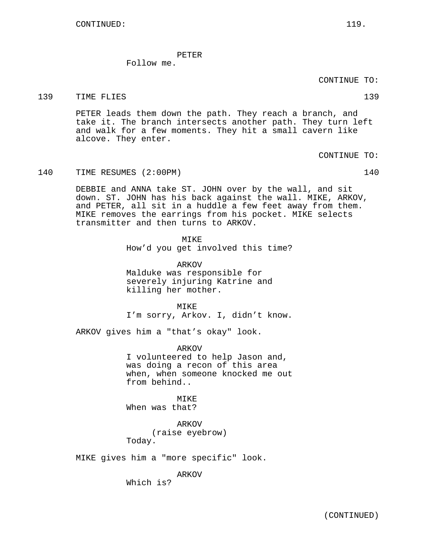PETER

Follow me.

CONTINUE TO:

139 TIME FLIES 2002 139 2004 139

PETER leads them down the path. They reach a branch, and take it. The branch intersects another path. They turn left and walk for a few moments. They hit a small cavern like alcove. They enter.

CONTINUE TO:

140 TIME RESUMES (2:00PM) 140

DEBBIE and ANNA take ST. JOHN over by the wall, and sit down. ST. JOHN has his back against the wall. MIKE, ARKOV, and PETER, all sit in a huddle a few feet away from them. MIKE removes the earrings from his pocket. MIKE selects transmitter and then turns to ARKOV.

> **MTKE** How'd you get involved this time?

ARKOV Malduke was responsible for severely injuring Katrine and killing her mother.

MTK<sub>E</sub> I'm sorry, Arkov. I, didn't know.

ARKOV gives him a "that's okay" look.

ARKOV I volunteered to help Jason and, was doing a recon of this area when, when someone knocked me out from behind..

MIKE When was that?

ARKOV (raise eyebrow) Today.

MIKE gives him a "more specific" look.

ARKOV

Which is?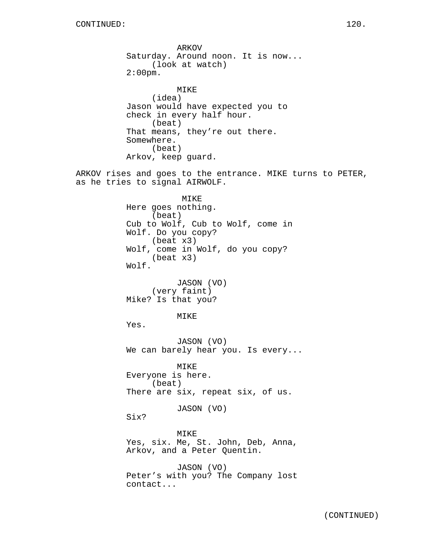ARKOV Saturday. Around noon. It is now... (look at watch) 2:00pm. MIKE (idea) Jason would have expected you to check in every half hour. (beat) That means, they're out there. Somewhere. (beat) Arkov, keep guard. ARKOV rises and goes to the entrance. MIKE turns to PETER, as he tries to signal AIRWOLF. MIKE Here goes nothing. (beat) Cub to Wolf, Cub to Wolf, come in Wolf. Do you copy? (beat x3) Wolf, come in Wolf, do you copy? (beat x3) Wolf. JASON (VO) (very faint) Mike? Is that you? MIKE Yes. JASON (VO) We can barely hear you. Is every... MIKE Everyone is here. (beat) There are six, repeat six, of us. JASON (VO) Six? MIKE Yes, six. Me, St. John, Deb, Anna, Arkov, and a Peter Quentin. JASON (VO) Peter's with you? The Company lost contact...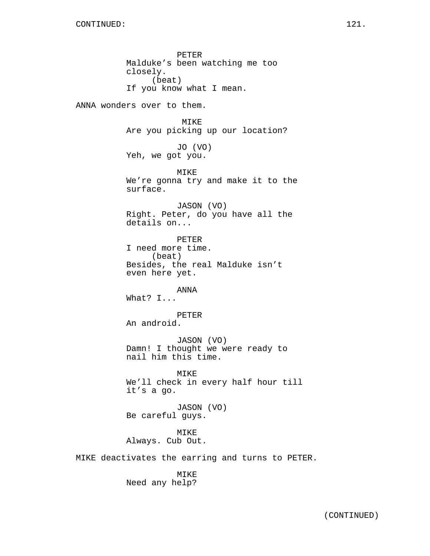PETER Malduke's been watching me too closely. (beat) If you know what I mean. ANNA wonders over to them. MIKE Are you picking up our location? JO (VO) Yeh, we got you. MIKE We're gonna try and make it to the surface. JASON (VO) Right. Peter, do you have all the details on... PETER I need more time. (beat) Besides, the real Malduke isn't even here yet. ANNA What? I... PETER An android. JASON (VO) Damn! I thought we were ready to nail him this time. MIKE We'll check in every half hour till it's a go. JASON (VO) Be careful guys. MIKE Always. Cub Out. MIKE deactivates the earring and turns to PETER.

> MIKE Need any help?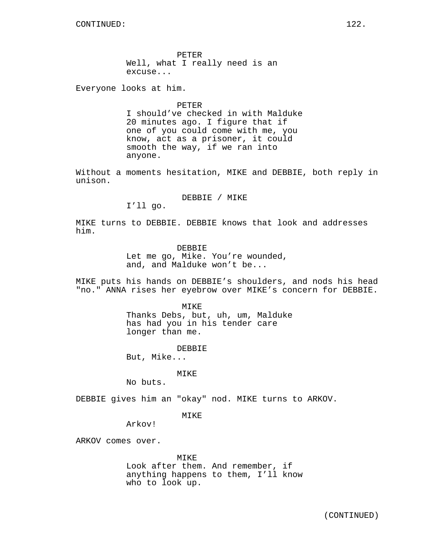PETER Well, what I really need is an excuse...

Everyone looks at him.

PETER I should've checked in with Malduke 20 minutes ago. I figure that if one of you could come with me, you know, act as a prisoner, it could smooth the way, if we ran into anyone.

Without a moments hesitation, MIKE and DEBBIE, both reply in unison.

DEBBIE / MIKE

I'll go.

MIKE turns to DEBBIE. DEBBIE knows that look and addresses him.

> DEBBIE Let me go, Mike. You're wounded, and, and Malduke won't be...

MIKE puts his hands on DEBBIE's shoulders, and nods his head "no." ANNA rises her eyebrow over MIKE's concern for DEBBIE.

> MIKE Thanks Debs, but, uh, um, Malduke has had you in his tender care longer than me.

> > DEBBIE

But, Mike...

# MIKE

No buts.

DEBBIE gives him an "okay" nod. MIKE turns to ARKOV.

MIKE

Arkov!

ARKOV comes over.

MIKE Look after them. And remember, if anything happens to them, I'll know who to look up.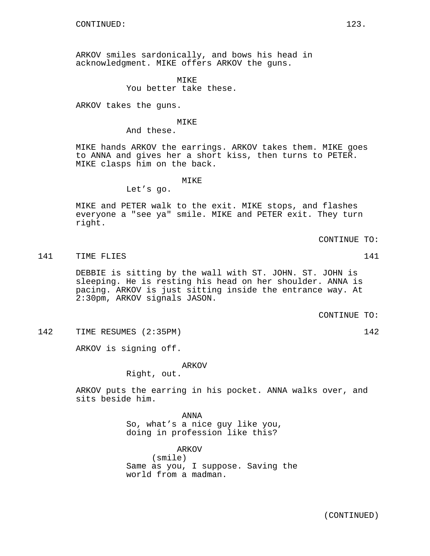ARKOV smiles sardonically, and bows his head in acknowledgment. MIKE offers ARKOV the guns.

> **MTKE** You better take these.

ARKOV takes the guns.

# MIKE

And these.

MIKE hands ARKOV the earrings. ARKOV takes them. MIKE goes to ANNA and gives her a short kiss, then turns to PETER. MIKE clasps him on the back.

MIKE

Let's go.

MIKE and PETER walk to the exit. MIKE stops, and flashes everyone a "see ya" smile. MIKE and PETER exit. They turn right.

CONTINUE TO:

141 TIME FLIES 2001 141 2002 141

DEBBIE is sitting by the wall with ST. JOHN. ST. JOHN is sleeping. He is resting his head on her shoulder. ANNA is pacing. ARKOV is just sitting inside the entrance way. At 2:30pm, ARKOV signals JASON.

CONTINUE TO:

142 TIME RESUMES (2:35PM) 142

ARKOV is signing off.

ARKOV

Right, out.

ARKOV puts the earring in his pocket. ANNA walks over, and sits beside him.

> ANNA So, what's a nice guy like you, doing in profession like this?

ARKOV (smile) Same as you, I suppose. Saving the world from a madman.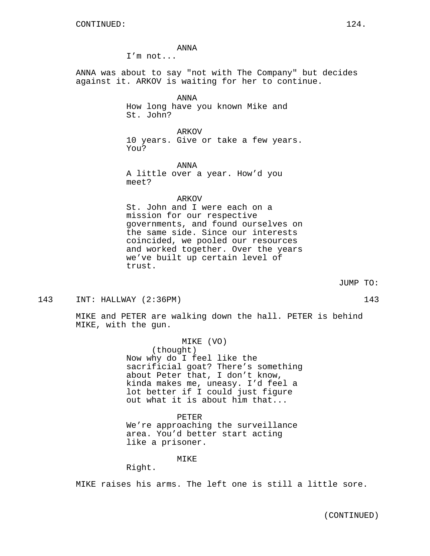ANNA

I'm not...

ANNA was about to say "not with The Company" but decides against it. ARKOV is waiting for her to continue.

> ANNA How long have you known Mike and St. John?

ARKOV 10 years. Give or take a few years. You?

ANNA A little over a year. How'd you meet?

ARKOV

St. John and I were each on a mission for our respective governments, and found ourselves on the same side. Since our interests coincided, we pooled our resources and worked together. Over the years we've built up certain level of trust.

JUMP TO:

# 143 INT: HALLWAY (2:36PM) 143

MIKE and PETER are walking down the hall. PETER is behind MIKE, with the gun.

> MIKE (VO) (thought) Now why do I feel like the sacrificial goat? There's something about Peter that, I don't know, kinda makes me, uneasy. I'd feel a lot better if I could just figure out what it is about him that...

PETER We're approaching the surveillance area. You'd better start acting like a prisoner.

MIKE

Right.

MIKE raises his arms. The left one is still a little sore.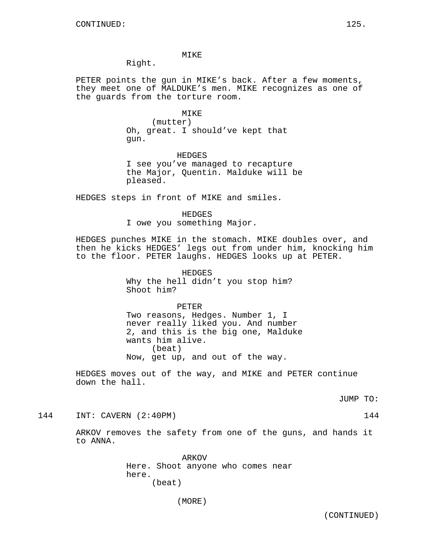# MIKE

Right.

PETER points the gun in MIKE's back. After a few moments, they meet one of MALDUKE's men. MIKE recognizes as one of the guards from the torture room.

#### MIKE

(mutter) Oh, great. I should've kept that gun.

HEDGES I see you've managed to recapture the Major, Quentin. Malduke will be pleased.

HEDGES steps in front of MIKE and smiles.

HEDGES I owe you something Major.

HEDGES punches MIKE in the stomach. MIKE doubles over, and then he kicks HEDGES' legs out from under him, knocking him to the floor. PETER laughs. HEDGES looks up at PETER.

> HEDGES Why the hell didn't you stop him? Shoot him?

PETER Two reasons, Hedges. Number 1, I never really liked you. And number 2, and this is the big one, Malduke wants him alive. (beat) Now, get up, and out of the way.

HEDGES moves out of the way, and MIKE and PETER continue down the hall.

JUMP TO:

144 INT: CAVERN (2:40PM) 144

ARKOV removes the safety from one of the guns, and hands it to ANNA.

> ARKOV Here. Shoot anyone who comes near here. (beat)

> > (MORE)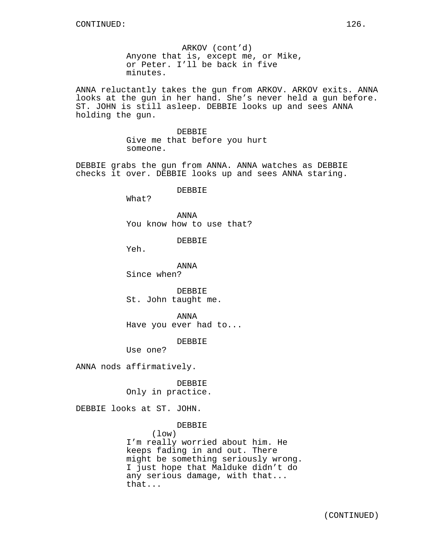ARKOV (cont'd) Anyone that is, except me, or Mike, or Peter. I'll be back in five minutes.

ANNA reluctantly takes the gun from ARKOV. ARKOV exits. ANNA looks at the gun in her hand. She's never held a gun before. ST. JOHN is still asleep. DEBBIE looks up and sees ANNA holding the gun.

> DEBBIE Give me that before you hurt someone.

DEBBIE grabs the gun from ANNA. ANNA watches as DEBBIE checks it over. DEBBIE looks up and sees ANNA staring.

DEBBIE

What?

ANNA You know how to use that?

DEBBIE

Yeh.

ANNA Since when?

**DEBBIE** St. John taught me.

ANNA Have you ever had to...

DEBBIE

Use one?

ANNA nods affirmatively.

DEBBIE Only in practice.

DEBBIE looks at ST. JOHN.

DEBBIE

(low)

I'm really worried about him. He keeps fading in and out. There might be something seriously wrong. I just hope that Malduke didn't do any serious damage, with that... that...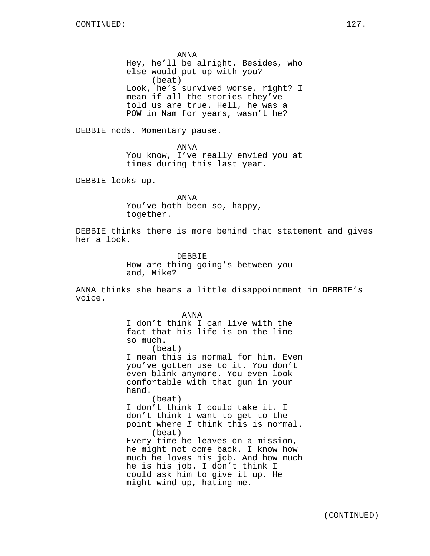ANNA Hey, he'll be alright. Besides, who else would put up with you? (beat) Look, he's survived worse, right? I mean if all the stories they've told us are true. Hell, he was a POW in Nam for years, wasn't he?

DEBBIE nods. Momentary pause.

ANNA You know, I've really envied you at times during this last year.

DEBBIE looks up.

ANNA You've both been so, happy, together.

DEBBIE thinks there is more behind that statement and gives her a look.

> DEBBIE How are thing going's between you and, Mike?

ANNA thinks she hears a little disappointment in DEBBIE's voice.

> ANNA I don't think I can live with the fact that his life is on the line so much. (beat) I mean this is normal for him. Even you've gotten use to it. You don't even blink anymore. You even look comfortable with that gun in your hand. (beat) I don't think I could take it. I don't think I want to get to the point where I think this is normal. (beat) Every time he leaves on a mission, he might not come back. I know how much he loves his job. And how much he is his job. I don't think I could ask him to give it up. He might wind up, hating me.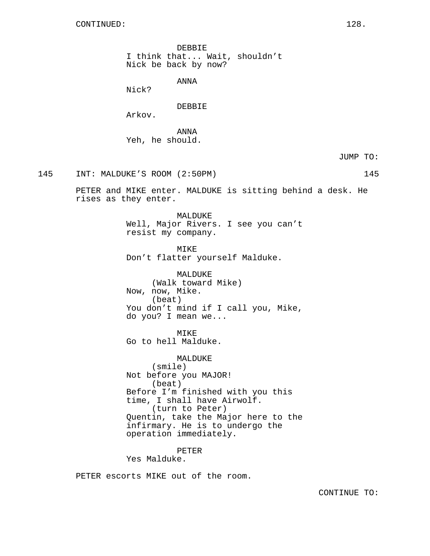DEBBIE I think that... Wait, shouldn't Nick be back by now?

ANNA

Nick?

DEBBIE

Arkov.

ANNA Yeh, he should.

JUMP TO:

145 INT: MALDUKE'S ROOM (2:50PM) 145

PETER and MIKE enter. MALDUKE is sitting behind a desk. He rises as they enter.

> MALDUKE Well, Major Rivers. I see you can't resist my company.

MIKE Don't flatter yourself Malduke.

MALDUKE (Walk toward Mike) Now, now, Mike. (beat) You don't mind if I call you, Mike, do you? I mean we...

MIKE

Go to hell Malduke.

MALDUKE (smile) Not before you MAJOR! (beat) Before I'm finished with you this time, I shall have Airwolf. (turn to Peter) Quentin, take the Major here to the infirmary. He is to undergo the operation immediately.

PETER Yes Malduke.

PETER escorts MIKE out of the room.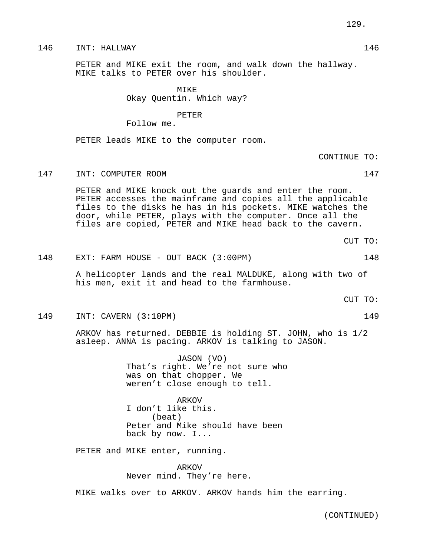PETER and MIKE exit the room, and walk down the hallway. MIKE talks to PETER over his shoulder.

> MIKE Okay Quentin. Which way?

PETER Follow me.

PETER leads MIKE to the computer room.

CONTINUE TO:

147 INT: COMPUTER ROOM 147

PETER and MIKE knock out the guards and enter the room. PETER accesses the mainframe and copies all the applicable files to the disks he has in his pockets. MIKE watches the door, while PETER, plays with the computer. Once all the files are copied, PETER and MIKE head back to the cavern.

CUT TO:

148 EXT: FARM HOUSE - OUT BACK (3:00PM) 148

A helicopter lands and the real MALDUKE, along with two of his men, exit it and head to the farmhouse.

149 INT: CAVERN (3:10PM) 149

ARKOV has returned. DEBBIE is holding ST. JOHN, who is 1/2 asleep. ANNA is pacing. ARKOV is talking to JASON.

> JASON (VO) That's right. We're not sure who was on that chopper. We weren't close enough to tell.

ARKOV I don't like this. (beat) Peter and Mike should have been back by now. I...

PETER and MIKE enter, running.

ARKOV Never mind. They're here.

MIKE walks over to ARKOV. ARKOV hands him the earring.

129.

- 
- 

CUT TO: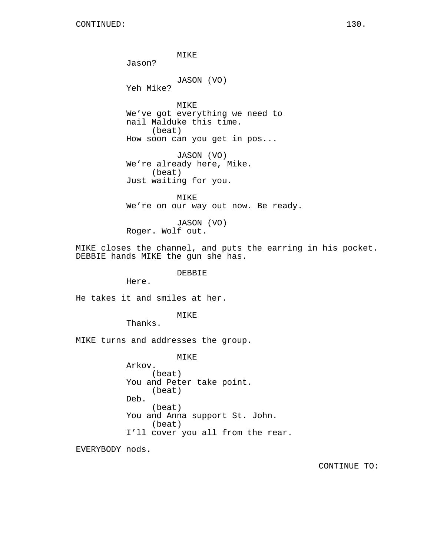MIKE Jason? JASON (VO) Yeh Mike? MIKE We've got everything we need to nail Malduke this time. (beat) How soon can you get in pos... JASON (VO) We're already here, Mike. (beat) Just waiting for you. MIKE We're on our way out now. Be ready. JASON (VO) Roger. Wolf out. MIKE closes the channel, and puts the earring in his pocket. DEBBIE hands MIKE the gun she has. DEBBIE Here. He takes it and smiles at her. MIKE Thanks.

MIKE turns and addresses the group.

MIKE Arkov. (beat) You and Peter take point. (beat) Deb. (beat) You and Anna support St. John. (beat) I'll cover you all from the rear.

EVERYBODY nods.

CONTINUE TO: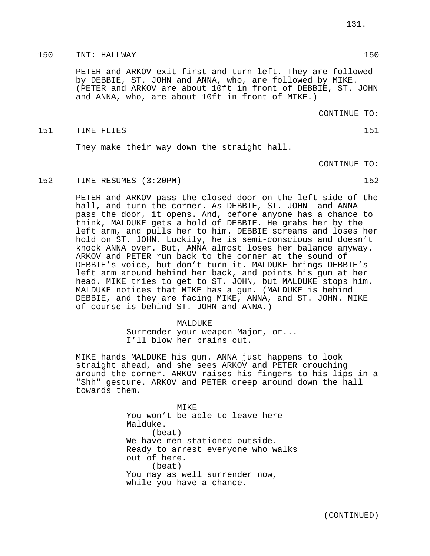# 150 INT: HALLWAY 150

PETER and ARKOV exit first and turn left. They are followed by DEBBIE, ST. JOHN and ANNA, who, are followed by MIKE. (PETER and ARKOV are about 10ft in front of DEBBIE, ST. JOHN and ANNA, who, are about 10ft in front of MIKE.)

CONTINUE TO:

# 151 TIME FLIES 151 SALES

They make their way down the straight hall.

CONTINUE TO:

152 TIME RESUMES (3:20PM) 152

PETER and ARKOV pass the closed door on the left side of the hall, and turn the corner. As DEBBIE, ST. JOHN and ANNA pass the door, it opens. And, before anyone has a chance to think, MALDUKE gets a hold of DEBBIE. He grabs her by the left arm, and pulls her to him. DEBBIE screams and loses her hold on ST. JOHN. Luckily, he is semi-conscious and doesn't knock ANNA over. But, ANNA almost loses her balance anyway. ARKOV and PETER run back to the corner at the sound of DEBBIE's voice, but don't turn it. MALDUKE brings DEBBIE's left arm around behind her back, and points his gun at her head. MIKE tries to get to ST. JOHN, but MALDUKE stops him. MALDUKE notices that MIKE has a gun. (MALDUKE is behind DEBBIE, and they are facing MIKE, ANNA, and ST. JOHN. MIKE of course is behind ST. JOHN and ANNA.)

#### MALDUKE

Surrender your weapon Major, or... I'll blow her brains out.

MIKE hands MALDUKE his gun. ANNA just happens to look straight ahead, and she sees ARKOV and PETER crouching around the corner. ARKOV raises his fingers to his lips in a "Shh" gesture. ARKOV and PETER creep around down the hall towards them.

> MIKE You won't be able to leave here Malduke. (beat) We have men stationed outside. Ready to arrest everyone who walks out of here. (beat) You may as well surrender now, while you have a chance.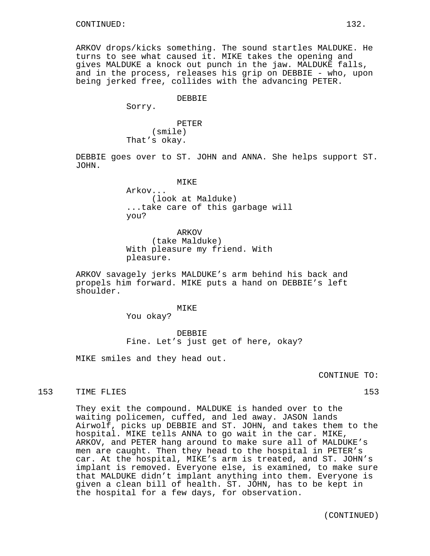ARKOV drops/kicks something. The sound startles MALDUKE. He turns to see what caused it. MIKE takes the opening and gives MALDUKE a knock out punch in the jaw. MALDUKE falls, and in the process, releases his grip on DEBBIE - who, upon being jerked free, collides with the advancing PETER.

#### DEBBIE

Sorry.

PETER (smile) That's okay.

DEBBIE goes over to ST. JOHN and ANNA. She helps support ST. JOHN.

Arkov... (look at Malduke) ...take care of this garbage will you?

ARKOV (take Malduke) With pleasure my friend. With pleasure.

ARKOV savagely jerks MALDUKE's arm behind his back and propels him forward. MIKE puts a hand on DEBBIE's left shoulder.

# MIKE

You okay?

DEBBIE Fine. Let's just get of here, okay?

MIKE smiles and they head out.

CONTINUE TO:

153 TIME FLIES 153

They exit the compound. MALDUKE is handed over to the waiting policemen, cuffed, and led away. JASON lands Airwolf, picks up DEBBIE and ST. JOHN, and takes them to the hospital. MIKE tells ANNA to go wait in the car. MIKE, ARKOV, and PETER hang around to make sure all of MALDUKE's men are caught. Then they head to the hospital in PETER's car. At the hospital, MIKE's arm is treated, and ST. JOHN's implant is removed. Everyone else, is examined, to make sure that MALDUKE didn't implant anything into them. Everyone is given a clean bill of health. ST. JOHN, has to be kept in the hospital for a few days, for observation.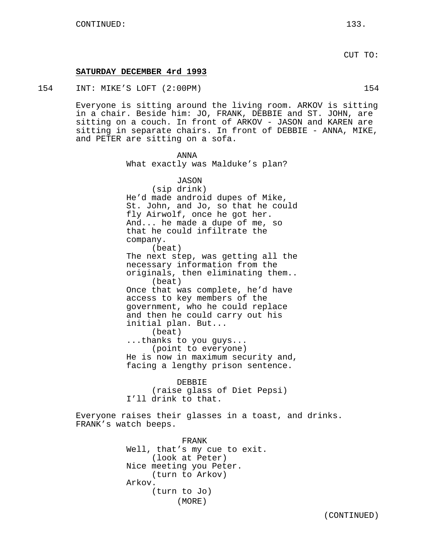# **SATURDAY DECEMBER 4rd 1993**

Arkov.

(turn to Jo)

(MORE)

154 INT: MIKE'S LOFT (2:00PM) 154

Everyone is sitting around the living room. ARKOV is sitting in a chair. Beside him: JO, FRANK, DEBBIE and ST. JOHN, are sitting on a couch. In front of ARKOV - JASON and KAREN are sitting in separate chairs. In front of DEBBIE - ANNA, MIKE, and PETER are sitting on a sofa.

ANNA What exactly was Malduke's plan? JASON (sip drink) He'd made android dupes of Mike, St. John, and Jo, so that he could fly Airwolf, once he got her. And... he made a dupe of me, so that he could infiltrate the company. (beat) The next step, was getting all the necessary information from the originals, then eliminating them.. (beat) Once that was complete, he'd have access to key members of the government, who he could replace and then he could carry out his initial plan. But... (beat) ...thanks to you guys... (point to everyone) He is now in maximum security and, facing a lengthy prison sentence. DEBBIE (raise glass of Diet Pepsi) I'll drink to that. Everyone raises their glasses in a toast, and drinks. FRANK's watch beeps. FRANK Well, that's my cue to exit. (look at Peter) Nice meeting you Peter. (turn to Arkov)

(CONTINUED)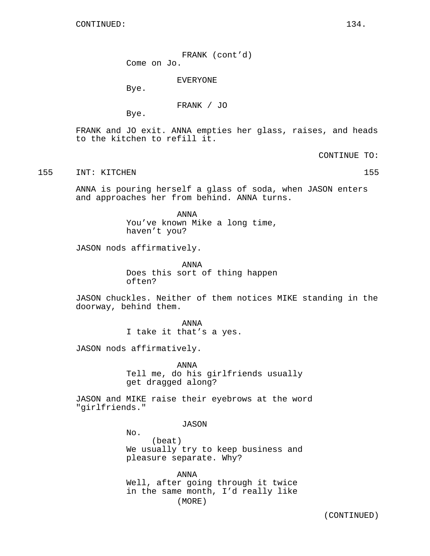FRANK (cont'd) Come on Jo.

EVERYONE

Bye.

FRANK / JO

Bye.

FRANK and JO exit. ANNA empties her glass, raises, and heads to the kitchen to refill it.

CONTINUE TO:

155 INT: KITCHEN 155

ANNA is pouring herself a glass of soda, when JASON enters and approaches her from behind. ANNA turns.

> ANNA You've known Mike a long time, haven't you?

JASON nods affirmatively.

ANNA Does this sort of thing happen often?

JASON chuckles. Neither of them notices MIKE standing in the doorway, behind them.

> ANNA I take it that's a yes.

JASON nods affirmatively.

ANNA Tell me, do his girlfriends usually get dragged along?

JASON and MIKE raise their eyebrows at the word "girlfriends."

JASON

No. (beat) We usually try to keep business and pleasure separate. Why?

ANNA Well, after going through it twice in the same month, I'd really like (MORE)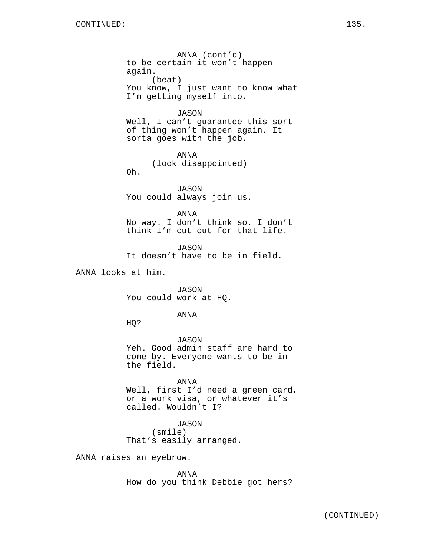ANNA (cont'd) to be certain it won't happen again. (beat) You know, I just want to know what I'm getting myself into.

# JASON

Well, I can't guarantee this sort of thing won't happen again. It sorta goes with the job.

ANNA (look disappointed) Oh.

JASON You could always join us.

ANNA No way. I don't think so. I don't think I'm cut out for that life.

JASON It doesn't have to be in field.

ANNA looks at him.

JASON You could work at HQ.

# ANNA

HQ?

JASON Yeh. Good admin staff are hard to come by. Everyone wants to be in the field.

ANNA Well, first I'd need a green card, or a work visa, or whatever it's called. Wouldn't I?

JASON (smile) That's easily arranged.

ANNA raises an eyebrow.

ANNA How do you think Debbie got hers?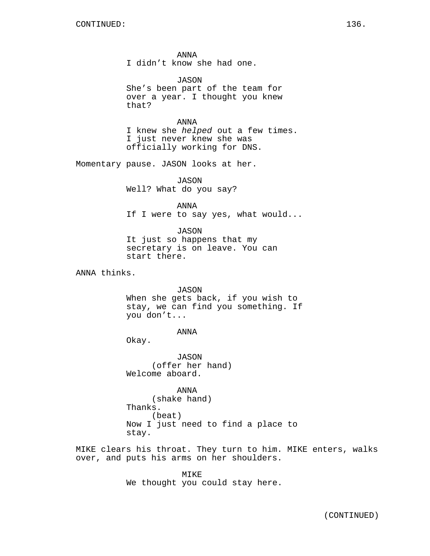ANNA I didn't know she had one.

JASON She's been part of the team for over a year. I thought you knew that?

ANNA I knew she helped out a few times. I just never knew she was officially working for DNS.

Momentary pause. JASON looks at her.

JASON Well? What do you say?

ANNA If I were to say yes, what would...

JASON It just so happens that my secretary is on leave. You can start there.

ANNA thinks.

JASON When she gets back, if you wish to stay, we can find you something. If you don't...

ANNA

Okay.

JASON (offer her hand) Welcome aboard.

ANNA (shake hand) Thanks. (beat) Now I just need to find a place to stay.

MIKE clears his throat. They turn to him. MIKE enters, walks over, and puts his arms on her shoulders.

> MIKE We thought you could stay here.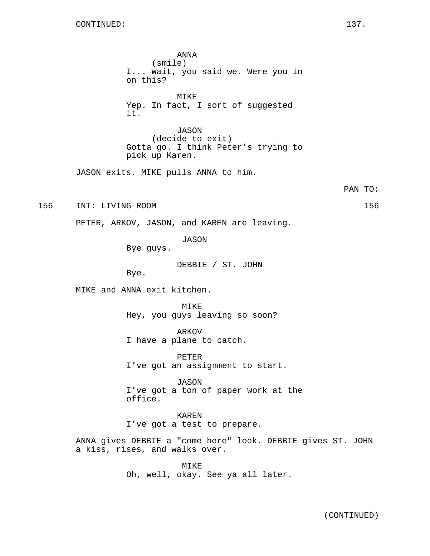ANNA (smile) I... Wait, you said we. Were you in on this? MIKE Yep. In fact, I sort of suggested it. JASON (decide to exit) Gotta go. I think Peter's trying to pick up Karen. JASON exits. MIKE pulls ANNA to him. PAN TO: 156 INT: LIVING ROOM 156 PETER, ARKOV, JASON, and KAREN are leaving. JASON Bye guys. DEBBIE / ST. JOHN Bye. MIKE and ANNA exit kitchen. MTK<sub>E</sub> Hey, you guys leaving so soon? ARKOV I have a plane to catch. PETER I've got an assignment to start. JASON I've got a ton of paper work at the office. KAREN I've got a test to prepare.

> ANNA gives DEBBIE a "come here" look. DEBBIE gives ST. JOHN a kiss, rises, and walks over.

> > MIKE Oh, well, okay. See ya all later.

(CONTINUED)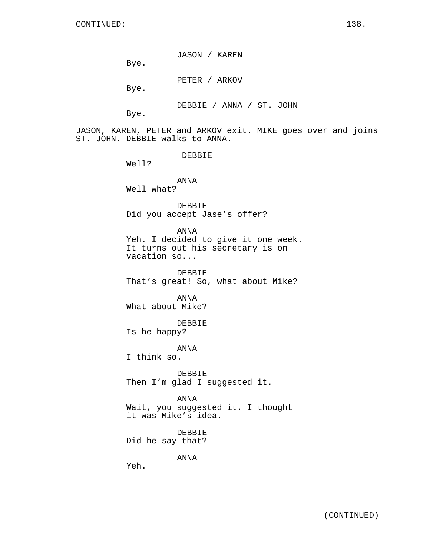JASON / KAREN

Bye.

PETER / ARKOV

Bye.

DEBBIE / ANNA / ST. JOHN

Bye.

JASON, KAREN, PETER and ARKOV exit. MIKE goes over and joins ST. JOHN. DEBBIE walks to ANNA.

DEBBIE

Well?

ANNA Well what?

DEBBIE Did you accept Jase's offer?

ANNA Yeh. I decided to give it one week. It turns out his secretary is on vacation so...

DEBBIE That's great! So, what about Mike?

ANNA What about Mike?

DEBBIE Is he happy?

ANNA

I think so.

DEBBIE Then I'm glad I suggested it.

ANNA Wait, you suggested it. I thought it was Mike's idea.

DEBBIE Did he say that?

ANNA

Yeh.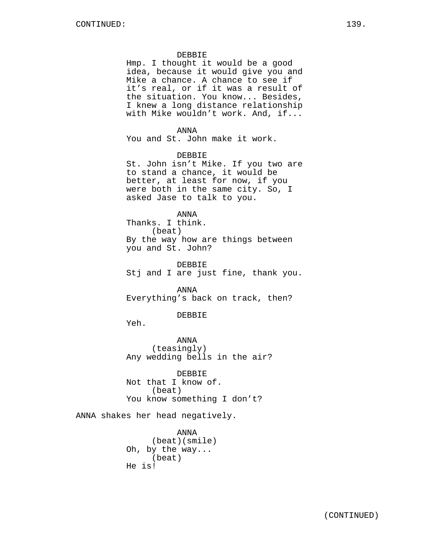# DEBBIE

Hmp. I thought it would be a good idea, because it would give you and Mike a chance. A chance to see if it's real, or if it was a result of the situation. You know... Besides, I knew a long distance relationship with Mike wouldn't work. And, if...

# ANNA

You and St. John make it work.

# DEBBIE

St. John isn't Mike. If you two are to stand a chance, it would be better, at least for now, if you were both in the same city. So, I asked Jase to talk to you.

# ANNA

Thanks. I think. (beat) By the way how are things between you and St. John?

DEBBIE Stj and I are just fine, thank you.

ANNA Everything's back on track, then?

#### DEBBIE

Yeh.

ANNA (teasingly) Any wedding bells in the air?

DEBBIE Not that I know of. (beat) You know something I don't?

ANNA shakes her head negatively.

ANNA (beat)(smile) Oh, by the way... (beat) He is!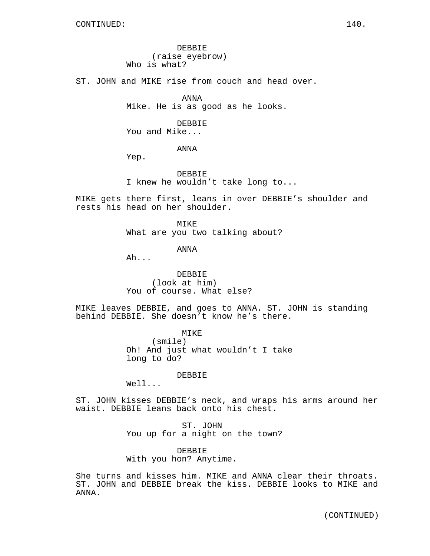DEBBIE (raise eyebrow) Who is what?

ST. JOHN and MIKE rise from couch and head over.

ANNA Mike. He is as good as he looks.

DEBBIE You and Mike...

ANNA

Yep.

DEBBIE I knew he wouldn't take long to...

MIKE gets there first, leans in over DEBBIE's shoulder and rests his head on her shoulder.

> MIKE What are you two talking about?

> > ANNA

Ah...

DEBBIE (look at him) You of course. What else?

MIKE leaves DEBBIE, and goes to ANNA. ST. JOHN is standing behind DEBBIE. She doesn't know he's there.

> **MTKE** (smile) Oh! And just what wouldn't I take long to do?

> > DEBBIE

Well...

ST. JOHN kisses DEBBIE's neck, and wraps his arms around her waist. DEBBIE leans back onto his chest.

> ST. JOHN You up for a night on the town?

DEBBIE With you hon? Anytime.

She turns and kisses him. MIKE and ANNA clear their throats. ST. JOHN and DEBBIE break the kiss. DEBBIE looks to MIKE and ANNA.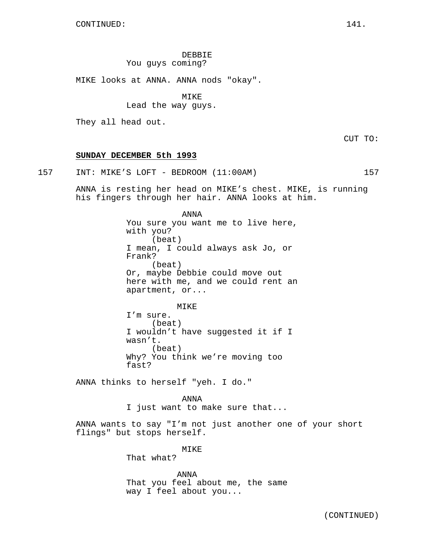DEBBIE You guys coming?

MIKE looks at ANNA. ANNA nods "okay".

MIKE

Lead the way guys.

They all head out.

CUT TO:

# **SUNDAY DECEMBER 5th 1993**

157 INT: MIKE'S LOFT - BEDROOM (11:00AM) 157

ANNA is resting her head on MIKE's chest. MIKE, is running his fingers through her hair. ANNA looks at him.

> ANNA You sure you want me to live here, with you? (beat) I mean, I could always ask Jo, or Frank? (beat) Or, maybe Debbie could move out here with me, and we could rent an apartment, or...

MIKE I'm sure. (beat) I wouldn't have suggested it if I

wasn't. (beat) Why? You think we're moving too fast?

ANNA thinks to herself "yeh. I do."

ANNA I just want to make sure that...

ANNA wants to say "I'm not just another one of your short flings" but stops herself.

MIKE

That what?

ANNA That you feel about me, the same way I feel about you...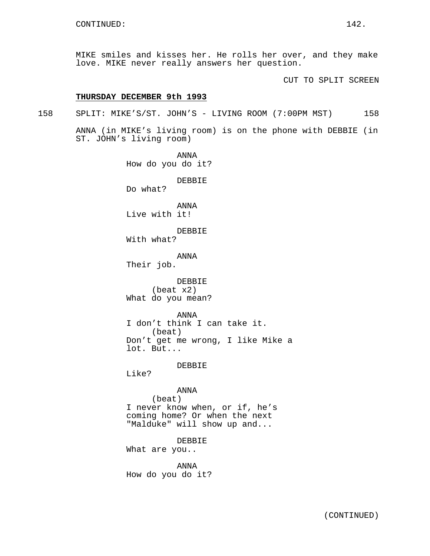MIKE smiles and kisses her. He rolls her over, and they make love. MIKE never really answers her question.

CUT TO SPLIT SCREEN

# **THURSDAY DECEMBER 9th 1993**

158 SPLIT: MIKE'S/ST. JOHN'S - LIVING ROOM (7:00PM MST) 158

ANNA (in MIKE's living room) is on the phone with DEBBIE (in ST. JOHN's living room)

> ANNA How do you do it? DEBBIE Do what? ANNA Live with it! DEBBIE With what? ANNA Their job. DEBBIE (beat x2) What do you mean? ANNA I don't think I can take it. (beat) Don't get me wrong, I like Mike a lot. But... **DEBBIE** Like? ANNA (beat) I never know when, or if, he's coming home? Or when the next "Malduke" will show up and... DEBBIE What are you.. ANNA How do you do it?

> > (CONTINUED)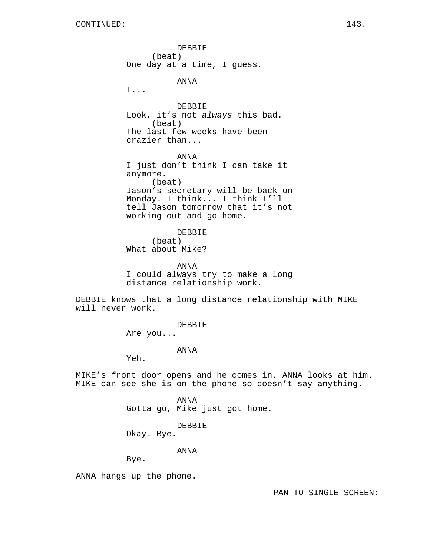DEBBIE (beat) One day at a time, I guess. ANNA I... DEBBIE Look, it's not always this bad. (beat) The last few weeks have been crazier than... ANNA I just don't think I can take it anymore. (beat) Jason's secretary will be back on Monday. I think... I think I'll tell Jason tomorrow that it's not working out and go home. DEBBIE (beat) What about Mike? ANNA

I could always try to make a long distance relationship work.

DEBBIE knows that a long distance relationship with MIKE will never work.

DEBBIE

Are you...

# ANNA

Yeh.

MIKE's front door opens and he comes in. ANNA looks at him. MIKE can see she is on the phone so doesn't say anything.

> ANNA Gotta go, Mike just got home.

> > DEBBIE

Okay. Bye.

ANNA

Bye.

ANNA hangs up the phone.

PAN TO SINGLE SCREEN: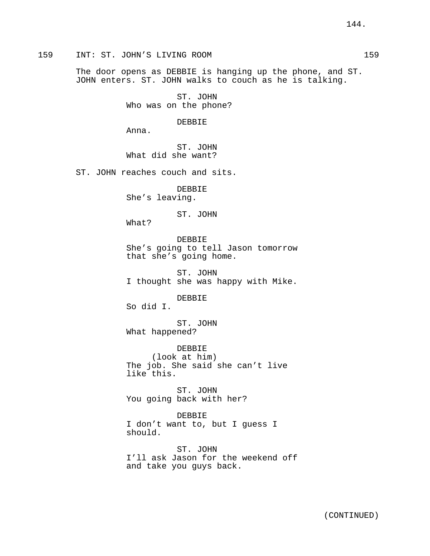## 159 INT: ST. JOHN'S LIVING ROOM 159

The door opens as DEBBIE is hanging up the phone, and ST. JOHN enters. ST. JOHN walks to couch as he is talking.

> ST. JOHN Who was on the phone?

> > DEBBIE

Anna.

ST. JOHN What did she want?

ST. JOHN reaches couch and sits.

DEBBIE She's leaving.

## ST. JOHN

What?

DEBBIE She's going to tell Jason tomorrow that she's going home.

ST. JOHN I thought she was happy with Mike.

DEBBIE

So did I.

ST. JOHN What happened?

DEBBIE (look at him) The job. She said she can't live like this.

ST. JOHN You going back with her?

DEBBIE I don't want to, but I guess I should.

ST. JOHN I'll ask Jason for the weekend off and take you guys back.